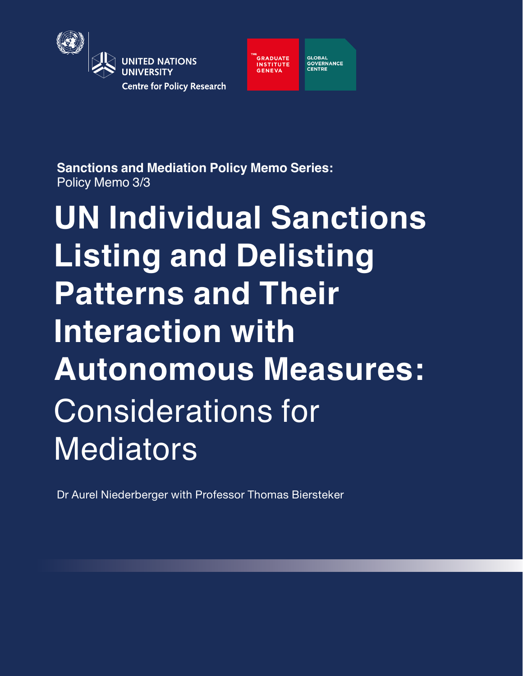

**GLOBAL<br>GOVERNANCE<br>CENTRE GRADUATE INSTITUTE**<br>GENEVA

**Sanctions and Mediation Policy Memo Series:** Policy Memo 3/3

**UN Individual Sanctions Listing and Delisting Patterns and Their Interaction with Autonomous Measures:** Considerations for **Mediators** 

Dr Aurel Niederberger with Professor Thomas Biersteker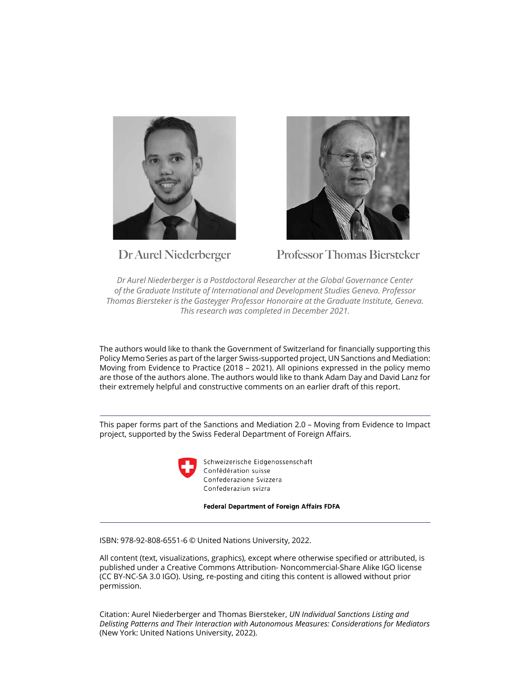



**Dr Aurel Niederberger Professor Thomas Biersteker**

*Dr Aurel Niederberger is a Postdoctoral Researcher at the Global Governance Center of the Graduate Institute of International and Development Studies Geneva. Professor Thomas Biersteker is the Gasteyger Professor Honoraire at the Graduate Institute, Geneva. This research was completed in December 2021.* 

The authors would like to thank the Government of Switzerland for financially supporting this Policy Memo Series as part of the larger Swiss-supported project, UN Sanctions and Mediation: Moving from Evidence to Practice (2018 – 2021). All opinions expressed in the policy memo are those of the authors alone. The authors would like to thank Adam Day and David Lanz for their extremely helpful and constructive comments on an earlier draft of this report.

This paper forms part of the Sanctions and Mediation 2.0 – Moving from Evidence to Impact project, supported by the Swiss Federal Department of Foreign Affairs.



Schweizerische Eidgenossenschaft Confédération suisse Confederazione Svizzera Confederaziun svizra

**Federal Department of Foreign Affairs FDFA** 

ISBN: 978-92-808-6551-6 © United Nations University, 2022.

All content (text, visualizations, graphics), except where otherwise specified or attributed, is published under a Creative Commons Attribution- Noncommercial-Share Alike IGO license (CC BY-NC-SA 3.0 IGO). Using, re-posting and citing this content is allowed without prior permission.

Citation: Aurel Niederberger and Thomas Biersteker, *UN Individual Sanctions Listing and Delisting Patterns and Their Interaction with Autonomous Measures: Considerations for Mediators* (New York: United Nations University, 2022).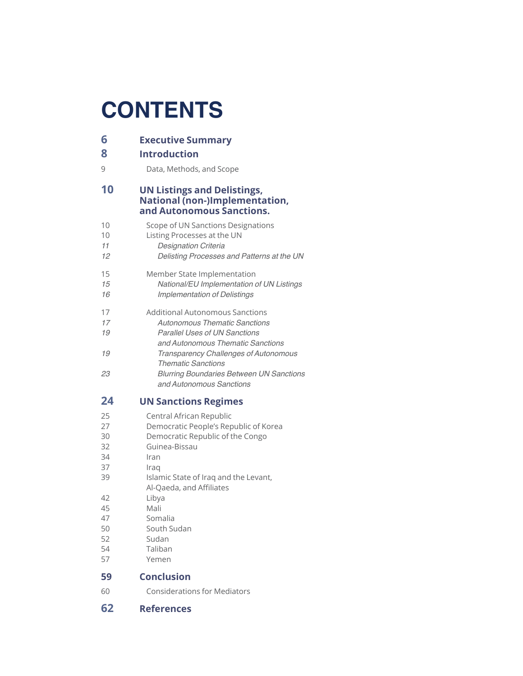# **CONTENTS**

| 6                    | <b>Executive Summary</b>                                                                                                                             |
|----------------------|------------------------------------------------------------------------------------------------------------------------------------------------------|
| 8                    | <b>Introduction</b>                                                                                                                                  |
| 9                    | Data, Methods, and Scope                                                                                                                             |
| 10                   | <b>UN Listings and Delistings,</b><br>National (non-)Implementation,<br>and Autonomous Sanctions.                                                    |
| 10<br>10<br>11<br>12 | Scope of UN Sanctions Designations<br>Listing Processes at the UN<br>Designation Criteria<br>Delisting Processes and Patterns at the UN              |
| 15<br>15<br>16       | Member State Implementation<br>National/EU Implementation of UN Listings<br><b>Implementation of Delistings</b>                                      |
| 17<br>17<br>19       | Additional Autonomous Sanctions<br><b>Autonomous Thematic Sanctions</b><br><b>Parallel Uses of UN Sanctions</b><br>and Autonomous Thematic Sanctions |
| 19                   | <b>Transparency Challenges of Autonomous</b><br><b>Thematic Sanctions</b>                                                                            |
| 23                   | <b>Blurring Boundaries Between UN Sanctions</b><br>and Autonomous Sanctions                                                                          |
| 24                   | <b>UN Sanctions Regimes</b>                                                                                                                          |
| 25                   | Central African Republic                                                                                                                             |
| 27                   | Democratic People's Republic of Korea                                                                                                                |
| 30                   | Democratic Republic of the Congo                                                                                                                     |
| 32                   | Guinea-Bissau                                                                                                                                        |
| 34                   | Iran                                                                                                                                                 |
| 37                   | Iraq                                                                                                                                                 |
| 39                   | Islamic State of Iraq and the Levant,<br>Al-Qaeda, and Affiliates                                                                                    |
|                      |                                                                                                                                                      |
| 42                   | Libya                                                                                                                                                |
| 45                   | Mali                                                                                                                                                 |
| 47                   | Somalia                                                                                                                                              |
| 50                   | South Sudan                                                                                                                                          |
| 52                   | Sudan                                                                                                                                                |
| 54                   | Taliban                                                                                                                                              |
| 57                   | Yemen                                                                                                                                                |
| 59                   | <b>Conclusion</b>                                                                                                                                    |
| 60                   | <b>Considerations for Mediators</b>                                                                                                                  |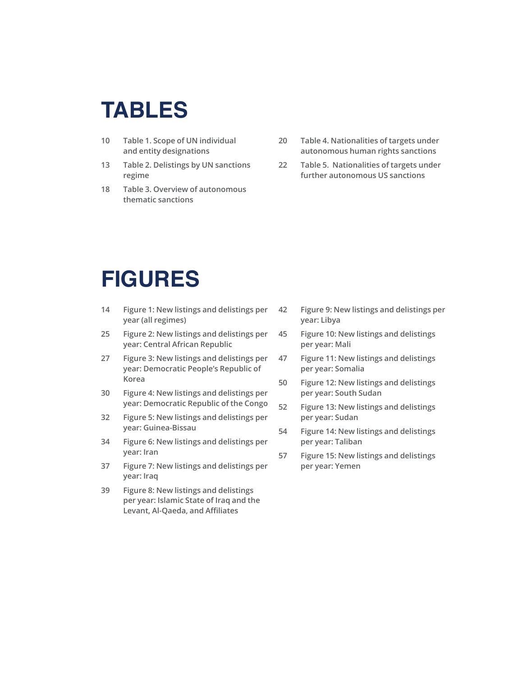# **TABLES**

- **10 [Table 1. Scope of UN individual](#page-8-0)  [and entity designations](#page-8-0)**
- **13 [Table 2. Delistings by UN sanctions](#page-11-0)  [regime](#page-11-0)**
- **18 [Table 3. Overview of autonomous](#page-16-0)  [thematic sanctions](#page-16-0)**
- **20 [Table 4. Nationalities of targets under](#page-18-0)  [autonomous human rights sanctions](#page-18-0)**
- **22 [Table 5. Nationalities of targets under](#page-20-0)  [further autonomous US sanctions](#page-20-0)**

# **FIGURES**

- **14 [Figure 1: New listings and delistings per](#page-12-0)  [year \(all regimes\)](#page-12-0)**
- **25 [Figure 2: New listings and delistings per](#page-23-0)  [year: Central African Republic](#page-23-0)**
- **27 [Figure 3: New listings and delistings per](#page-25-0)  [year: Democratic People's Republic of](#page-25-0)  [Korea](#page-25-0)**
- **30 [Figure 4: New listings and delistings per](#page-28-0)  [year: Democratic Republic of the Congo](#page-28-0)**
- **32 [Figure 5: New listings and delistings per](#page-30-0)  [year: Guinea-Bissau](#page-30-0)**
- **34 [Figure 6: New listings and delistings per](#page-32-0)  [year: Iran](#page-32-0)**
- **37 [Figure 7: New listings and delistings per](#page-35-0)  [year: Iraq](#page-35-0)**
- **39 [Figure 8: New listings and delistings](#page-37-0)  [per year: Islamic State of Iraq and the](#page-37-0)  [Levant, Al-Qaeda, and Affiliates](#page-37-0)**
- **42 [Figure 9: New listings and delistings per](#page-40-0)  [year: Libya](#page-40-0)**
- **45 [Figure 10: New listings and delistings](#page-43-0)  [per year: Mali](#page-43-0)**
- **47 [Figure 11: New listings and delistings](#page-45-0)  [per year: Somalia](#page-45-0)**
- **50 [Figure 12: New listings and delistings](#page-48-0)  [per year: South Sudan](#page-48-0)**
- **52 [Figure 13: New listings and delistings](#page-50-0)  [per year: Sudan](#page-50-0)**
- **54 [Figure 14: New listings and delistings](#page-52-0)  [per year: Taliban](#page-52-0)**
- **57 [Figure 15: New listings and delistings](#page-55-0)  [per year: Yemen](#page-55-0)**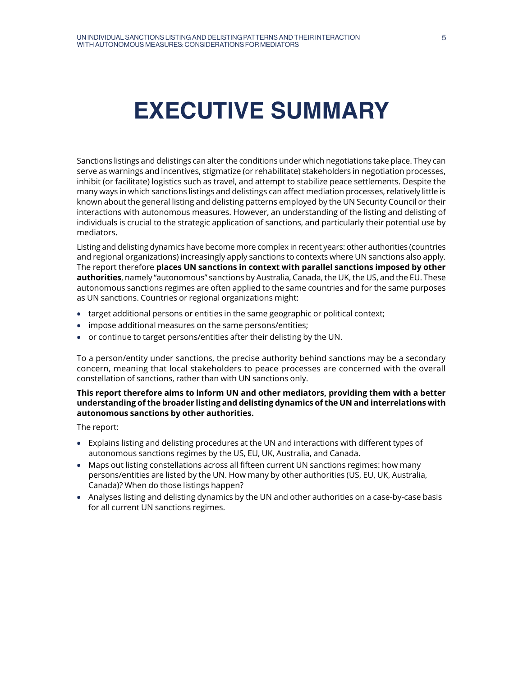# <span id="page-4-0"></span>**EXECUTIVE SUMMARY**

Sanctions listings and delistings can alter the conditions under which negotiations take place. They can serve as warnings and incentives, stigmatize (or rehabilitate) stakeholders in negotiation processes, inhibit (or facilitate) logistics such as travel, and attempt to stabilize peace settlements. Despite the many ways in which sanctions listings and delistings can affect mediation processes, relatively little is known about the general listing and delisting patterns employed by the UN Security Council or their interactions with autonomous measures. However, an understanding of the listing and delisting of individuals is crucial to the strategic application of sanctions, and particularly their potential use by mediators.

Listing and delisting dynamics have become more complex in recent years: other authorities (countries and regional organizations) increasingly apply sanctions to contexts where UN sanctions also apply. The report therefore **places UN sanctions in context with parallel sanctions imposed by other authorities**, namely "autonomous" sanctions by Australia, Canada, the UK, the US, and the EU. These autonomous sanctions regimes are often applied to the same countries and for the same purposes as UN sanctions. Countries or regional organizations might:

- **•** target additional persons or entities in the same geographic or political context;
- **•** impose additional measures on the same persons/entities;
- **•** or continue to target persons/entities after their delisting by the UN.

To a person/entity under sanctions, the precise authority behind sanctions may be a secondary concern, meaning that local stakeholders to peace processes are concerned with the overall constellation of sanctions, rather than with UN sanctions only.

## **This report therefore aims to inform UN and other mediators, providing them with a better understanding of the broader listing and delisting dynamics of the UN and interrelations with autonomous sanctions by other authorities.**

The report:

- **•** Explains listing and delisting procedures at the UN and interactions with different types of autonomous sanctions regimes by the US, EU, UK, Australia, and Canada.
- **•** Maps out listing constellations across all fifteen current UN sanctions regimes: how many persons/entities are listed by the UN. How many by other authorities (US, EU, UK, Australia, Canada)? When do those listings happen?
- **•** Analyses listing and delisting dynamics by the UN and other authorities on a case-by-case basis for all current UN sanctions regimes.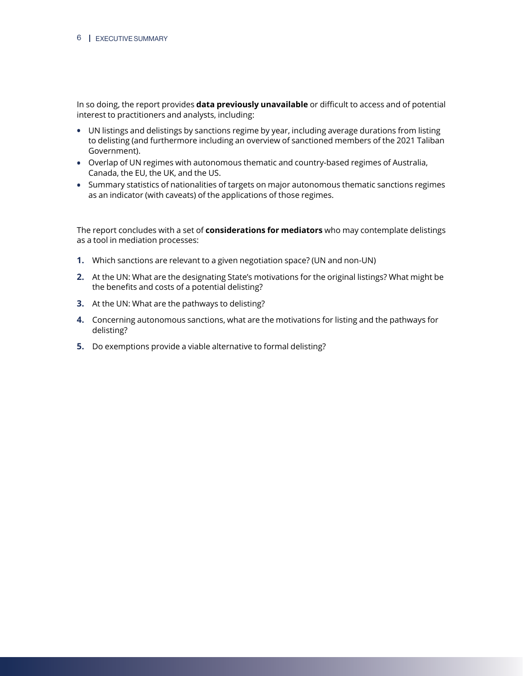In so doing, the report provides **data previously unavailable** or difficult to access and of potential interest to practitioners and analysts, including:

- **•** UN listings and delistings by sanctions regime by year, including average durations from listing to delisting (and furthermore including an overview of sanctioned members of the 2021 Taliban Government).
- **•** Overlap of UN regimes with autonomous thematic and country-based regimes of Australia, Canada, the EU, the UK, and the US.
- **•** Summary statistics of nationalities of targets on major autonomous thematic sanctions regimes as an indicator (with caveats) of the applications of those regimes.

The report concludes with a set of **considerations for mediators** who may contemplate delistings as a tool in mediation processes:

- **1.** Which sanctions are relevant to a given negotiation space? (UN and non-UN)
- **2.** At the UN: What are the designating State's motivations for the original listings? What might be the benefits and costs of a potential delisting?
- **3.** At the UN: What are the pathways to delisting?
- **4.** Concerning autonomous sanctions, what are the motivations for listing and the pathways for delisting?
- **5.** Do exemptions provide a viable alternative to formal delisting?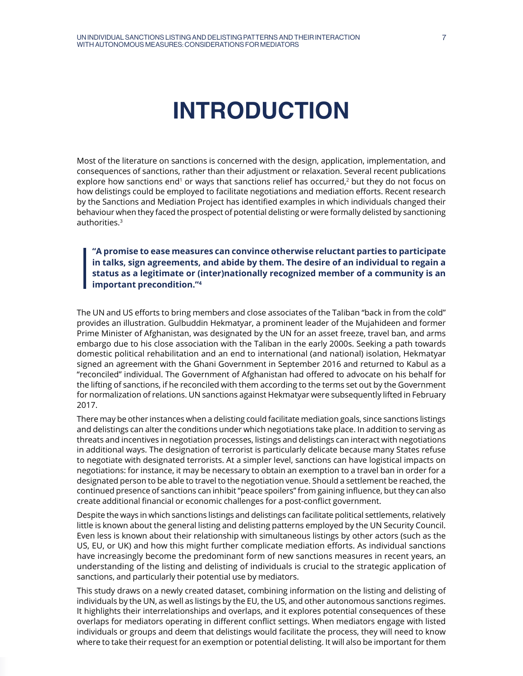# **INTRODUCTION**

<span id="page-6-0"></span>Most of the literature on sanctions is concerned with the design, application, implementation, and consequences of sanctions, rather than their adjustment or relaxation. Several recent publications explore how sanctions end<sup>1</sup> or ways that sanctions relief has occurred,<sup>2</sup> but they do not focus on how delistings could be employed to facilitate negotiations and mediation efforts. Recent research by the Sanctions and Mediation Project has identified examples in which individuals changed their behaviour when they faced the prospect of potential delisting or were formally delisted by sanctioning authorities.3

**"A promise to ease measures can convince otherwise reluctant parties to participate in talks, sign agreements, and abide by them. The desire of an individual to regain a status as a legitimate or (inter)nationally recognized member of a community is an important precondition."4**

The UN and US efforts to bring members and close associates of the Taliban "back in from the cold" provides an illustration. Gulbuddin Hekmatyar, a prominent leader of the Mujahideen and former Prime Minister of Afghanistan, was designated by the UN for an asset freeze, travel ban, and arms embargo due to his close association with the Taliban in the early 2000s. Seeking a path towards domestic political rehabilitation and an end to international (and national) isolation, Hekmatyar signed an agreement with the Ghani Government in September 2016 and returned to Kabul as a "reconciled" individual. The Government of Afghanistan had offered to advocate on his behalf for the lifting of sanctions, if he reconciled with them according to the terms set out by the Government for normalization of relations. UN sanctions against Hekmatyar were subsequently lifted in February 2017.

There may be other instances when a delisting could facilitate mediation goals, since sanctions listings and delistings can alter the conditions under which negotiations take place. In addition to serving as threats and incentives in negotiation processes, listings and delistings can interact with negotiations in additional ways. The designation of terrorist is particularly delicate because many States refuse to negotiate with designated terrorists. At a simpler level, sanctions can have logistical impacts on negotiations: for instance, it may be necessary to obtain an exemption to a travel ban in order for a designated person to be able to travel to the negotiation venue. Should a settlement be reached, the continued presence of sanctions can inhibit "peace spoilers'' from gaining influence, but they can also create additional financial or economic challenges for a post-conflict government.

Despite the ways in which sanctions listings and delistings can facilitate political settlements, relatively little is known about the general listing and delisting patterns employed by the UN Security Council. Even less is known about their relationship with simultaneous listings by other actors (such as the US, EU, or UK) and how this might further complicate mediation efforts. As individual sanctions have increasingly become the predominant form of new sanctions measures in recent years, an understanding of the listing and delisting of individuals is crucial to the strategic application of sanctions, and particularly their potential use by mediators.

This study draws on a newly created dataset, combining information on the listing and delisting of individuals by the UN, as well as listings by the EU, the US, and other autonomous sanctions regimes. It highlights their interrelationships and overlaps, and it explores potential consequences of these overlaps for mediators operating in different conflict settings. When mediators engage with listed individuals or groups and deem that delistings would facilitate the process, they will need to know where to take their request for an exemption or potential delisting. It will also be important for them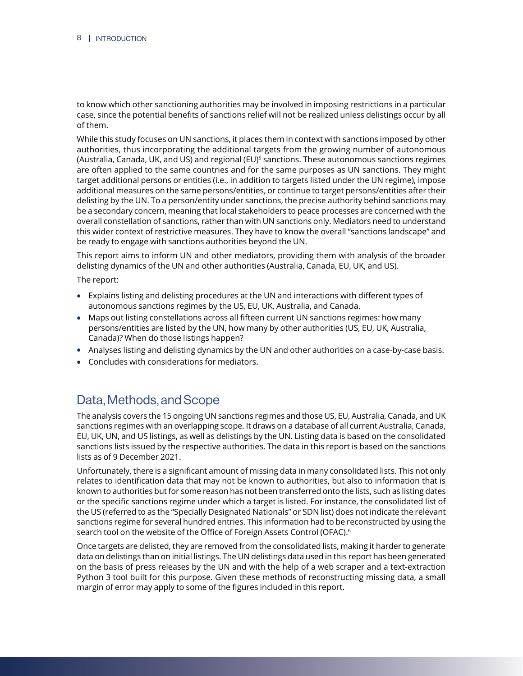<span id="page-7-0"></span>to know which other sanctioning authorities may be involved in imposing restrictions in a particular case, since the potential benefits of sanctions relief will not be realized unless delistings occur by all of them.

While this study focuses on UN sanctions, it places them in context with sanctions imposed by other authorities, thus incorporating the additional targets from the growing number of autonomous (Australia, Canada, UK, and US) and regional (EU)5 sanctions. These autonomous sanctions regimes are often applied to the same countries and for the same purposes as UN sanctions. They might target additional persons or entities (i.e., in addition to targets listed under the UN regime), impose additional measures on the same persons/entities, or continue to target persons/entities after their delisting by the UN. To a person/entity under sanctions, the precise authority behind sanctions may be a secondary concern, meaning that local stakeholders to peace processes are concerned with the overall constellation of sanctions, rather than with UN sanctions only. Mediators need to understand this wider context of restrictive measures. They have to know the overall "sanctions landscape" and be ready to engage with sanctions authorities beyond the UN.

This report aims to inform UN and other mediators, providing them with analysis of the broader delisting dynamics of the UN and other authorities (Australia, Canada, EU, UK, and US).

The report:

- **•** Explains listing and delisting procedures at the UN and interactions with different types of autonomous sanctions regimes by the US, EU, UK, Australia, and Canada.
- **•** Maps out listing constellations across all fifteen current UN sanctions regimes: how many persons/entities are listed by the UN, how many by other authorities (US, EU, UK, Australia, Canada)? When do those listings happen?
- **•** Analyses listing and delisting dynamics by the UN and other authorities on a case-by-case basis.
- **•** Concludes with considerations for mediators.

## Data, Methods, and Scope

The analysis covers the 15 ongoing UN sanctions regimes and those US, EU, Australia, Canada, and UK sanctions regimes with an overlapping scope. It draws on a database of all current Australia, Canada, EU, UK, UN, and US listings, as well as delistings by the UN. Listing data is based on the consolidated sanctions lists issued by the respective authorities. The data in this report is based on the sanctions lists as of 9 December 2021.

Unfortunately, there is a significant amount of missing data in many consolidated lists. This not only relates to identification data that may not be known to authorities, but also to information that is known to authorities but for some reason has not been transferred onto the lists, such as listing dates or the specific sanctions regime under which a target is listed. For instance, the consolidated list of the US (referred to as the "Specially Designated Nationals" or SDN list) does not indicate the relevant sanctions regime for several hundred entries. This information had to be reconstructed by using the search tool on the website of the Office of Foreign Assets Control (OFAC).<sup>6</sup>

Once targets are delisted, they are removed from the consolidated lists, making it harder to generate data on delistings than on initial listings. The UN delistings data used in this report has been generated on the basis of press releases by the UN and with the help of a web scraper and a text-extraction Python 3 tool built for this purpose. Given these methods of reconstructing missing data, a small margin of error may apply to some of the figures included in this report.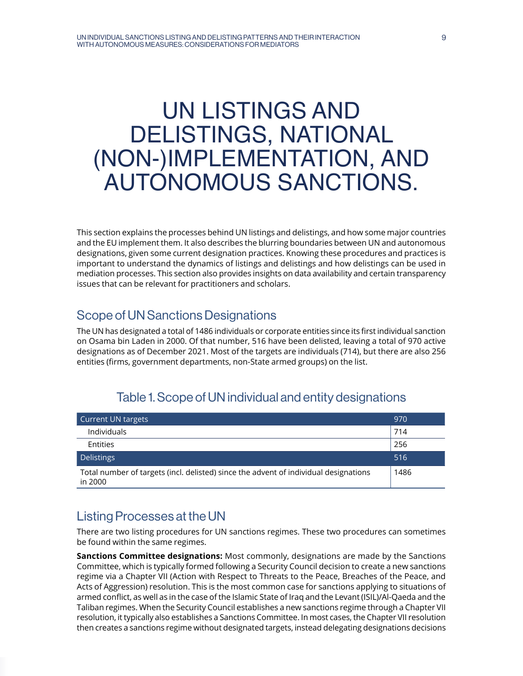# <span id="page-8-0"></span>UN LISTINGS AND DELISTINGS, NATIONAL (NON-)IMPLEMENTATION, AND AUTONOMOUS SANCTIONS.

This section explains the processes behind UN listings and delistings, and how some major countries and the EU implement them. It also describes the blurring boundaries between UN and autonomous designations, given some current designation practices. Knowing these procedures and practices is important to understand the dynamics of listings and delistings and how delistings can be used in mediation processes. This section also provides insights on data availability and certain transparency issues that can be relevant for practitioners and scholars.

## Scope of UN Sanctions Designations

The UN has designated a total of 1486 individuals or corporate entities since its first individual sanction on Osama bin Laden in 2000. Of that number, 516 have been delisted, leaving a total of 970 active designations as of December 2021. Most of the targets are individuals (714), but there are also 256 entities (firms, government departments, non-State armed groups) on the list.

| Current UN targets                                                                              | 970  |
|-------------------------------------------------------------------------------------------------|------|
| Individuals                                                                                     | 714  |
| <b>Entities</b>                                                                                 | 256  |
| Delistings                                                                                      | 516  |
| Total number of targets (incl. delisted) since the advent of individual designations<br>in 2000 | 1486 |

## Table 1. Scope of UN individual and entity designations

# Listing Processes at the UN

There are two listing procedures for UN sanctions regimes. These two procedures can sometimes be found within the same regimes.

**Sanctions Committee designations:** Most commonly, designations are made by the Sanctions Committee, which is typically formed following a Security Council decision to create a new sanctions regime via a Chapter VII (Action with Respect to Threats to the Peace, Breaches of the Peace, and Acts of Aggression) resolution. This is the most common case for sanctions applying to situations of armed conflict, as well as in the case of the Islamic State of Iraq and the Levant (ISIL)/Al-Qaeda and the Taliban regimes. When the Security Council establishes a new sanctions regime through a Chapter VII resolution, it typically also establishes a Sanctions Committee. In most cases, the Chapter VII resolution then creates a sanctions regime without designated targets, instead delegating designations decisions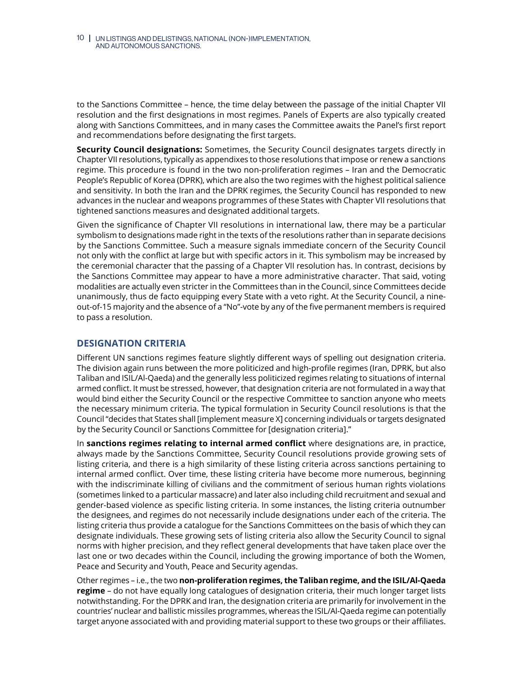<span id="page-9-0"></span>to the Sanctions Committee – hence, the time delay between the passage of the initial Chapter VII resolution and the first designations in most regimes. Panels of Experts are also typically created along with Sanctions Committees, and in many cases the Committee awaits the Panel's first report and recommendations before designating the first targets.

**Security Council designations:** Sometimes, the Security Council designates targets directly in Chapter VII resolutions, typically as appendixes to those resolutions that impose or renew a sanctions regime. This procedure is found in the two non-proliferation regimes – Iran and the Democratic People's Republic of Korea (DPRK), which are also the two regimes with the highest political salience and sensitivity. In both the Iran and the DPRK regimes, the Security Council has responded to new advances in the nuclear and weapons programmes of these States with Chapter VII resolutions that tightened sanctions measures and designated additional targets.

Given the significance of Chapter VII resolutions in international law, there may be a particular symbolism to designations made right in the texts of the resolutions rather than in separate decisions by the Sanctions Committee. Such a measure signals immediate concern of the Security Council not only with the conflict at large but with specific actors in it. This symbolism may be increased by the ceremonial character that the passing of a Chapter VII resolution has. In contrast, decisions by the Sanctions Committee may appear to have a more administrative character. That said, voting modalities are actually even stricter in the Committees than in the Council, since Committees decide unanimously, thus de facto equipping every State with a veto right. At the Security Council, a nineout-of-15 majority and the absence of a "No"-vote by any of the five permanent members is required to pass a resolution.

## **DESIGNATION CRITERIA**

Different UN sanctions regimes feature slightly different ways of spelling out designation criteria. The division again runs between the more politicized and high-profile regimes (Iran, DPRK, but also Taliban and ISIL/Al-Qaeda) and the generally less politicized regimes relating to situations of internal armed conflict. It must be stressed, however, that designation criteria are not formulated in a way that would bind either the Security Council or the respective Committee to sanction anyone who meets the necessary minimum criteria. The typical formulation in Security Council resolutions is that the Council "decides that States shall [implement measure X] concerning individuals or targets designated by the Security Council or Sanctions Committee for [designation criteria]."

In **sanctions regimes relating to internal armed conflict** where designations are, in practice, always made by the Sanctions Committee, Security Council resolutions provide growing sets of listing criteria, and there is a high similarity of these listing criteria across sanctions pertaining to internal armed conflict. Over time, these listing criteria have become more numerous, beginning with the indiscriminate killing of civilians and the commitment of serious human rights violations (sometimes linked to a particular massacre) and later also including child recruitment and sexual and gender-based violence as specific listing criteria. In some instances, the listing criteria outnumber the designees, and regimes do not necessarily include designations under each of the criteria. The listing criteria thus provide a catalogue for the Sanctions Committees on the basis of which they can designate individuals. These growing sets of listing criteria also allow the Security Council to signal norms with higher precision, and they reflect general developments that have taken place over the last one or two decades within the Council, including the growing importance of both the Women, Peace and Security and Youth, Peace and Security agendas.

Other regimes – i.e., the two **non-proliferation regimes, the Taliban regime, and the ISIL/Al-Qaeda regime** – do not have equally long catalogues of designation criteria, their much longer target lists notwithstanding. For the DPRK and Iran, the designation criteria are primarily for involvement in the countries' nuclear and ballistic missiles programmes, whereas the ISIL/Al-Qaeda regime can potentially target anyone associated with and providing material support to these two groups or their affiliates.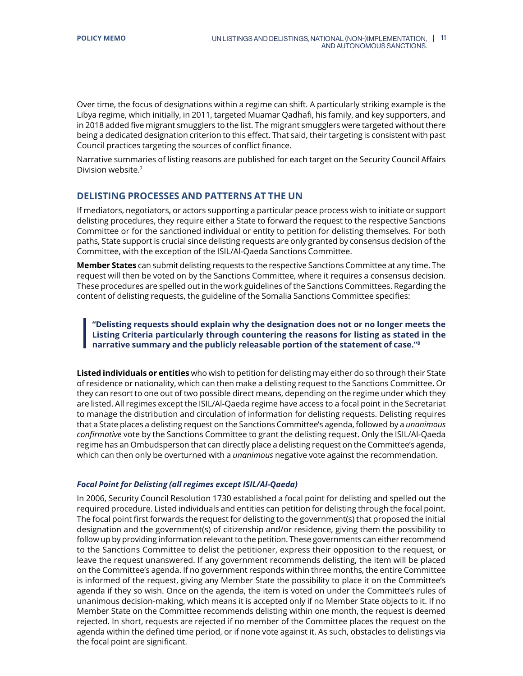<span id="page-10-0"></span>Over time, the focus of designations within a regime can shift. A particularly striking example is the Libya regime, which initially, in 2011, targeted Muamar Qadhafi, his family, and key supporters, and in 2018 added five migrant smugglers to the list. The migrant smugglers were targeted without there being a dedicated designation criterion to this effect. That said, their targeting is consistent with past Council practices targeting the sources of conflict finance.

Narrative summaries of listing reasons are published for each target on the Security Council Affairs Division website.7

## **DELISTING PROCESSES AND PATTERNS AT THE UN**

If mediators, negotiators, or actors supporting a particular peace process wish to initiate or support delisting procedures, they require either a State to forward the request to the respective Sanctions Committee or for the sanctioned individual or entity to petition for delisting themselves. For both paths, State support is crucial since delisting requests are only granted by consensus decision of the Committee, with the exception of the ISIL/Al-Qaeda Sanctions Committee.

**Member States** can submit delisting requests to the respective Sanctions Committee at any time. The request will then be voted on by the Sanctions Committee, where it requires a consensus decision. These procedures are spelled out in the work guidelines of the Sanctions Committees. Regarding the content of delisting requests, the guideline of the Somalia Sanctions Committee specifies:

**"Delisting requests should explain why the designation does not or no longer meets the Listing Criteria particularly through countering the reasons for listing as stated in the narrative summary and the publicly releasable portion of the statement of case."8**

**Listed individuals or entities** who wish to petition for delisting may either do so through their State of residence or nationality, which can then make a delisting request to the Sanctions Committee. Or they can resort to one out of two possible direct means, depending on the regime under which they are listed. All regimes except the ISIL/Al-Qaeda regime have access to a focal point in the Secretariat to manage the distribution and circulation of information for delisting requests. Delisting requires that a State places a delisting request on the Sanctions Committee's agenda, followed by a *unanimous confirmative* vote by the Sanctions Committee to grant the delisting request. Only the ISIL/Al-Qaeda regime has an Ombudsperson that can directly place a delisting request on the Committee's agenda, which can then only be overturned with a *unanimous* negative vote against the recommendation.

#### *Focal Point for Delisting (all regimes except ISIL/Al-Qaeda)*

In 2006, Security Council Resolution 1730 established a focal point for delisting and spelled out the required procedure. Listed individuals and entities can petition for delisting through the focal point. The focal point first forwards the request for delisting to the government(s) that proposed the initial designation and the government(s) of citizenship and/or residence, giving them the possibility to follow up by providing information relevant to the petition. These governments can either recommend to the Sanctions Committee to delist the petitioner, express their opposition to the request, or leave the request unanswered. If any government recommends delisting, the item will be placed on the Committee's agenda. If no government responds within three months, the entire Committee is informed of the request, giving any Member State the possibility to place it on the Committee's agenda if they so wish. Once on the agenda, the item is voted on under the Committee's rules of unanimous decision-making, which means it is accepted only if no Member State objects to it. If no Member State on the Committee recommends delisting within one month, the request is deemed rejected. In short, requests are rejected if no member of the Committee places the request on the agenda within the defined time period, or if none vote against it. As such, obstacles to delistings via the focal point are significant.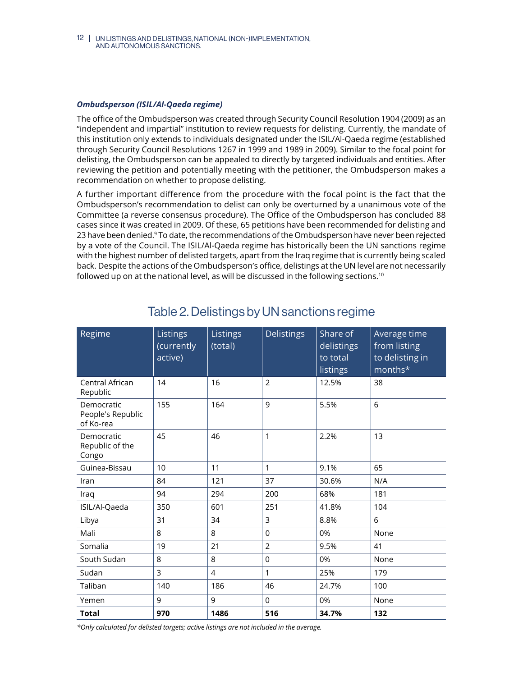<span id="page-11-0"></span>12 UN LISTINGS AND DELISTINGS, NATIONAL (NON-)IMPLEMENTATION, AND AUTONOMOUS SANCTIONS.

#### *Ombudsperson (ISIL/Al-Qaeda regime)*

The office of the Ombudsperson was created through Security Council Resolution 1904 (2009) as an "independent and impartial" institution to review requests for delisting. Currently, the mandate of this institution only extends to individuals designated under the ISIL/Al-Qaeda regime (established through Security Council Resolutions 1267 in 1999 and 1989 in 2009). Similar to the focal point for delisting, the Ombudsperson can be appealed to directly by targeted individuals and entities. After reviewing the petition and potentially meeting with the petitioner, the Ombudsperson makes a recommendation on whether to propose delisting.

A further important difference from the procedure with the focal point is the fact that the Ombudsperson's recommendation to delist can only be overturned by a unanimous vote of the Committee (a reverse consensus procedure). The Office of the Ombudsperson has concluded 88 cases since it was created in 2009. Of these, 65 petitions have been recommended for delisting and 23 have been denied.9 To date, the recommendations of the Ombudsperson have never been rejected by a vote of the Council. The ISIL/Al-Qaeda regime has historically been the UN sanctions regime with the highest number of delisted targets, apart from the Iraq regime that is currently being scaled back. Despite the actions of the Ombudsperson's office, delistings at the UN level are not necessarily followed up on at the national level, as will be discussed in the following sections.<sup>10</sup>

| Regime                                       | Listings<br>(currently<br>active) | Listings<br>(total) | <b>Delistings</b> | Share of<br>delistings<br>to total<br>listings | Average time<br>from listing<br>to delisting in<br>months* |
|----------------------------------------------|-----------------------------------|---------------------|-------------------|------------------------------------------------|------------------------------------------------------------|
| Central African<br>Republic                  | 14                                | 16                  | $\overline{2}$    | 12.5%                                          | 38                                                         |
| Democratic<br>People's Republic<br>of Ko-rea | 155                               | 164                 | 9                 | 5.5%                                           | 6                                                          |
| Democratic<br>Republic of the<br>Congo       | 45                                | 46                  | $\mathbf{1}$      | 2.2%                                           | 13                                                         |
| Guinea-Bissau                                | 10                                | 11                  | 1                 | 9.1%                                           | 65                                                         |
| Iran                                         | 84                                | 121                 | 37                | 30.6%                                          | N/A                                                        |
| Iraq                                         | 94                                | 294                 | 200               | 68%                                            | 181                                                        |
| ISIL/Al-Qaeda                                | 350                               | 601                 | 251               | 41.8%                                          | 104                                                        |
| Libya                                        | 31                                | 34                  | 3                 | 8.8%                                           | 6                                                          |
| Mali                                         | 8                                 | 8                   | $\Omega$          | 0%                                             | None                                                       |
| Somalia                                      | 19                                | 21                  | $\overline{2}$    | 9.5%                                           | 41                                                         |
| South Sudan                                  | 8                                 | 8                   | 0                 | 0%                                             | None                                                       |
| Sudan                                        | 3                                 | $\overline{4}$      | $\mathbf{1}$      | 25%                                            | 179                                                        |
| Taliban                                      | 140                               | 186                 | 46                | 24.7%                                          | 100                                                        |
| Yemen                                        | 9                                 | 9                   | $\Omega$          | 0%                                             | None                                                       |
| <b>Total</b>                                 | 970                               | 1486                | 516               | 34.7%                                          | 132                                                        |

## Table 2. Delistings by UN sanctions regime

*\*Only calculated for delisted targets; active listings are not included in the average.*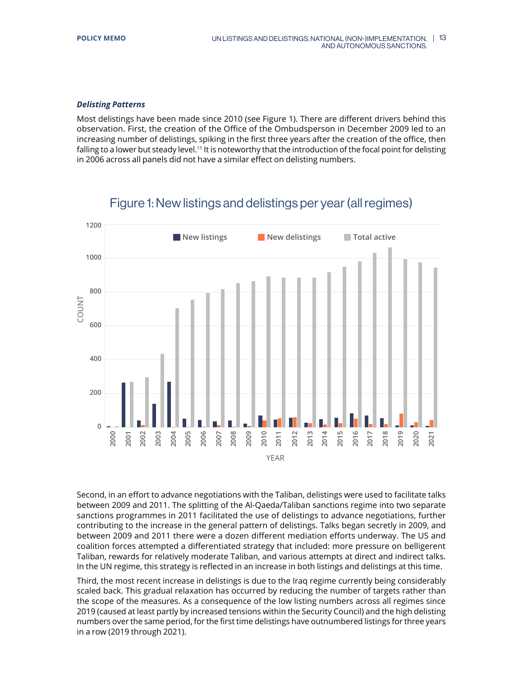#### <span id="page-12-0"></span>*Delisting Patterns*

Most delistings have been made since 2010 (see Figure 1). There are different drivers behind this observation. First, the creation of the Office of the Ombudsperson in December 2009 led to an increasing number of delistings, spiking in the first three years after the creation of the office, then falling to a lower but steady level.<sup>11</sup> It is noteworthy that the introduction of the focal point for delisting in 2006 across all panels did not have a similar effect on delisting numbers.



## Figure 1: New listings and delistings per year (all regimes)

Second, in an effort to advance negotiations with the Taliban, delistings were used to facilitate talks between 2009 and 2011. The splitting of the Al-Qaeda/Taliban sanctions regime into two separate sanctions programmes in 2011 facilitated the use of delistings to advance negotiations, further contributing to the increase in the general pattern of delistings. Talks began secretly in 2009, and between 2009 and 2011 there were a dozen different mediation efforts underway. The US and coalition forces attempted a differentiated strategy that included: more pressure on belligerent Taliban, rewards for relatively moderate Taliban, and various attempts at direct and indirect talks. In the UN regime, this strategy is reflected in an increase in both listings and delistings at this time.

Third, the most recent increase in delistings is due to the Iraq regime currently being considerably scaled back. This gradual relaxation has occurred by reducing the number of targets rather than the scope of the measures. As a consequence of the low listing numbers across all regimes since 2019 (caused at least partly by increased tensions within the Security Council) and the high delisting numbers over the same period, for the first time delistings have outnumbered listings for three years in a row (2019 through 2021).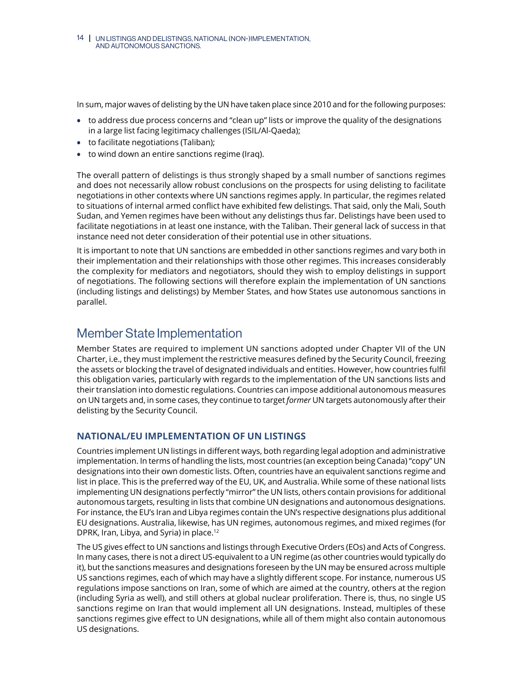<span id="page-13-0"></span>In sum, major waves of delisting by the UN have taken place since 2010 and for the following purposes:

- **•** to address due process concerns and "clean up" lists or improve the quality of the designations in a large list facing legitimacy challenges (ISIL/Al-Qaeda);
- **•** to facilitate negotiations (Taliban);
- **•** to wind down an entire sanctions regime (Iraq).

The overall pattern of delistings is thus strongly shaped by a small number of sanctions regimes and does not necessarily allow robust conclusions on the prospects for using delisting to facilitate negotiations in other contexts where UN sanctions regimes apply. In particular, the regimes related to situations of internal armed conflict have exhibited few delistings. That said, only the Mali, South Sudan, and Yemen regimes have been without any delistings thus far. Delistings have been used to facilitate negotiations in at least one instance, with the Taliban. Their general lack of success in that instance need not deter consideration of their potential use in other situations.

It is important to note that UN sanctions are embedded in other sanctions regimes and vary both in their implementation and their relationships with those other regimes. This increases considerably the complexity for mediators and negotiators, should they wish to employ delistings in support of negotiations. The following sections will therefore explain the implementation of UN sanctions (including listings and delistings) by Member States, and how States use autonomous sanctions in parallel.

## Member State Implementation

Member States are required to implement UN sanctions adopted under Chapter VII of the UN Charter, i.e., they must implement the restrictive measures defined by the Security Council, freezing the assets or blocking the travel of designated individuals and entities. However, how countries fulfil this obligation varies, particularly with regards to the implementation of the UN sanctions lists and their translation into domestic regulations. Countries can impose additional autonomous measures on UN targets and, in some cases, they continue to target *former* UN targets autonomously after their delisting by the Security Council.

## **NATIONAL/EU IMPLEMENTATION OF UN LISTINGS**

Countries implement UN listings in different ways, both regarding legal adoption and administrative implementation. In terms of handling the lists, most countries (an exception being Canada) "copy" UN designations into their own domestic lists. Often, countries have an equivalent sanctions regime and list in place. This is the preferred way of the EU, UK, and Australia. While some of these national lists implementing UN designations perfectly "mirror" the UN lists, others contain provisions for additional autonomous targets, resulting in lists that combine UN designations and autonomous designations. For instance, the EU's Iran and Libya regimes contain the UN's respective designations plus additional EU designations. Australia, likewise, has UN regimes, autonomous regimes, and mixed regimes (for DPRK, Iran, Libya, and Syria) in place.12

The US gives effect to UN sanctions and listings through Executive Orders (EOs) and Acts of Congress. In many cases, there is not a direct US-equivalent to a UN regime (as other countries would typically do it), but the sanctions measures and designations foreseen by the UN may be ensured across multiple US sanctions regimes, each of which may have a slightly different scope. For instance, numerous US regulations impose sanctions on Iran, some of which are aimed at the country, others at the region (including Syria as well), and still others at global nuclear proliferation. There is, thus, no single US sanctions regime on Iran that would implement all UN designations. Instead, multiples of these sanctions regimes give effect to UN designations, while all of them might also contain autonomous US designations.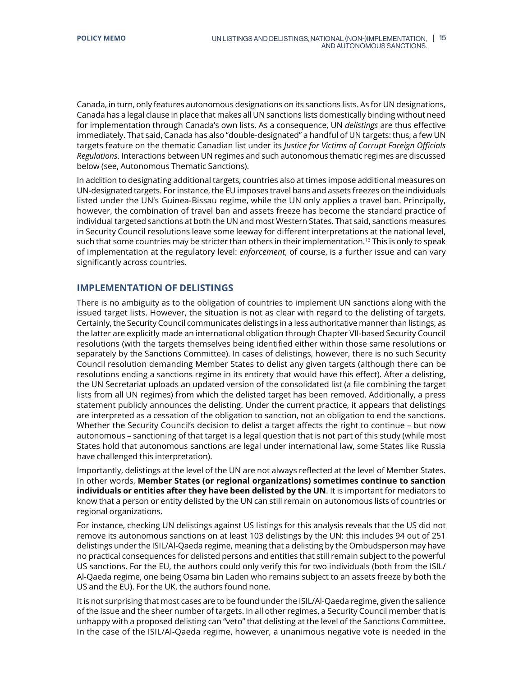<span id="page-14-0"></span>Canada, in turn, only features autonomous designations on its sanctions lists. As for UN designations, Canada has a legal clause in place that makes all UN sanctions lists domestically binding without need for implementation through Canada's own lists. As a consequence, UN *delistings* are thus effective immediately. That said, Canada has also "double-designated" a handful of UN targets: thus, a few UN targets feature on the thematic Canadian list under its *Justice for Victims of Corrupt Foreign Officials Regulations*. Interactions between UN regimes and such autonomous thematic regimes are discussed below (see, Autonomous Thematic Sanctions).

In addition to designating additional targets, countries also at times impose additional measures on UN-designated targets. For instance, the EU imposes travel bans and assets freezes on the individuals listed under the UN's Guinea-Bissau regime, while the UN only applies a travel ban. Principally, however, the combination of travel ban and assets freeze has become the standard practice of individual targeted sanctions at both the UN and most Western States. That said, sanctions measures in Security Council resolutions leave some leeway for different interpretations at the national level, such that some countries may be stricter than others in their implementation.<sup>13</sup> This is only to speak of implementation at the regulatory level: *enforcement*, of course, is a further issue and can vary significantly across countries.

## **IMPLEMENTATION OF DELISTINGS**

There is no ambiguity as to the obligation of countries to implement UN sanctions along with the issued target lists. However, the situation is not as clear with regard to the delisting of targets. Certainly, the Security Council communicates delistings in a less authoritative manner than listings, as the latter are explicitly made an international obligation through Chapter VII-based Security Council resolutions (with the targets themselves being identified either within those same resolutions or separately by the Sanctions Committee). In cases of delistings, however, there is no such Security Council resolution demanding Member States to delist any given targets (although there can be resolutions ending a sanctions regime in its entirety that would have this effect). After a delisting, the UN Secretariat uploads an updated version of the consolidated list (a file combining the target lists from all UN regimes) from which the delisted target has been removed. Additionally, a press statement publicly announces the delisting. Under the current practice, it appears that delistings are interpreted as a cessation of the obligation to sanction, not an obligation to end the sanctions. Whether the Security Council's decision to delist a target affects the right to continue – but now autonomous – sanctioning of that target is a legal question that is not part of this study (while most States hold that autonomous sanctions are legal under international law, some States like Russia have challenged this interpretation).

Importantly, delistings at the level of the UN are not always reflected at the level of Member States. In other words, **Member States (or regional organizations) sometimes continue to sanction individuals or entities after they have been delisted by the UN**. It is important for mediators to know that a person or entity delisted by the UN can still remain on autonomous lists of countries or regional organizations.

For instance, checking UN delistings against US listings for this analysis reveals that the US did not remove its autonomous sanctions on at least 103 delistings by the UN: this includes 94 out of 251 delistings under the ISIL/Al-Qaeda regime, meaning that a delisting by the Ombudsperson may have no practical consequences for delisted persons and entities that still remain subject to the powerful US sanctions. For the EU, the authors could only verify this for two individuals (both from the ISIL/ Al-Qaeda regime, one being Osama bin Laden who remains subject to an assets freeze by both the US and the EU). For the UK, the authors found none.

It is not surprising that most cases are to be found under the ISIL/Al-Qaeda regime, given the salience of the issue and the sheer number of targets. In all other regimes, a Security Council member that is unhappy with a proposed delisting can "veto" that delisting at the level of the Sanctions Committee. In the case of the ISIL/Al-Qaeda regime, however, a unanimous negative vote is needed in the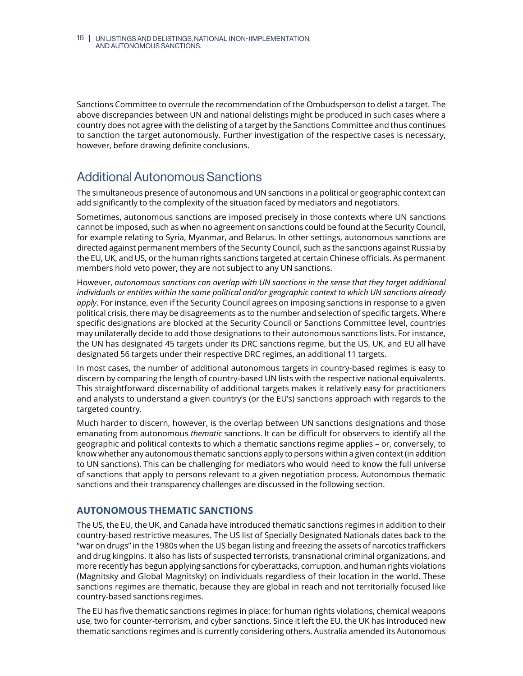<span id="page-15-0"></span>Sanctions Committee to overrule the recommendation of the Ombudsperson to delist a target. The above discrepancies between UN and national delistings might be produced in such cases where a country does not agree with the delisting of a target by the Sanctions Committee and thus continues to sanction the target autonomously. Further investigation of the respective cases is necessary, however, before drawing definite conclusions.

# Additional Autonomous Sanctions

The simultaneous presence of autonomous and UN sanctions in a political or geographic context can add significantly to the complexity of the situation faced by mediators and negotiators.

Sometimes, autonomous sanctions are imposed precisely in those contexts where UN sanctions cannot be imposed, such as when no agreement on sanctions could be found at the Security Council, for example relating to Syria, Myanmar, and Belarus. In other settings, autonomous sanctions are directed against permanent members of the Security Council, such as the sanctions against Russia by the EU, UK, and US, or the human rights sanctions targeted at certain Chinese officials. As permanent members hold veto power, they are not subject to any UN sanctions.

However, *autonomous sanctions can overlap with UN sanctions in the sense that they target additional individuals or entities within the same political and/or geographic context to which UN sanctions already apply*. For instance, even if the Security Council agrees on imposing sanctions in response to a given political crisis, there may be disagreements as to the number and selection of specific targets. Where specific designations are blocked at the Security Council or Sanctions Committee level, countries may unilaterally decide to add those designations to their autonomous sanctions lists. For instance, the UN has designated 45 targets under its DRC sanctions regime, but the US, UK, and EU all have designated 56 targets under their respective DRC regimes, an additional 11 targets.

In most cases, the number of additional autonomous targets in country-based regimes is easy to discern by comparing the length of country-based UN lists with the respective national equivalents. This straightforward discernability of additional targets makes it relatively easy for practitioners and analysts to understand a given country's (or the EU's) sanctions approach with regards to the targeted country.

Much harder to discern, however, is the overlap between UN sanctions designations and those emanating from autonomous *thematic* sanctions. It can be difficult for observers to identify all the geographic and political contexts to which a thematic sanctions regime applies – or, conversely, to know whether any autonomous thematic sanctions apply to persons within a given context (in addition to UN sanctions). This can be challenging for mediators who would need to know the full universe of sanctions that apply to persons relevant to a given negotiation process. Autonomous thematic sanctions and their transparency challenges are discussed in the following section.

## **AUTONOMOUS THEMATIC SANCTIONS**

The US, the EU, the UK, and Canada have introduced thematic sanctions regimes in addition to their country-based restrictive measures. The US list of Specially Designated Nationals dates back to the "war on drugs" in the 1980s when the US began listing and freezing the assets of narcotics traffickers and drug kingpins. It also has lists of suspected terrorists, transnational criminal organizations, and more recently has begun applying sanctions for cyberattacks, corruption, and human rights violations (Magnitsky and Global Magnitsky) on individuals regardless of their location in the world. These sanctions regimes are thematic, because they are global in reach and not territorially focused like country-based sanctions regimes.

The EU has five thematic sanctions regimes in place: for human rights violations, chemical weapons use, two for counter-terrorism, and cyber sanctions. Since it left the EU, the UK has introduced new thematic sanctions regimes and is currently considering others. Australia amended its Autonomous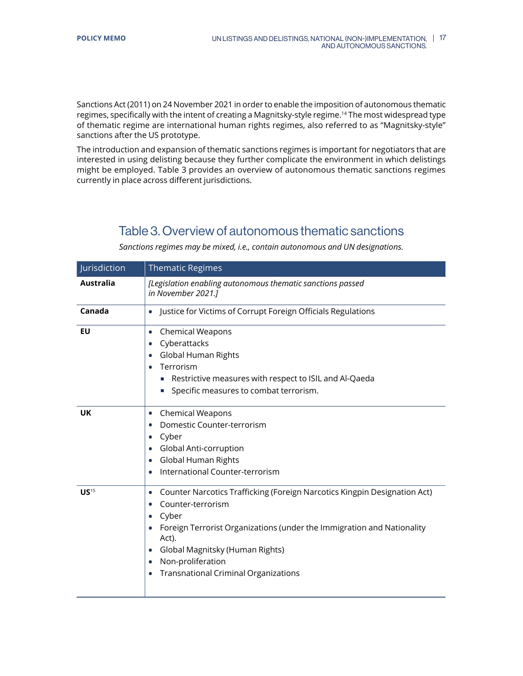<span id="page-16-0"></span>Sanctions Act (2011) on 24 November 2021 in order to enable the imposition of autonomous thematic regimes, specifically with the intent of creating a Magnitsky-style regime.14 The most widespread type of thematic regime are international human rights regimes, also referred to as "Magnitsky-style" sanctions after the US prototype.

The introduction and expansion of thematic sanctions regimes is important for negotiators that are interested in using delisting because they further complicate the environment in which delistings might be employed. Table 3 provides an overview of autonomous thematic sanctions regimes currently in place across different jurisdictions.

## Table 3. Overview of autonomous thematic sanctions

| Jurisdiction     | <b>Thematic Regimes</b>                                                                                                                                                                                                                                                                                                                               |
|------------------|-------------------------------------------------------------------------------------------------------------------------------------------------------------------------------------------------------------------------------------------------------------------------------------------------------------------------------------------------------|
| <b>Australia</b> | [Legislation enabling autonomous thematic sanctions passed<br>in November 2021.]                                                                                                                                                                                                                                                                      |
| Canada           | Justice for Victims of Corrupt Foreign Officials Regulations<br>$\bullet$                                                                                                                                                                                                                                                                             |
| EU               | Chemical Weapons<br>$\bullet$<br>Cyberattacks<br>Global Human Rights<br>Terrorism<br>Restrictive measures with respect to ISIL and Al-Qaeda<br>Specific measures to combat terrorism.<br>×.                                                                                                                                                           |
| <b>UK</b>        | <b>Chemical Weapons</b><br>$\bullet$<br>Domestic Counter-terrorism<br>$\bullet$<br>Cyber<br>Global Anti-corruption<br>Global Human Rights<br>$\bullet$<br>International Counter-terrorism                                                                                                                                                             |
| US <sup>15</sup> | Counter Narcotics Trafficking (Foreign Narcotics Kingpin Designation Act)<br>$\bullet$<br>Counter-terrorism<br>$\bullet$<br>Cyber<br>Foreign Terrorist Organizations (under the Immigration and Nationality<br>Act).<br>Global Magnitsky (Human Rights)<br>$\bullet$<br>Non-proliferation<br>$\bullet$<br><b>Transnational Criminal Organizations</b> |

*Sanctions regimes may be mixed, i.e., contain autonomous and UN designations.*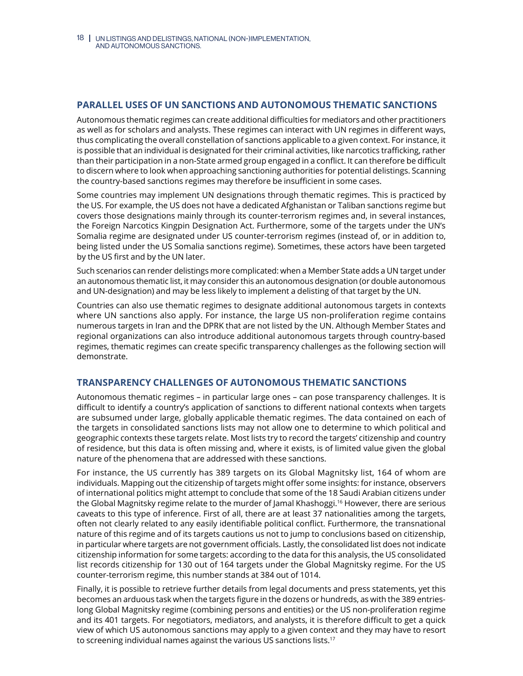## <span id="page-17-0"></span>**PARALLEL USES OF UN SANCTIONS AND AUTONOMOUS THEMATIC SANCTIONS**

Autonomous thematic regimes can create additional difficulties for mediators and other practitioners as well as for scholars and analysts. These regimes can interact with UN regimes in different ways, thus complicating the overall constellation of sanctions applicable to a given context. For instance, it is possible that an individual is designated for their criminal activities, like narcotics trafficking, rather than their participation in a non-State armed group engaged in a conflict. It can therefore be difficult to discern where to look when approaching sanctioning authorities for potential delistings. Scanning the country-based sanctions regimes may therefore be insufficient in some cases.

Some countries may implement UN designations through thematic regimes. This is practiced by the US. For example, the US does not have a dedicated Afghanistan or Taliban sanctions regime but covers those designations mainly through its counter-terrorism regimes and, in several instances, the Foreign Narcotics Kingpin Designation Act. Furthermore, some of the targets under the UN's Somalia regime are designated under US counter-terrorism regimes (instead of, or in addition to, being listed under the US Somalia sanctions regime). Sometimes, these actors have been targeted by the US first and by the UN later.

Such scenarios can render delistings more complicated: when a Member State adds a UN target under an autonomous thematic list, it may consider this an autonomous designation (or double autonomous and UN-designation) and may be less likely to implement a delisting of that target by the UN.

Countries can also use thematic regimes to designate additional autonomous targets in contexts where UN sanctions also apply. For instance, the large US non-proliferation regime contains numerous targets in Iran and the DPRK that are not listed by the UN. Although Member States and regional organizations can also introduce additional autonomous targets through country-based regimes, thematic regimes can create specific transparency challenges as the following section will demonstrate.

## **TRANSPARENCY CHALLENGES OF AUTONOMOUS THEMATIC SANCTIONS**

Autonomous thematic regimes – in particular large ones – can pose transparency challenges. It is difficult to identify a country's application of sanctions to different national contexts when targets are subsumed under large, globally applicable thematic regimes. The data contained on each of the targets in consolidated sanctions lists may not allow one to determine to which political and geographic contexts these targets relate. Most lists try to record the targets' citizenship and country of residence, but this data is often missing and, where it exists, is of limited value given the global nature of the phenomena that are addressed with these sanctions.

For instance, the US currently has 389 targets on its Global Magnitsky list, 164 of whom are individuals. Mapping out the citizenship of targets might offer some insights: for instance, observers of international politics might attempt to conclude that some of the 18 Saudi Arabian citizens under the Global Magnitsky regime relate to the murder of Jamal Khashoggi.<sup>16</sup> However, there are serious caveats to this type of inference. First of all, there are at least 37 nationalities among the targets, often not clearly related to any easily identifiable political conflict. Furthermore, the transnational nature of this regime and of its targets cautions us not to jump to conclusions based on citizenship, in particular where targets are not government officials. Lastly, the consolidated list does not indicate citizenship information for some targets: according to the data for this analysis, the US consolidated list records citizenship for 130 out of 164 targets under the Global Magnitsky regime. For the US counter-terrorism regime, this number stands at 384 out of 1014.

Finally, it is possible to retrieve further details from legal documents and press statements, yet this becomes an arduous task when the targets figure in the dozens or hundreds, as with the 389 entrieslong Global Magnitsky regime (combining persons and entities) or the US non-proliferation regime and its 401 targets. For negotiators, mediators, and analysts, it is therefore difficult to get a quick view of which US autonomous sanctions may apply to a given context and they may have to resort to screening individual names against the various US sanctions lists.<sup>17</sup>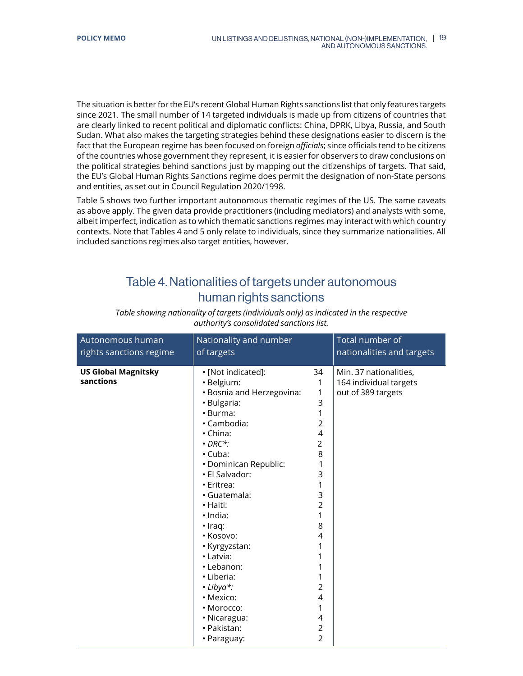<span id="page-18-0"></span>The situation is better for the EU's recent Global Human Rights sanctions list that only features targets since 2021. The small number of 14 targeted individuals is made up from citizens of countries that are clearly linked to recent political and diplomatic conflicts: China, DPRK, Libya, Russia, and South Sudan. What also makes the targeting strategies behind these designations easier to discern is the fact that the European regime has been focused on foreign *officials*; since officials tend to be citizens of the countries whose government they represent, it is easier for observers to draw conclusions on the political strategies behind sanctions just by mapping out the citizenships of targets. That said, the EU's Global Human Rights Sanctions regime does permit the designation of non-State persons and entities, as set out in Council Regulation 2020/1998.

Table 5 shows two further important autonomous thematic regimes of the US. The same caveats as above apply. The given data provide practitioners (including mediators) and analysts with some, albeit imperfect, indication as to which thematic sanctions regimes may interact with which country contexts. Note that Tables 4 and 5 only relate to individuals, since they summarize nationalities. All included sanctions regimes also target entities, however.

## Table 4. Nationalities of targets under autonomous human rights sanctions

| Autonomous human                        | Nationality and number                                                                                                                                                                                                                                                                                                                                                                                                                           |                                                                                                                                                              | Total number of                                                        |
|-----------------------------------------|--------------------------------------------------------------------------------------------------------------------------------------------------------------------------------------------------------------------------------------------------------------------------------------------------------------------------------------------------------------------------------------------------------------------------------------------------|--------------------------------------------------------------------------------------------------------------------------------------------------------------|------------------------------------------------------------------------|
| rights sanctions regime                 | of targets                                                                                                                                                                                                                                                                                                                                                                                                                                       |                                                                                                                                                              | nationalities and targets                                              |
| <b>US Global Magnitsky</b><br>sanctions | • [Not indicated]:<br>· Belgium:<br>• Bosnia and Herzegovina:<br>· Bulgaria:<br>· Burma:<br>· Cambodia:<br>$\cdot$ China:<br>$\cdot$ DRC*:<br>$\cdot$ Cuba:<br>· Dominican Republic:<br>· El Salvador:<br>· Eritrea:<br>· Guatemala:<br>· Haiti:<br>· India:<br>$\cdot$ Iraq:<br>· Kosovo:<br>• Kyrgyzstan:<br>· Latvia:<br>· Lebanon:<br>· Liberia:<br>$\cdot$ Libya*:<br>• Mexico:<br>• Morocco:<br>· Nicaragua:<br>· Pakistan:<br>• Paraguay: | 34<br>1<br>1<br>3<br>1<br>2<br>4<br>2<br>8<br>1<br>3<br>1<br>3<br>$\overline{2}$<br>1<br>8<br>4<br>1<br>2<br>4<br>1<br>4<br>$\overline{2}$<br>$\overline{2}$ | Min. 37 nationalities,<br>164 individual targets<br>out of 389 targets |

*Table showing nationality of targets (individuals only) as indicated in the respective authority's consolidated sanctions list.*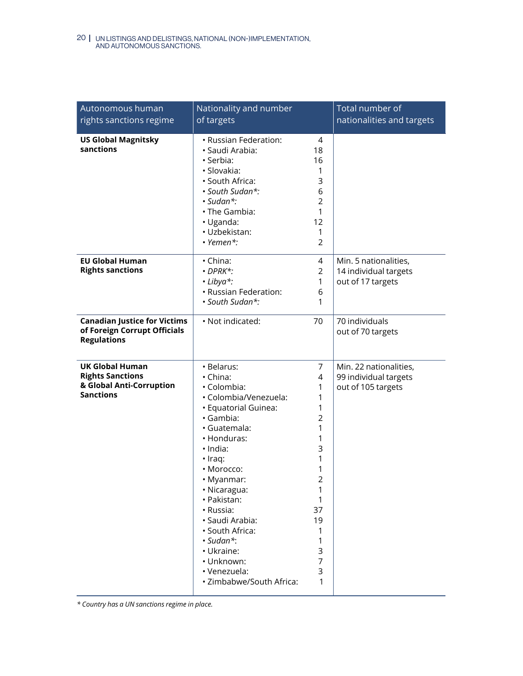| Autonomous human<br>rights sanctions regime                                                       | Nationality and number<br>of targets                                                                                                                                                                                                                                                                                                                               |                                                                                                                          | Total number of<br>nationalities and targets                          |
|---------------------------------------------------------------------------------------------------|--------------------------------------------------------------------------------------------------------------------------------------------------------------------------------------------------------------------------------------------------------------------------------------------------------------------------------------------------------------------|--------------------------------------------------------------------------------------------------------------------------|-----------------------------------------------------------------------|
| <b>US Global Magnitsky</b><br>sanctions                                                           | • Russian Federation:<br>· Saudi Arabia:<br>· Serbia:<br>· Slovakia:<br>· South Africa:<br>· South Sudan*:<br>· Sudan*:<br>· The Gambia:<br>· Uganda:<br>· Uzbekistan:<br>$\cdot$ Yemen*:                                                                                                                                                                          | 4<br>18<br>16<br>1<br>3<br>6<br>$\overline{2}$<br>1<br>12<br>1<br>$\overline{2}$                                         |                                                                       |
| <b>EU Global Human</b><br><b>Rights sanctions</b>                                                 | • China:<br>$\cdot$ DPRK*:<br>· Libya*:<br>• Russian Federation:<br>· South Sudan*:                                                                                                                                                                                                                                                                                | 4<br>$\overline{2}$<br>1<br>6<br>1                                                                                       | Min. 5 nationalities,<br>14 individual targets<br>out of 17 targets   |
| <b>Canadian Justice for Victims</b><br>of Foreign Corrupt Officials<br><b>Regulations</b>         | · Not indicated:                                                                                                                                                                                                                                                                                                                                                   | 70                                                                                                                       | 70 individuals<br>out of 70 targets                                   |
| <b>UK Global Human</b><br><b>Rights Sanctions</b><br>& Global Anti-Corruption<br><b>Sanctions</b> | · Belarus:<br>· China:<br>• Colombia:<br>· Colombia/Venezuela:<br>· Equatorial Guinea:<br>· Gambia:<br>· Guatemala:<br>• Honduras:<br>· India:<br>$\cdot$ Iraq:<br>· Morocco:<br>• Myanmar:<br>• Nicaragua:<br>· Pakistan:<br>• Russia:<br>· Saudi Arabia:<br>· South Africa:<br>· Sudan*:<br>· Ukraine:<br>· Unknown:<br>· Venezuela:<br>· Zimbabwe/South Africa: | 7<br>4<br>1<br>1<br>1<br>2<br>1<br>1<br>3<br>1<br>1<br>$\mathcal{P}$<br>1<br>1<br>37<br>19<br>1<br>1<br>3<br>7<br>3<br>1 | Min. 22 nationalities,<br>99 individual targets<br>out of 105 targets |

*\* Country has a UN sanctions regime in place.*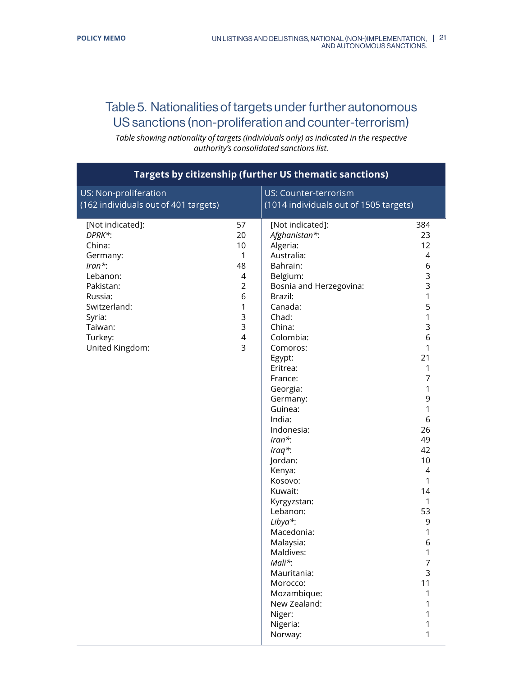# <span id="page-20-0"></span>Table 5. Nationalities of targets under further autonomous US sanctions (non-proliferation and counter-terrorism)

*Table showing nationality of targets (individuals only) as indicated in the respective authority's consolidated sanctions list.*

| <b>Targets by citizenship (further US thematic sanctions)</b>                                                                                                        |                                                                                                                                |                                                                                                                                                                                                                                                                                                                                                                                                                                                                                                                             |                                                                                                                                                                                                                           |
|----------------------------------------------------------------------------------------------------------------------------------------------------------------------|--------------------------------------------------------------------------------------------------------------------------------|-----------------------------------------------------------------------------------------------------------------------------------------------------------------------------------------------------------------------------------------------------------------------------------------------------------------------------------------------------------------------------------------------------------------------------------------------------------------------------------------------------------------------------|---------------------------------------------------------------------------------------------------------------------------------------------------------------------------------------------------------------------------|
| US: Non-proliferation<br>(162 individuals out of 401 targets)                                                                                                        |                                                                                                                                | US: Counter-terrorism<br>(1014 individuals out of 1505 targets)                                                                                                                                                                                                                                                                                                                                                                                                                                                             |                                                                                                                                                                                                                           |
| [Not indicated]:<br>DPRK*:<br>China:<br>Germany:<br>$Iran*$ :<br>Lebanon:<br>Pakistan:<br>Russia:<br>Switzerland:<br>Syria:<br>Taiwan:<br>Turkey:<br>United Kingdom: | 57<br>20<br>10<br>$\mathbf{1}$<br>48<br>$\overline{4}$<br>$\overline{2}$<br>6<br>$\mathbf{1}$<br>3<br>3<br>$\overline{4}$<br>3 | [Not indicated]:<br>Afghanistan*:<br>Algeria:<br>Australia:<br>Bahrain:<br>Belgium:<br>Bosnia and Herzegovina:<br>Brazil:<br>Canada:<br>Chad:<br>China:<br>Colombia:<br>Comoros:<br>Egypt:<br>Eritrea:<br>France:<br>Georgia:<br>Germany:<br>Guinea:<br>India:<br>Indonesia:<br>$Iran^*$ :<br>$Iraq^*$ :<br>Jordan:<br>Kenya:<br>Kosovo:<br>Kuwait:<br>Kyrgyzstan:<br>Lebanon:<br>Libya*:<br>Macedonia:<br>Malaysia:<br>Maldives:<br>Mali*:<br>Mauritania:<br>Morocco:<br>Mozambique:<br>New Zealand:<br>Niger:<br>Nigeria: | 384<br>23<br>12<br>4<br>6<br>3<br>3<br>1<br>5<br>$\mathbf{1}$<br>3<br>6<br>1<br>21<br>1<br>7<br>1<br>9<br>1<br>6<br>26<br>49<br>42<br>10<br>4<br>1<br>14<br>1<br>53<br>9<br>1<br>6<br>1<br>$\overline{7}$<br>3<br>11<br>1 |
|                                                                                                                                                                      |                                                                                                                                | Norway:                                                                                                                                                                                                                                                                                                                                                                                                                                                                                                                     |                                                                                                                                                                                                                           |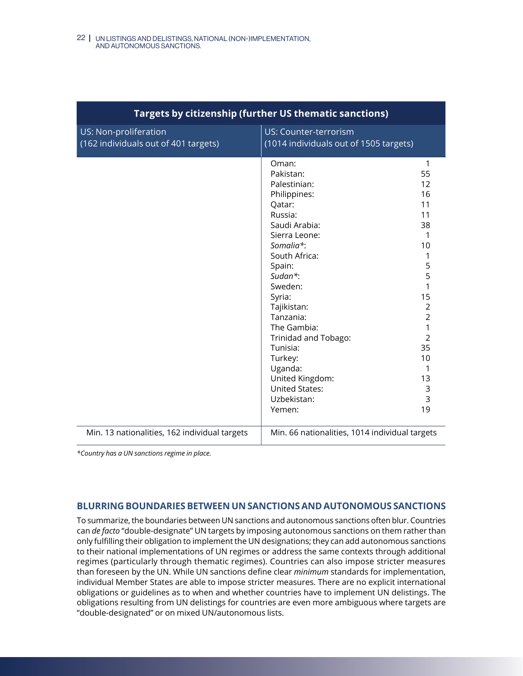<span id="page-21-0"></span>

| Targets by citizenship (further US thematic sanctions)        |                                                                                                                                                                                                                                                                                                                                                             |                                                                                                                                                                                         |
|---------------------------------------------------------------|-------------------------------------------------------------------------------------------------------------------------------------------------------------------------------------------------------------------------------------------------------------------------------------------------------------------------------------------------------------|-----------------------------------------------------------------------------------------------------------------------------------------------------------------------------------------|
| US: Non-proliferation<br>(162 individuals out of 401 targets) | US: Counter-terrorism<br>(1014 individuals out of 1505 targets)                                                                                                                                                                                                                                                                                             |                                                                                                                                                                                         |
|                                                               | Oman:<br>Pakistan:<br>Palestinian:<br>Philippines:<br>Qatar:<br>Russia:<br>Saudi Arabia:<br>Sierra Leone:<br>Somalia*:<br>South Africa:<br>Spain:<br>Sudan*:<br>Sweden:<br>Syria:<br>Tajikistan:<br>Tanzania:<br>The Gambia:<br>Trinidad and Tobago:<br>Tunisia:<br>Turkey:<br>Uganda:<br>United Kingdom:<br><b>United States:</b><br>Uzbekistan:<br>Yemen: | $\mathbf{1}$<br>55<br>12<br>16<br>11<br>11<br>38<br>1<br>10<br>1<br>5<br>5<br>1<br>15<br>$\overline{2}$<br>$\overline{2}$<br>1<br>$\overline{2}$<br>35<br>10<br>1<br>13<br>3<br>3<br>19 |
| Min. 13 nationalities, 162 individual targets                 | Min. 66 nationalities, 1014 individual targets                                                                                                                                                                                                                                                                                                              |                                                                                                                                                                                         |

*\*Country has a UN sanctions regime in place.*

## **BLURRING BOUNDARIES BETWEEN UN SANCTIONS AND AUTONOMOUS SANCTIONS**

To summarize, the boundaries between UN sanctions and autonomous sanctions often blur. Countries can *de facto* "double-designate" UN targets by imposing autonomous sanctions on them rather than only fulfilling their obligation to implement the UN designations; they can add autonomous sanctions to their national implementations of UN regimes or address the same contexts through additional regimes (particularly through thematic regimes). Countries can also impose stricter measures than foreseen by the UN. While UN sanctions define clear *minimum* standards for implementation, individual Member States are able to impose stricter measures. There are no explicit international obligations or guidelines as to when and whether countries have to implement UN delistings. The obligations resulting from UN delistings for countries are even more ambiguous where targets are "double-designated" or on mixed UN/autonomous lists.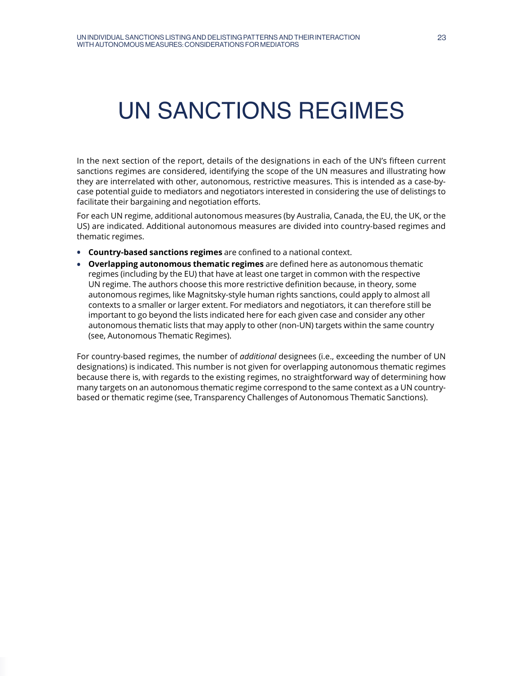# <span id="page-22-0"></span>UN SANCTIONS REGIMES

In the next section of the report, details of the designations in each of the UN's fifteen current sanctions regimes are considered, identifying the scope of the UN measures and illustrating how they are interrelated with other, autonomous, restrictive measures. This is intended as a case-bycase potential guide to mediators and negotiators interested in considering the use of delistings to facilitate their bargaining and negotiation efforts.

For each UN regime, additional autonomous measures (by Australia, Canada, the EU, the UK, or the US) are indicated. Additional autonomous measures are divided into country-based regimes and thematic regimes.

- **• Country-based sanctions regimes** are confined to a national context.
- **• Overlapping autonomous thematic regimes** are defined here as autonomous thematic regimes (including by the EU) that have at least one target in common with the respective UN regime. The authors choose this more restrictive definition because, in theory, some autonomous regimes, like Magnitsky-style human rights sanctions, could apply to almost all contexts to a smaller or larger extent. For mediators and negotiators, it can therefore still be important to go beyond the lists indicated here for each given case and consider any other autonomous thematic lists that may apply to other (non-UN) targets within the same country (see, Autonomous Thematic Regimes).

For country-based regimes, the number of *additional* designees (i.e., exceeding the number of UN designations) is indicated. This number is not given for overlapping autonomous thematic regimes because there is, with regards to the existing regimes, no straightforward way of determining how many targets on an autonomous thematic regime correspond to the same context as a UN countrybased or thematic regime (see, Transparency Challenges of Autonomous Thematic Sanctions).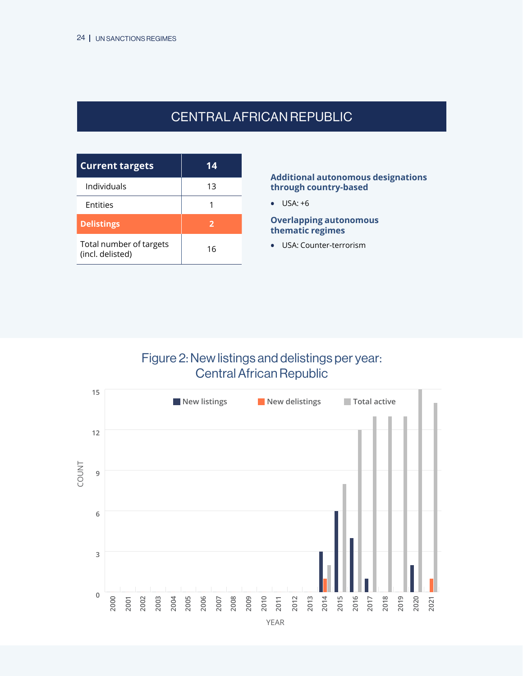# CENTRAL AFRICANREPUBLIC

<span id="page-23-0"></span>

| <b>Current targets</b>                      | 14 |
|---------------------------------------------|----|
| Individuals                                 | 13 |
| <b>Entities</b>                             |    |
| <b>Delistings</b>                           | 2  |
| Total number of targets<br>(incl. delisted) | 16 |

## **Additional autonomous designations through country-based**

**•** USA: +6

**Overlapping autonomous thematic regimes**

**•** USA: Counter-terrorism

## Figure 2: New listings and delistings per year: Central African Republic

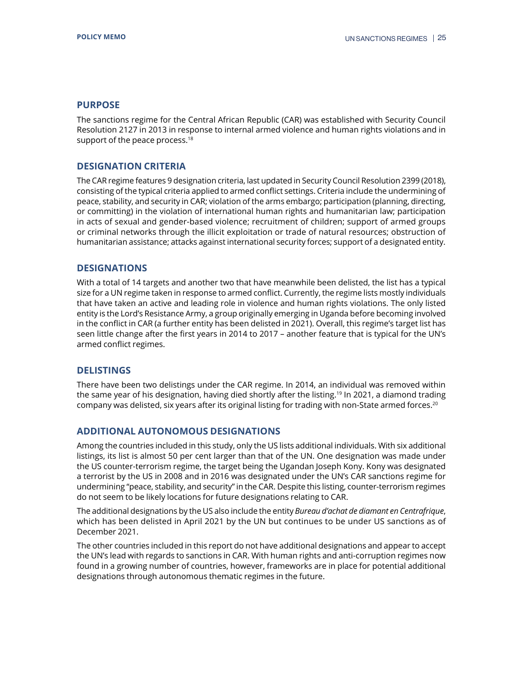The sanctions regime for the Central African Republic (CAR) was established with Security Council Resolution 2127 in 2013 in response to internal armed violence and human rights violations and in support of the peace process.<sup>18</sup>

## **DESIGNATION CRITERIA**

The CAR regime features 9 designation criteria, last updated in Security Council Resolution 2399 (2018), consisting of the typical criteria applied to armed conflict settings. Criteria include the undermining of peace, stability, and security in CAR; violation of the arms embargo; participation (planning, directing, or committing) in the violation of international human rights and humanitarian law; participation in acts of sexual and gender-based violence; recruitment of children; support of armed groups or criminal networks through the illicit exploitation or trade of natural resources; obstruction of humanitarian assistance; attacks against international security forces; support of a designated entity.

## **DESIGNATIONS**

With a total of 14 targets and another two that have meanwhile been delisted, the list has a typical size for a UN regime taken in response to armed conflict. Currently, the regime lists mostly individuals that have taken an active and leading role in violence and human rights violations. The only listed entity is the Lord's Resistance Army, a group originally emerging in Uganda before becoming involved in the conflict in CAR (a further entity has been delisted in 2021). Overall, this regime's target list has seen little change after the first years in 2014 to 2017 – another feature that is typical for the UN's armed conflict regimes.

## **DELISTINGS**

There have been two delistings under the CAR regime. In 2014, an individual was removed within the same year of his designation, having died shortly after the listing.<sup>19</sup> In 2021, a diamond trading company was delisted, six years after its original listing for trading with non-State armed forces.20

## **ADDITIONAL AUTONOMOUS DESIGNATIONS**

Among the countries included in this study, only the US lists additional individuals. With six additional listings, its list is almost 50 per cent larger than that of the UN. One designation was made under the US counter-terrorism regime, the target being the Ugandan Joseph Kony. Kony was designated a terrorist by the US in 2008 and in 2016 was designated under the UN's CAR sanctions regime for undermining "peace, stability, and security" in the CAR. Despite this listing, counter-terrorism regimes do not seem to be likely locations for future designations relating to CAR.

The additional designations by the US also include the entity *Bureau d'achat de diamant en Centrafrique*, which has been delisted in April 2021 by the UN but continues to be under US sanctions as of December 2021.

The other countries included in this report do not have additional designations and appear to accept the UN's lead with regards to sanctions in CAR. With human rights and anti-corruption regimes now found in a growing number of countries, however, frameworks are in place for potential additional designations through autonomous thematic regimes in the future.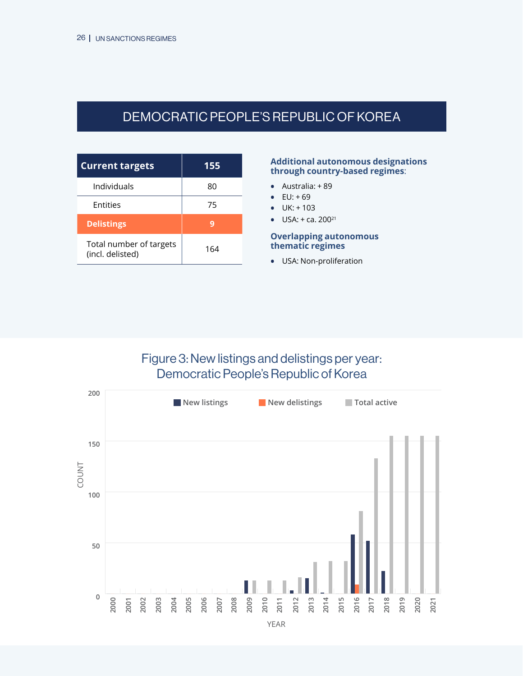# <span id="page-25-0"></span>DEMOCRATIC PEOPLE'S REPUBLIC OF KOREA

| <b>Current targets</b>                      | 155 |
|---------------------------------------------|-----|
| Individuals                                 | 80  |
| <b>Entities</b>                             | 75  |
| <b>Delistings</b>                           |     |
| Total number of targets<br>(incl. delisted) | 164 |

#### **Additional autonomous designations through country-based regimes**:

- **•** Australia: + 89
- **EU:**  $+69$
- **•** UK: + 103
- **•** USA: + ca. 20021

## **Overlapping autonomous thematic regimes**

**•** USA: Non-proliferation

## Figure 3: New listings and delistings per year: Democratic People's Republic of Korea

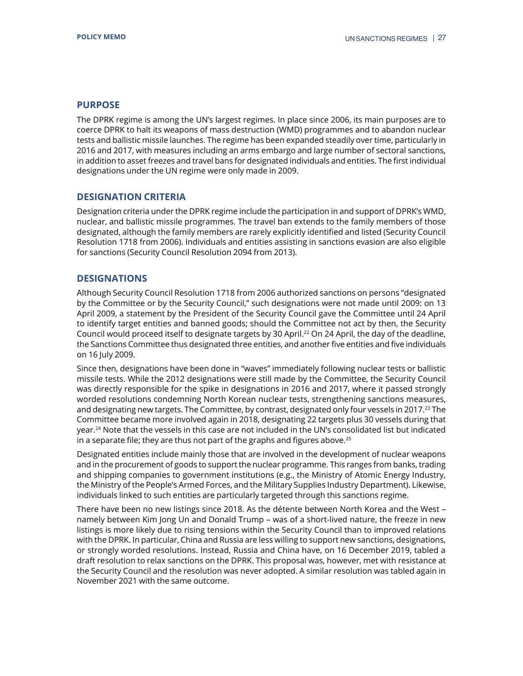The DPRK regime is among the UN's largest regimes. In place since 2006, its main purposes are to coerce DPRK to halt its weapons of mass destruction (WMD) programmes and to abandon nuclear tests and ballistic missile launches. The regime has been expanded steadily over time, particularly in 2016 and 2017, with measures including an arms embargo and large number of sectoral sanctions, in addition to asset freezes and travel bans for designated individuals and entities. The first individual designations under the UN regime were only made in 2009.

## **DESIGNATION CRITERIA**

Designation criteria under the DPRK regime include the participation in and support of DPRK's WMD, nuclear, and ballistic missile programmes. The travel ban extends to the family members of those designated, although the family members are rarely explicitly identified and listed (Security Council Resolution 1718 from 2006). Individuals and entities assisting in sanctions evasion are also eligible for sanctions (Security Council Resolution 2094 from 2013).

## **DESIGNATIONS**

Although Security Council Resolution 1718 from 2006 authorized sanctions on persons "designated by the Committee or by the Security Council," such designations were not made until 2009: on 13 April 2009, a statement by the President of the Security Council gave the Committee until 24 April to identify target entities and banned goods; should the Committee not act by then, the Security Council would proceed itself to designate targets by 30 April.<sup>22</sup> On 24 April, the day of the deadline, the Sanctions Committee thus designated three entities, and another five entities and five individuals on 16 July 2009.

Since then, designations have been done in "waves" immediately following nuclear tests or ballistic missile tests. While the 2012 designations were still made by the Committee, the Security Council was directly responsible for the spike in designations in 2016 and 2017, where it passed strongly worded resolutions condemning North Korean nuclear tests, strengthening sanctions measures, and designating new targets. The Committee, by contrast, designated only four vessels in 2017.<sup>23</sup> The Committee became more involved again in 2018, designating 22 targets plus 30 vessels during that year.24 Note that the vessels in this case are not included in the UN's consolidated list but indicated in a separate file; they are thus not part of the graphs and figures above. $25$ 

Designated entities include mainly those that are involved in the development of nuclear weapons and in the procurement of goods to support the nuclear programme. This ranges from banks, trading and shipping companies to government institutions (e.g., the Ministry of Atomic Energy Industry, the Ministry of the People's Armed Forces, and the Military Supplies Industry Department). Likewise, individuals linked to such entities are particularly targeted through this sanctions regime.

There have been no new listings since 2018. As the détente between North Korea and the West – namely between Kim Jong Un and Donald Trump – was of a short-lived nature, the freeze in new listings is more likely due to rising tensions within the Security Council than to improved relations with the DPRK. In particular, China and Russia are less willing to support new sanctions, designations, or strongly worded resolutions. Instead, Russia and China have, on 16 December 2019, tabled a draft resolution to relax sanctions on the DPRK. This proposal was, however, met with resistance at the Security Council and the resolution was never adopted. A similar resolution was tabled again in November 2021 with the same outcome.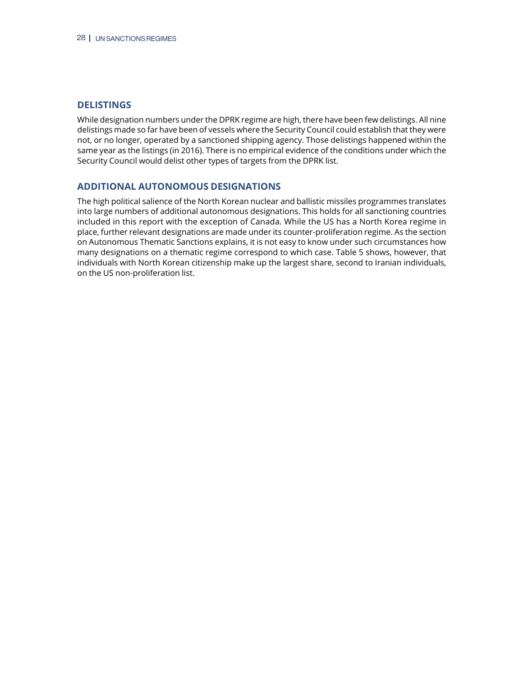## **DELISTINGS**

While designation numbers under the DPRK regime are high, there have been few delistings. All nine delistings made so far have been of vessels where the Security Council could establish that they were not, or no longer, operated by a sanctioned shipping agency. Those delistings happened within the same year as the listings (in 2016). There is no empirical evidence of the conditions under which the Security Council would delist other types of targets from the DPRK list.

## **ADDITIONAL AUTONOMOUS DESIGNATIONS**

The high political salience of the North Korean nuclear and ballistic missiles programmes translates into large numbers of additional autonomous designations. This holds for all sanctioning countries included in this report with the exception of Canada. While the US has a North Korea regime in place, further relevant designations are made under its counter-proliferation regime. As the section on Autonomous Thematic Sanctions explains, it is not easy to know under such circumstances how many designations on a thematic regime correspond to which case. Table 5 shows, however, that individuals with North Korean citizenship make up the largest share, second to Iranian individuals, on the US non-proliferation list.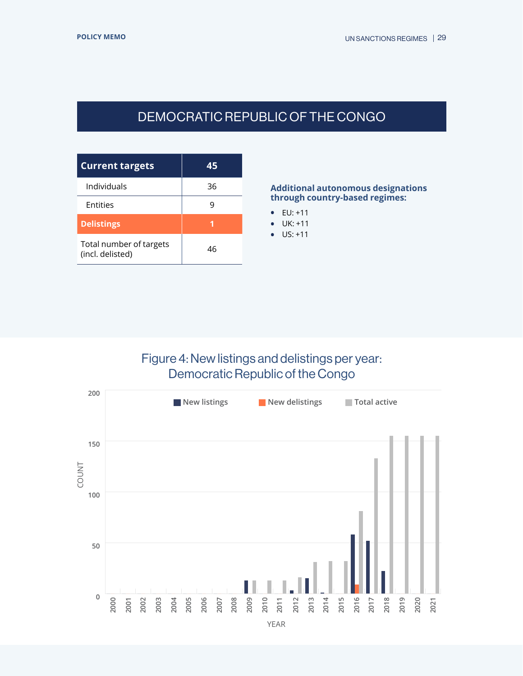# DEMOCRATIC REPUBLIC OF THE CONGO

<span id="page-28-0"></span>

| <b>Current targets</b>                      | 45 |
|---------------------------------------------|----|
| Individuals                                 | 36 |
| Entities                                    |    |
| <b>Delistings</b>                           |    |
| Total number of targets<br>(incl. delisted) | 46 |

## **Additional autonomous designations through country-based regimes:**

- **•** EU: +11
- **•** UK: +11
- **•** US: +11

# Figure 4: New listings and delistings per year: Democratic Republic of the Congo

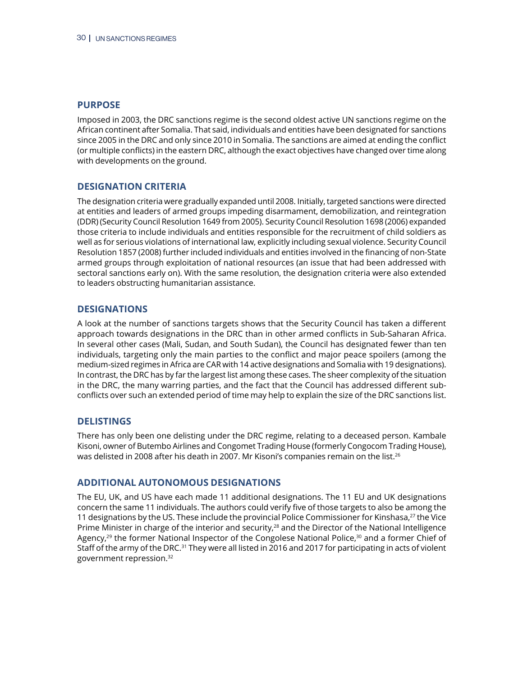Imposed in 2003, the DRC sanctions regime is the second oldest active UN sanctions regime on the African continent after Somalia. That said, individuals and entities have been designated for sanctions since 2005 in the DRC and only since 2010 in Somalia. The sanctions are aimed at ending the conflict (or multiple conflicts) in the eastern DRC, although the exact objectives have changed over time along with developments on the ground.

## **DESIGNATION CRITERIA**

The designation criteria were gradually expanded until 2008. Initially, targeted sanctions were directed at entities and leaders of armed groups impeding disarmament, demobilization, and reintegration (DDR) (Security Council Resolution 1649 from 2005). Security Council Resolution 1698 (2006) expanded those criteria to include individuals and entities responsible for the recruitment of child soldiers as well as for serious violations of international law, explicitly including sexual violence. Security Council Resolution 1857 (2008) further included individuals and entities involved in the financing of non-State armed groups through exploitation of national resources (an issue that had been addressed with sectoral sanctions early on). With the same resolution, the designation criteria were also extended to leaders obstructing humanitarian assistance.

## **DESIGNATIONS**

A look at the number of sanctions targets shows that the Security Council has taken a different approach towards designations in the DRC than in other armed conflicts in Sub-Saharan Africa. In several other cases (Mali, Sudan, and South Sudan), the Council has designated fewer than ten individuals, targeting only the main parties to the conflict and major peace spoilers (among the medium-sized regimes in Africa are CAR with 14 active designations and Somalia with 19 designations). In contrast, the DRC has by far the largest list among these cases. The sheer complexity of the situation in the DRC, the many warring parties, and the fact that the Council has addressed different subconflicts over such an extended period of time may help to explain the size of the DRC sanctions list.

## **DELISTINGS**

There has only been one delisting under the DRC regime, relating to a deceased person. Kambale Kisoni, owner of Butembo Airlines and Congomet Trading House (formerly Congocom Trading House), was delisted in 2008 after his death in 2007. Mr Kisoni's companies remain on the list.<sup>26</sup>

## **ADDITIONAL AUTONOMOUS DESIGNATIONS**

The EU, UK, and US have each made 11 additional designations. The 11 EU and UK designations concern the same 11 individuals. The authors could verify five of those targets to also be among the 11 designations by the US. These include the provincial Police Commissioner for Kinshasa, $27$  the Vice Prime Minister in charge of the interior and security,<sup>28</sup> and the Director of the National Intelligence Agency,<sup>29</sup> the former National Inspector of the Congolese National Police,<sup>30</sup> and a former Chief of Staff of the army of the DRC.31 They were all listed in 2016 and 2017 for participating in acts of violent government repression.32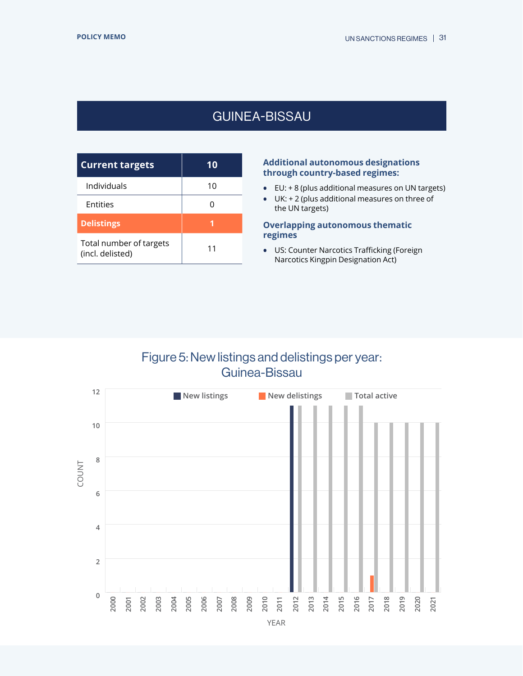# GUINEA-BISSAU

<span id="page-30-0"></span>

| <b>Current targets</b>                      | 10 |
|---------------------------------------------|----|
| Individuals                                 | 10 |
| Entities                                    | 0  |
| <b>Delistings</b>                           |    |
| Total number of targets<br>(incl. delisted) | 11 |

## **Additional autonomous designations through country-based regimes:**

- **•** EU: + 8 (plus additional measures on UN targets)
- **•** UK: + 2 (plus additional measures on three of the UN targets)

## **Overlapping autonomous thematic regimes**

**•** US: Counter Narcotics Trafficking (Foreign Narcotics Kingpin Designation Act)

## Figure 5: New listings and delistings per year: Guinea-Bissau

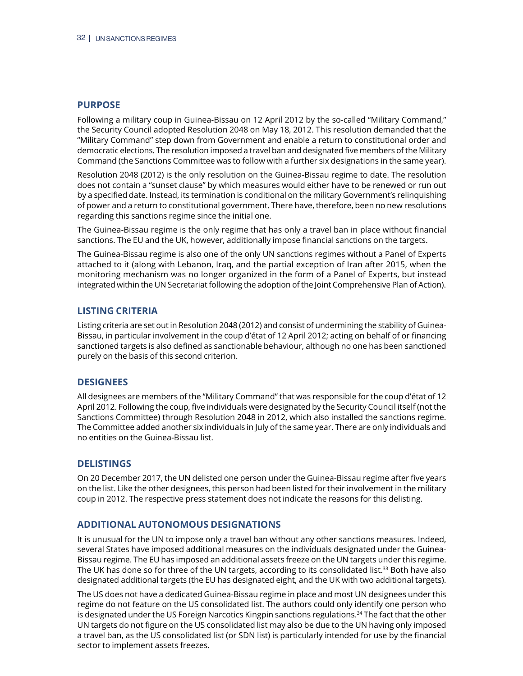Following a military coup in Guinea-Bissau on 12 April 2012 by the so-called "Military Command," the Security Council adopted Resolution 2048 on May 18, 2012. This resolution demanded that the "Military Command" step down from Government and enable a return to constitutional order and democratic elections. The resolution imposed a travel ban and designated five members of the Military Command (the Sanctions Committee was to follow with a further six designations in the same year).

Resolution 2048 (2012) is the only resolution on the Guinea-Bissau regime to date. The resolution does not contain a "sunset clause" by which measures would either have to be renewed or run out by a specified date. Instead, its termination is conditional on the military Government's relinquishing of power and a return to constitutional government. There have, therefore, been no new resolutions regarding this sanctions regime since the initial one.

The Guinea-Bissau regime is the only regime that has only a travel ban in place without financial sanctions. The EU and the UK, however, additionally impose financial sanctions on the targets.

The Guinea-Bissau regime is also one of the only UN sanctions regimes without a Panel of Experts attached to it (along with Lebanon, Iraq, and the partial exception of Iran after 2015, when the monitoring mechanism was no longer organized in the form of a Panel of Experts, but instead integrated within the UN Secretariat following the adoption of the Joint Comprehensive Plan of Action).

## **LISTING CRITERIA**

Listing criteria are set out in Resolution 2048 (2012) and consist of undermining the stability of Guinea-Bissau, in particular involvement in the coup d'état of 12 April 2012; acting on behalf of or financing sanctioned targets is also defined as sanctionable behaviour, although no one has been sanctioned purely on the basis of this second criterion.

## **DESIGNEES**

All designees are members of the "Military Command" that was responsible for the coup d'état of 12 April 2012. Following the coup, five individuals were designated by the Security Council itself (not the Sanctions Committee) through Resolution 2048 in 2012, which also installed the sanctions regime. The Committee added another six individuals in July of the same year. There are only individuals and no entities on the Guinea-Bissau list.

## **DELISTINGS**

On 20 December 2017, the UN delisted one person under the Guinea-Bissau regime after five years on the list. Like the other designees, this person had been listed for their involvement in the military coup in 2012. The respective press statement does not indicate the reasons for this delisting.

## **ADDITIONAL AUTONOMOUS DESIGNATIONS**

It is unusual for the UN to impose only a travel ban without any other sanctions measures. Indeed, several States have imposed additional measures on the individuals designated under the Guinea-Bissau regime. The EU has imposed an additional assets freeze on the UN targets under this regime. The UK has done so for three of the UN targets, according to its consolidated list.<sup>33</sup> Both have also designated additional targets (the EU has designated eight, and the UK with two additional targets).

The US does not have a dedicated Guinea-Bissau regime in place and most UN designees under this regime do not feature on the US consolidated list. The authors could only identify one person who is designated under the US Foreign Narcotics Kingpin sanctions regulations.<sup>34</sup> The fact that the other UN targets do not figure on the US consolidated list may also be due to the UN having only imposed a travel ban, as the US consolidated list (or SDN list) is particularly intended for use by the financial sector to implement assets freezes.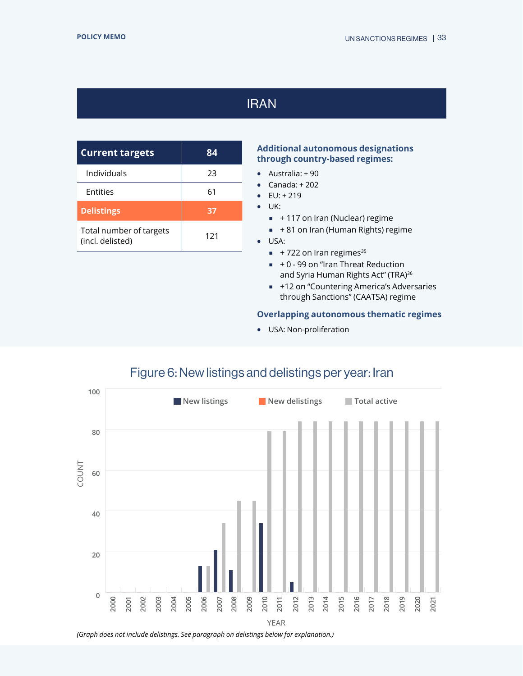# IRAN

<span id="page-32-0"></span>

| <b>Current targets</b>                      | 84  |
|---------------------------------------------|-----|
| Individuals                                 | フ3  |
| Entities                                    | 61  |
| <b>Delistings</b>                           | 37  |
| Total number of targets<br>(incl. delisted) | 121 |

## **Additional autonomous designations through country-based regimes:**

- **•** Australia: + 90
- **•** Canada: + 202
- **•** EU: + 219
- **•** UK:
	- +117 on Iran (Nuclear) regime
	- $+ 81$  on Iran (Human Rights) regime
- **•** USA:
	- $+ 722$  on Iran regimes<sup>35</sup>
	- $+ 0 99$  on "Iran Threat Reduction and Syria Human Rights Act" (TRA)<sup>36</sup>
	- +12 on "Countering America's Adversaries through Sanctions" (CAATSA) regime

## **Overlapping autonomous thematic regimes**

**•** USA: Non-proliferation



## Figure 6: New listings and delistings per year: Iran

*<sup>(</sup>Graph does not include delistings. See paragraph on delistings below for explanation.)*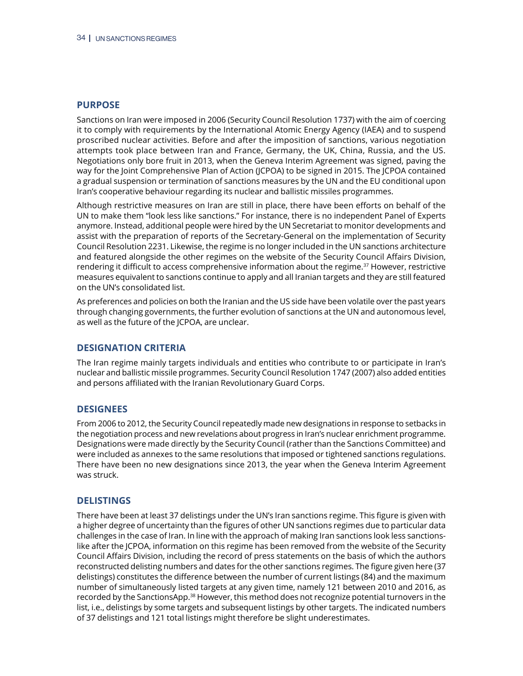Sanctions on Iran were imposed in 2006 (Security Council Resolution 1737) with the aim of coercing it to comply with requirements by the International Atomic Energy Agency (IAEA) and to suspend proscribed nuclear activities. Before and after the imposition of sanctions, various negotiation attempts took place between Iran and France, Germany, the UK, China, Russia, and the US. Negotiations only bore fruit in 2013, when the Geneva Interim Agreement was signed, paving the way for the Joint Comprehensive Plan of Action (JCPOA) to be signed in 2015. The JCPOA contained a gradual suspension or termination of sanctions measures by the UN and the EU conditional upon Iran's cooperative behaviour regarding its nuclear and ballistic missiles programmes.

Although restrictive measures on Iran are still in place, there have been efforts on behalf of the UN to make them "look less like sanctions." For instance, there is no independent Panel of Experts anymore. Instead, additional people were hired by the UN Secretariat to monitor developments and assist with the preparation of reports of the Secretary-General on the implementation of Security Council Resolution 2231. Likewise, the regime is no longer included in the UN sanctions architecture and featured alongside the other regimes on the website of the Security Council Affairs Division, rendering it difficult to access comprehensive information about the regime.<sup>37</sup> However, restrictive measures equivalent to sanctions continue to apply and all Iranian targets and they are still featured on the UN's consolidated list.

As preferences and policies on both the Iranian and the US side have been volatile over the past years through changing governments, the further evolution of sanctions at the UN and autonomous level, as well as the future of the JCPOA, are unclear.

## **DESIGNATION CRITERIA**

The Iran regime mainly targets individuals and entities who contribute to or participate in Iran's nuclear and ballistic missile programmes. Security Council Resolution 1747 (2007) also added entities and persons affiliated with the Iranian Revolutionary Guard Corps.

#### **DESIGNEES**

From 2006 to 2012, the Security Council repeatedly made new designations in response to setbacks in the negotiation process and new revelations about progress in Iran's nuclear enrichment programme. Designations were made directly by the Security Council (rather than the Sanctions Committee) and were included as annexes to the same resolutions that imposed or tightened sanctions regulations. There have been no new designations since 2013, the year when the Geneva Interim Agreement was struck.

#### **DELISTINGS**

There have been at least 37 delistings under the UN's Iran sanctions regime. This figure is given with a higher degree of uncertainty than the figures of other UN sanctions regimes due to particular data challenges in the case of Iran. In line with the approach of making Iran sanctions look less sanctionslike after the JCPOA, information on this regime has been removed from the website of the Security Council Affairs Division, including the record of press statements on the basis of which the authors reconstructed delisting numbers and dates for the other sanctions regimes. The figure given here (37 delistings) constitutes the difference between the number of current listings (84) and the maximum number of simultaneously listed targets at any given time, namely 121 between 2010 and 2016, as recorded by the SanctionsApp.<sup>38</sup> However, this method does not recognize potential turnovers in the list, i.e., delistings by some targets and subsequent listings by other targets. The indicated numbers of 37 delistings and 121 total listings might therefore be slight underestimates.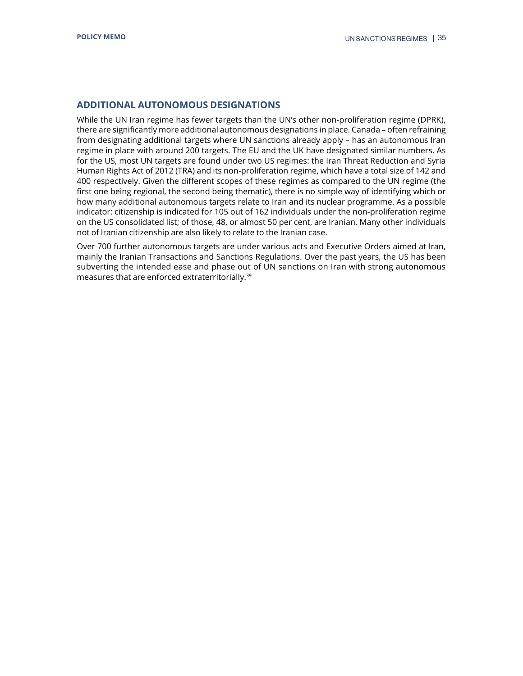## **ADDITIONAL AUTONOMOUS DESIGNATIONS**

While the UN Iran regime has fewer targets than the UN's other non-proliferation regime (DPRK), there are significantly more additional autonomous designations in place. Canada – often refraining from designating additional targets where UN sanctions already apply – has an autonomous Iran regime in place with around 200 targets. The EU and the UK have designated similar numbers. As for the US, most UN targets are found under two US regimes: the Iran Threat Reduction and Syria Human Rights Act of 2012 (TRA) and its non-proliferation regime, which have a total size of 142 and 400 respectively. Given the different scopes of these regimes as compared to the UN regime (the first one being regional, the second being thematic), there is no simple way of identifying which or how many additional autonomous targets relate to Iran and its nuclear programme. As a possible indicator: citizenship is indicated for 105 out of 162 individuals under the non-proliferation regime on the US consolidated list; of those, 48, or almost 50 per cent, are Iranian. Many other individuals not of Iranian citizenship are also likely to relate to the Iranian case.

Over 700 further autonomous targets are under various acts and Executive Orders aimed at Iran, mainly the Iranian Transactions and Sanctions Regulations. Over the past years, the US has been subverting the intended ease and phase out of UN sanctions on Iran with strong autonomous measures that are enforced extraterritorially.39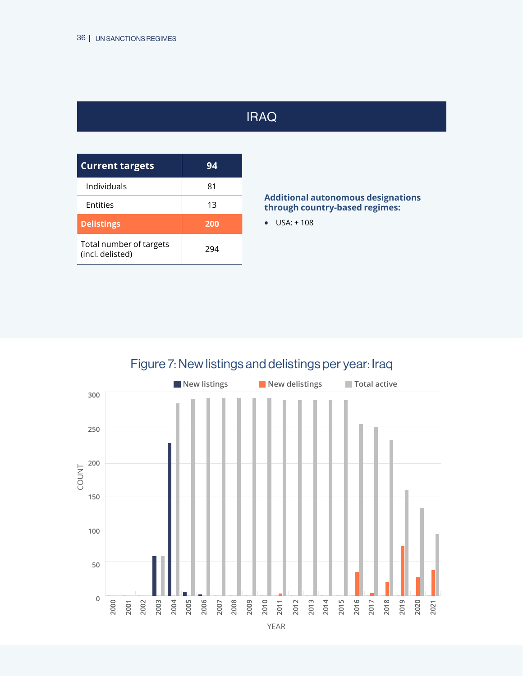# IRAQ

<span id="page-35-0"></span>

| <b>Current targets</b>                      | 94  |
|---------------------------------------------|-----|
| Individuals                                 | 81  |
| Entities                                    | 13  |
| <b>Delistings</b>                           | 200 |
| Total number of targets<br>(incl. delisted) | 294 |

## **Additional autonomous designations through country-based regimes:**

**•** USA: + 108

# Figure 7: New listings and delistings per year: Iraq



YEAR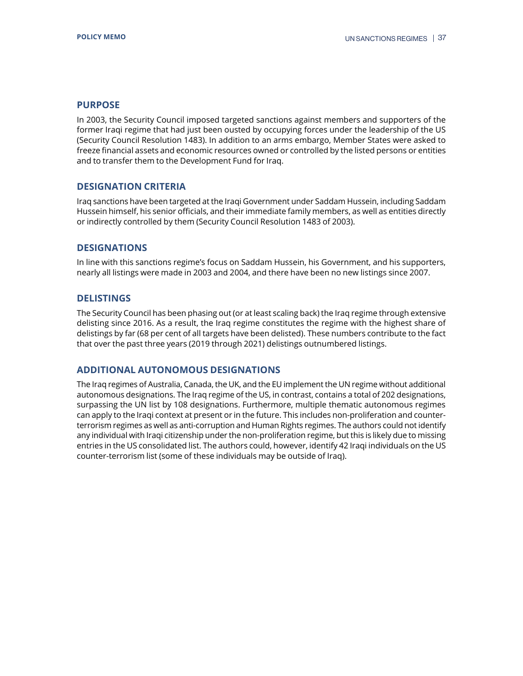In 2003, the Security Council imposed targeted sanctions against members and supporters of the former Iraqi regime that had just been ousted by occupying forces under the leadership of the US (Security Council Resolution 1483). In addition to an arms embargo, Member States were asked to freeze financial assets and economic resources owned or controlled by the listed persons or entities and to transfer them to the Development Fund for Iraq.

## **DESIGNATION CRITERIA**

Iraq sanctions have been targeted at the Iraqi Government under Saddam Hussein, including Saddam Hussein himself, his senior officials, and their immediate family members, as well as entities directly or indirectly controlled by them (Security Council Resolution 1483 of 2003).

## **DESIGNATIONS**

In line with this sanctions regime's focus on Saddam Hussein, his Government, and his supporters, nearly all listings were made in 2003 and 2004, and there have been no new listings since 2007.

## **DELISTINGS**

The Security Council has been phasing out (or at least scaling back) the Iraq regime through extensive delisting since 2016. As a result, the Iraq regime constitutes the regime with the highest share of delistings by far (68 per cent of all targets have been delisted). These numbers contribute to the fact that over the past three years (2019 through 2021) delistings outnumbered listings.

## **ADDITIONAL AUTONOMOUS DESIGNATIONS**

The Iraq regimes of Australia, Canada, the UK, and the EU implement the UN regime without additional autonomous designations. The Iraq regime of the US, in contrast, contains a total of 202 designations, surpassing the UN list by 108 designations. Furthermore, multiple thematic autonomous regimes can apply to the Iraqi context at present or in the future. This includes non-proliferation and counterterrorism regimes as well as anti-corruption and Human Rights regimes. The authors could not identify any individual with Iraqi citizenship under the non-proliferation regime, but this is likely due to missing entries in the US consolidated list. The authors could, however, identify 42 Iraqi individuals on the US counter-terrorism list (some of these individuals may be outside of Iraq).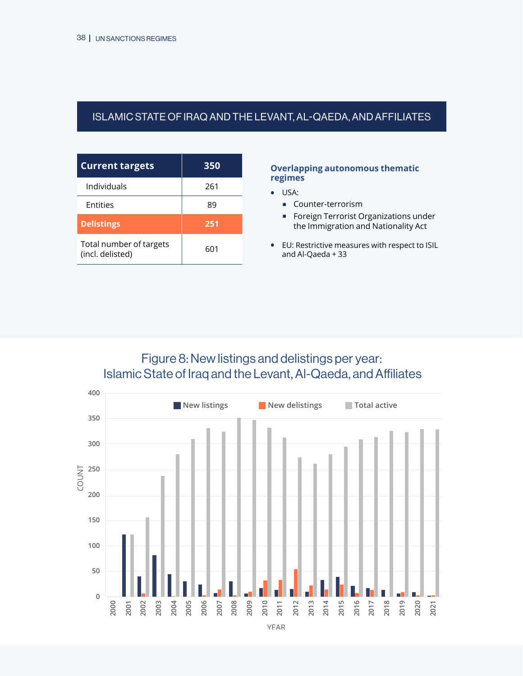## <span id="page-37-0"></span>ISLAMIC STATE OF IRAQ ANDTHE LEVANT, AL-QAEDA, AND AFFILIATES

| <b>Current targets</b>                      | 350 |
|---------------------------------------------|-----|
| Individuals                                 | 261 |
| <b>Entities</b>                             | 89  |
| <b>Delistings</b>                           | 251 |
| Total number of targets<br>(incl. delisted) | 601 |

#### **Overlapping autonomous thematic regimes**

- **•** USA:
	- **Counter-terrorism**
	- **Foreign Terrorist Organizations under** the Immigration and Nationality Act
- **•** EU: Restrictive measures with respect to ISIL and Al-Qaeda + 33

Figure 8: New listings and delistings per year: Islamic State of Iraq and the Levant, Al-Qaeda, and Affiliates

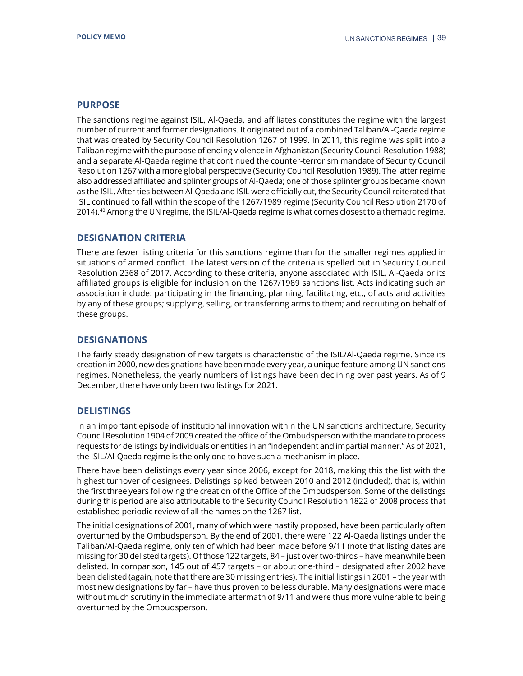The sanctions regime against ISIL, Al-Qaeda, and affiliates constitutes the regime with the largest number of current and former designations. It originated out of a combined Taliban/Al-Qaeda regime that was created by Security Council Resolution 1267 of 1999. In 2011, this regime was split into a Taliban regime with the purpose of ending violence in Afghanistan (Security Council Resolution 1988) and a separate Al-Qaeda regime that continued the counter-terrorism mandate of Security Council Resolution 1267 with a more global perspective (Security Council Resolution 1989). The latter regime also addressed affiliated and splinter groups of Al-Qaeda; one of those splinter groups became known as the ISIL. After ties between Al-Qaeda and ISIL were officially cut, the Security Council reiterated that ISIL continued to fall within the scope of the 1267/1989 regime (Security Council Resolution 2170 of 2014).40 Among the UN regime, the ISIL/Al-Qaeda regime is what comes closest to a thematic regime.

## **DESIGNATION CRITERIA**

There are fewer listing criteria for this sanctions regime than for the smaller regimes applied in situations of armed conflict. The latest version of the criteria is spelled out in Security Council Resolution 2368 of 2017. According to these criteria, anyone associated with ISIL, Al-Qaeda or its affiliated groups is eligible for inclusion on the 1267/1989 sanctions list. Acts indicating such an association include: participating in the financing, planning, facilitating, etc., of acts and activities by any of these groups; supplying, selling, or transferring arms to them; and recruiting on behalf of these groups.

## **DESIGNATIONS**

The fairly steady designation of new targets is characteristic of the ISIL/Al-Qaeda regime. Since its creation in 2000, new designations have been made every year, a unique feature among UN sanctions regimes. Nonetheless, the yearly numbers of listings have been declining over past years. As of 9 December, there have only been two listings for 2021.

## **DELISTINGS**

In an important episode of institutional innovation within the UN sanctions architecture, Security Council Resolution 1904 of 2009 created the office of the Ombudsperson with the mandate to process requests for delistings by individuals or entities in an "independent and impartial manner." As of 2021, the ISIL/Al-Qaeda regime is the only one to have such a mechanism in place.

There have been delistings every year since 2006, except for 2018, making this the list with the highest turnover of designees. Delistings spiked between 2010 and 2012 (included), that is, within the first three years following the creation of the Office of the Ombudsperson. Some of the delistings during this period are also attributable to the Security Council Resolution 1822 of 2008 process that established periodic review of all the names on the 1267 list.

The initial designations of 2001, many of which were hastily proposed, have been particularly often overturned by the Ombudsperson. By the end of 2001, there were 122 Al-Qaeda listings under the Taliban/Al-Qaeda regime, only ten of which had been made before 9/11 (note that listing dates are missing for 30 delisted targets). Of those 122 targets, 84 – just over two-thirds – have meanwhile been delisted. In comparison, 145 out of 457 targets – or about one-third – designated after 2002 have been delisted (again, note that there are 30 missing entries). The initial listings in 2001 – the year with most new designations by far – have thus proven to be less durable. Many designations were made without much scrutiny in the immediate aftermath of 9/11 and were thus more vulnerable to being overturned by the Ombudsperson.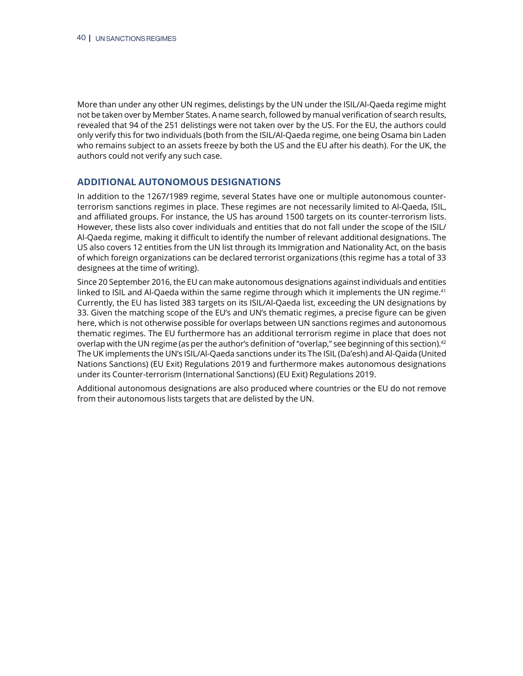More than under any other UN regimes, delistings by the UN under the ISIL/Al-Qaeda regime might not be taken over by Member States. A name search, followed by manual verification of search results, revealed that 94 of the 251 delistings were not taken over by the US. For the EU, the authors could only verify this for two individuals (both from the ISIL/Al-Qaeda regime, one being Osama bin Laden who remains subject to an assets freeze by both the US and the EU after his death). For the UK, the authors could not verify any such case.

## **ADDITIONAL AUTONOMOUS DESIGNATIONS**

In addition to the 1267/1989 regime, several States have one or multiple autonomous counterterrorism sanctions regimes in place. These regimes are not necessarily limited to Al-Qaeda, ISIL, and affiliated groups. For instance, the US has around 1500 targets on its counter-terrorism lists. However, these lists also cover individuals and entities that do not fall under the scope of the ISIL/ Al-Qaeda regime, making it difficult to identify the number of relevant additional designations. The US also covers 12 entities from the UN list through its Immigration and Nationality Act, on the basis of which foreign organizations can be declared terrorist organizations (this regime has a total of 33 designees at the time of writing).

Since 20 September 2016, the EU can make autonomous designations against individuals and entities linked to ISIL and Al-Qaeda within the same regime through which it implements the UN regime.<sup>41</sup> Currently, the EU has listed 383 targets on its ISIL/Al-Qaeda list, exceeding the UN designations by 33. Given the matching scope of the EU's and UN's thematic regimes, a precise figure can be given here, which is not otherwise possible for overlaps between UN sanctions regimes and autonomous thematic regimes. The EU furthermore has an additional terrorism regime in place that does not overlap with the UN regime (as per the author's definition of "overlap," see beginning of this section).42 The UK implements the UN's ISIL/Al-Qaeda sanctions under its The ISIL (Da'esh) and Al-Qaida (United Nations Sanctions) (EU Exit) Regulations 2019 and furthermore makes autonomous designations under its Counter-terrorism (International Sanctions) (EU Exit) Regulations 2019.

Additional autonomous designations are also produced where countries or the EU do not remove from their autonomous lists targets that are delisted by the UN.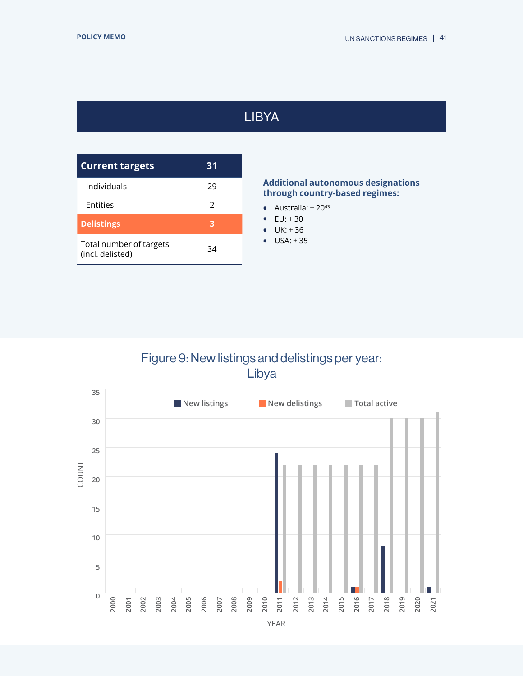# LIBYA

<span id="page-40-0"></span>

| <b>Current targets</b>                      | 31 |
|---------------------------------------------|----|
| Individuals                                 | 29 |
| Entities                                    | 2  |
| <b>Delistings</b>                           | З  |
| Total number of targets<br>(incl. delisted) | 34 |

## **Additional autonomous designations through country-based regimes:**

- Australia:  $+20^{43}$
- $E U: + 30$
- **•** UK: + 36
- **•** USA: + 35

# Figure 9: New listings and delistings per year: Libya

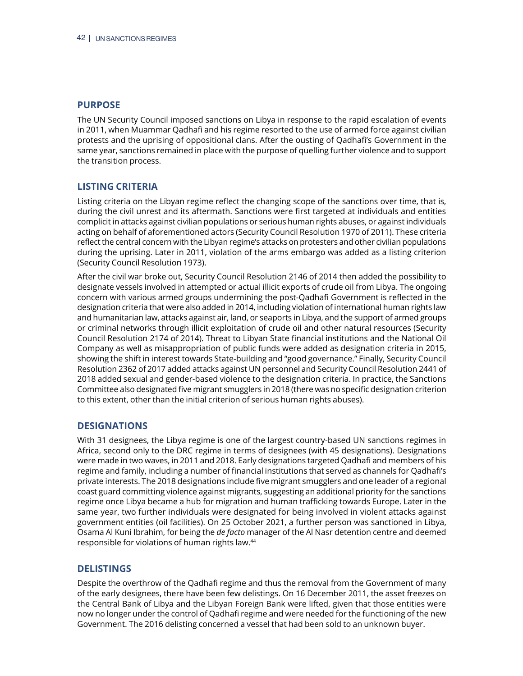The UN Security Council imposed sanctions on Libya in response to the rapid escalation of events in 2011, when Muammar Qadhafi and his regime resorted to the use of armed force against civilian protests and the uprising of oppositional clans. After the ousting of Qadhafi's Government in the same year, sanctions remained in place with the purpose of quelling further violence and to support the transition process.

## **LISTING CRITERIA**

Listing criteria on the Libyan regime reflect the changing scope of the sanctions over time, that is, during the civil unrest and its aftermath. Sanctions were first targeted at individuals and entities complicit in attacks against civilian populations or serious human rights abuses, or against individuals acting on behalf of aforementioned actors (Security Council Resolution 1970 of 2011). These criteria reflect the central concern with the Libyan regime's attacks on protesters and other civilian populations during the uprising. Later in 2011, violation of the arms embargo was added as a listing criterion (Security Council Resolution 1973).

After the civil war broke out, Security Council Resolution 2146 of 2014 then added the possibility to designate vessels involved in attempted or actual illicit exports of crude oil from Libya. The ongoing concern with various armed groups undermining the post-Qadhafi Government is reflected in the designation criteria that were also added in 2014, including violation of international human rights law and humanitarian law, attacks against air, land, or seaports in Libya, and the support of armed groups or criminal networks through illicit exploitation of crude oil and other natural resources (Security Council Resolution 2174 of 2014). Threat to Libyan State financial institutions and the National Oil Company as well as misappropriation of public funds were added as designation criteria in 2015, showing the shift in interest towards State-building and "good governance." Finally, Security Council Resolution 2362 of 2017 added attacks against UN personnel and Security Council Resolution 2441 of 2018 added sexual and gender-based violence to the designation criteria. In practice, the Sanctions Committee also designated five migrant smugglers in 2018 (there was no specific designation criterion to this extent, other than the initial criterion of serious human rights abuses).

## **DESIGNATIONS**

With 31 designees, the Libya regime is one of the largest country-based UN sanctions regimes in Africa, second only to the DRC regime in terms of designees (with 45 designations). Designations were made in two waves, in 2011 and 2018. Early designations targeted Qadhafi and members of his regime and family, including a number of financial institutions that served as channels for Qadhafi's private interests. The 2018 designations include five migrant smugglers and one leader of a regional coast guard committing violence against migrants, suggesting an additional priority for the sanctions regime once Libya became a hub for migration and human trafficking towards Europe. Later in the same year, two further individuals were designated for being involved in violent attacks against government entities (oil facilities). On 25 October 2021, a further person was sanctioned in Libya, Osama Al Kuni Ibrahim, for being the *de facto* manager of the Al Nasr detention centre and deemed responsible for violations of human rights law.44

## **DELISTINGS**

Despite the overthrow of the Qadhafi regime and thus the removal from the Government of many of the early designees, there have been few delistings. On 16 December 2011, the asset freezes on the Central Bank of Libya and the Libyan Foreign Bank were lifted, given that those entities were now no longer under the control of Qadhafi regime and were needed for the functioning of the new Government. The 2016 delisting concerned a vessel that had been sold to an unknown buyer.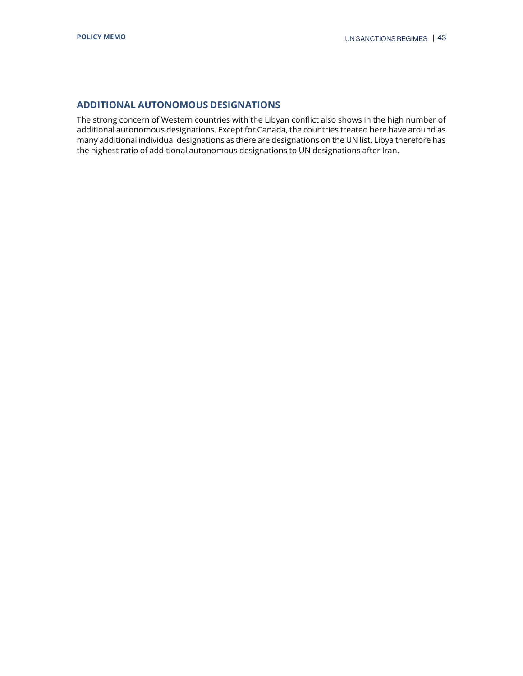## **ADDITIONAL AUTONOMOUS DESIGNATIONS**

The strong concern of Western countries with the Libyan conflict also shows in the high number of additional autonomous designations. Except for Canada, the countries treated here have around as many additional individual designations as there are designations on the UN list. Libya therefore has the highest ratio of additional autonomous designations to UN designations after Iran.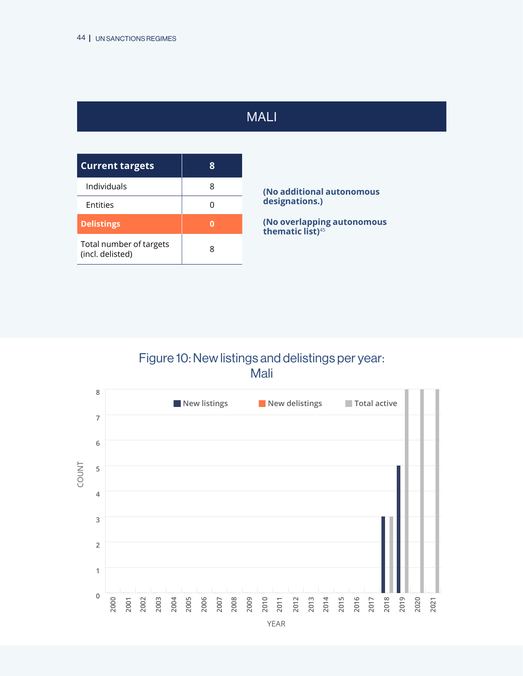# MALI

<span id="page-43-0"></span>

| <b>Current targets</b>                      | 8 |
|---------------------------------------------|---|
| Individuals                                 | 8 |
| Entities                                    |   |
| <b>Delistings</b>                           | n |
| Total number of targets<br>(incl. delisted) | 8 |

**(No additional autonomous designations.)**

**(No overlapping autonomous thematic list)**<sup>45</sup>

# Figure 10: New listings and delistings per year: Mali

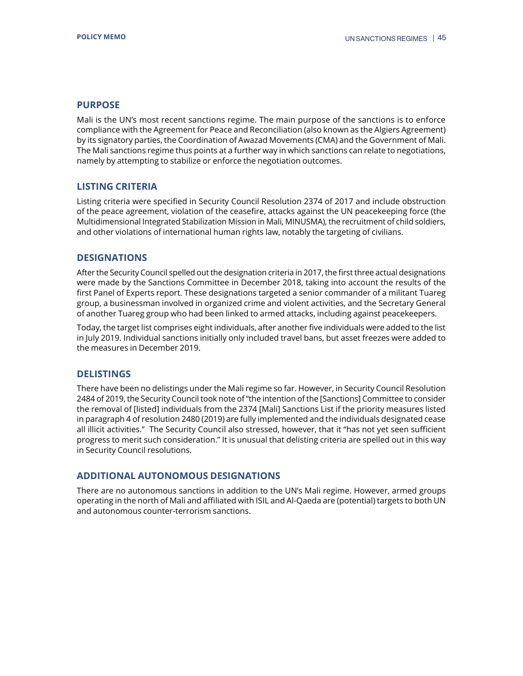Mali is the UN's most recent sanctions regime. The main purpose of the sanctions is to enforce compliance with the Agreement for Peace and Reconciliation (also known as the Algiers Agreement) by its signatory parties, the Coordination of Awazad Movements (CMA) and the Government of Mali. The Mali sanctions regime thus points at a further way in which sanctions can relate to negotiations, namely by attempting to stabilize or enforce the negotiation outcomes.

## **LISTING CRITERIA**

Listing criteria were specified in Security Council Resolution 2374 of 2017 and include obstruction of the peace agreement, violation of the ceasefire, attacks against the UN peacekeeping force (the Multidimensional Integrated Stabilization Mission in Mali, MINUSMA), the recruitment of child soldiers, and other violations of international human rights law, notably the targeting of civilians.

## **DESIGNATIONS**

After the Security Council spelled out the designation criteria in 2017, the first three actual designations were made by the Sanctions Committee in December 2018, taking into account the results of the first Panel of Experts report. These designations targeted a senior commander of a militant Tuareg group, a businessman involved in organized crime and violent activities, and the Secretary General of another Tuareg group who had been linked to armed attacks, including against peacekeepers.

Today, the target list comprises eight individuals, after another five individuals were added to the list in July 2019. Individual sanctions initially only included travel bans, but asset freezes were added to the measures in December 2019.

## **DELISTINGS**

There have been no delistings under the Mali regime so far. However, in Security Council Resolution 2484 of 2019, the Security Council took note of "the intention of the [Sanctions] Committee to consider the removal of [listed] individuals from the 2374 [Mali] Sanctions List if the priority measures listed in paragraph 4 of resolution 2480 (2019) are fully implemented and the individuals designated cease all illicit activities." The Security Council also stressed, however, that it "has not yet seen sufficient progress to merit such consideration." It is unusual that delisting criteria are spelled out in this way in Security Council resolutions.

## **ADDITIONAL AUTONOMOUS DESIGNATIONS**

There are no autonomous sanctions in addition to the UN's Mali regime. However, armed groups operating in the north of Mali and affiliated with ISIL and Al-Qaeda are (potential) targets to both UN and autonomous counter-terrorism sanctions.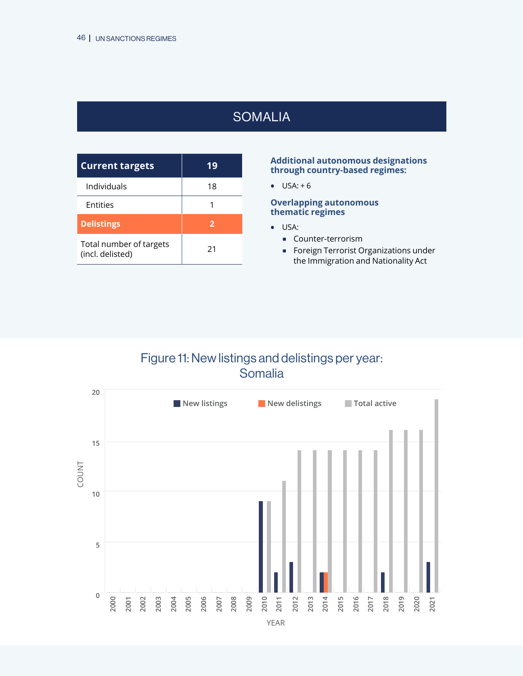# **SOMALIA**

<span id="page-45-0"></span>

| <b>Current targets</b>                      | 19             |
|---------------------------------------------|----------------|
| Individuals                                 | 18             |
| Entities                                    |                |
| <b>Delistings</b>                           | $\overline{2}$ |
| Total number of targets<br>(incl. delisted) | 21             |

#### **Additional autonomous designations through country-based regimes:**

**•** USA: + 6

## **Overlapping autonomous thematic regimes**

- **•** USA:
	- **Counter-terrorism**
	- **Foreign Terrorist Organizations under** the Immigration and Nationality Act

# Figure 11: New listings and delistings per year: Somalia

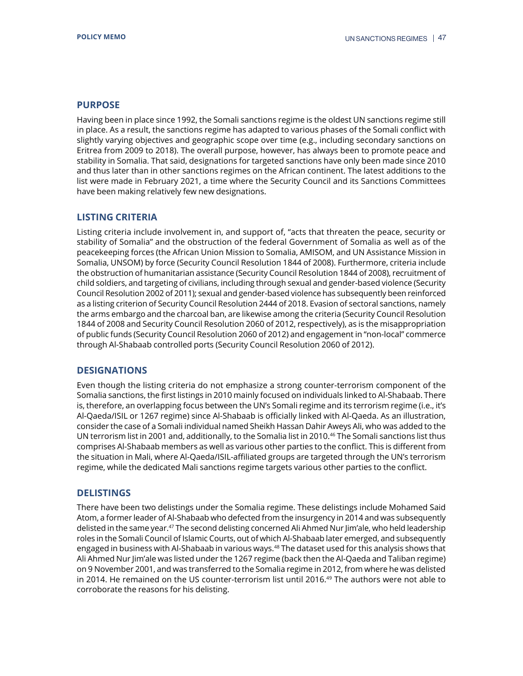Having been in place since 1992, the Somali sanctions regime is the oldest UN sanctions regime still in place. As a result, the sanctions regime has adapted to various phases of the Somali conflict with slightly varying objectives and geographic scope over time (e.g., including secondary sanctions on Eritrea from 2009 to 2018). The overall purpose, however, has always been to promote peace and stability in Somalia. That said, designations for targeted sanctions have only been made since 2010 and thus later than in other sanctions regimes on the African continent. The latest additions to the list were made in February 2021, a time where the Security Council and its Sanctions Committees have been making relatively few new designations.

## **LISTING CRITERIA**

Listing criteria include involvement in, and support of, "acts that threaten the peace, security or stability of Somalia" and the obstruction of the federal Government of Somalia as well as of the peacekeeping forces (the African Union Mission to Somalia, AMISOM, and UN Assistance Mission in Somalia, UNSOM) by force (Security Council Resolution 1844 of 2008). Furthermore, criteria include the obstruction of humanitarian assistance (Security Council Resolution 1844 of 2008), recruitment of child soldiers, and targeting of civilians, including through sexual and gender-based violence (Security Council Resolution 2002 of 2011); sexual and gender-based violence has subsequently been reinforced as a listing criterion of Security Council Resolution 2444 of 2018. Evasion of sectoral sanctions, namely the arms embargo and the charcoal ban, are likewise among the criteria (Security Council Resolution 1844 of 2008 and Security Council Resolution 2060 of 2012, respectively), as is the misappropriation of public funds (Security Council Resolution 2060 of 2012) and engagement in "non-local" commerce through Al-Shabaab controlled ports (Security Council Resolution 2060 of 2012).

## **DESIGNATIONS**

Even though the listing criteria do not emphasize a strong counter-terrorism component of the Somalia sanctions, the first listings in 2010 mainly focused on individuals linked to Al-Shabaab. There is, therefore, an overlapping focus between the UN's Somali regime and its terrorism regime (i.e., it's Al-Qaeda/ISIL or 1267 regime) since Al-Shabaab is officially linked with Al-Qaeda. As an illustration, consider the case of a Somali individual named Sheikh Hassan Dahir Aweys Ali, who was added to the UN terrorism list in 2001 and, additionally, to the Somalia list in 2010.46 The Somali sanctions list thus comprises Al-Shabaab members as well as various other parties to the conflict. This is different from the situation in Mali, where Al-Qaeda/ISIL-affiliated groups are targeted through the UN's terrorism regime, while the dedicated Mali sanctions regime targets various other parties to the conflict.

## **DELISTINGS**

There have been two delistings under the Somalia regime. These delistings include Mohamed Said Atom, a former leader of Al-Shabaab who defected from the insurgency in 2014 and was subsequently delisted in the same year.47 The second delisting concerned Ali Ahmed Nur Jim'ale, who held leadership roles in the Somali Council of Islamic Courts, out of which Al-Shabaab later emerged, and subsequently engaged in business with Al-Shabaab in various ways.<sup>48</sup> The dataset used for this analysis shows that Ali Ahmed Nur Jim'ale was listed under the 1267 regime (back then the Al-Qaeda and Taliban regime) on 9 November 2001, and was transferred to the Somalia regime in 2012, from where he was delisted in 2014. He remained on the US counter-terrorism list until 2016.49 The authors were not able to corroborate the reasons for his delisting.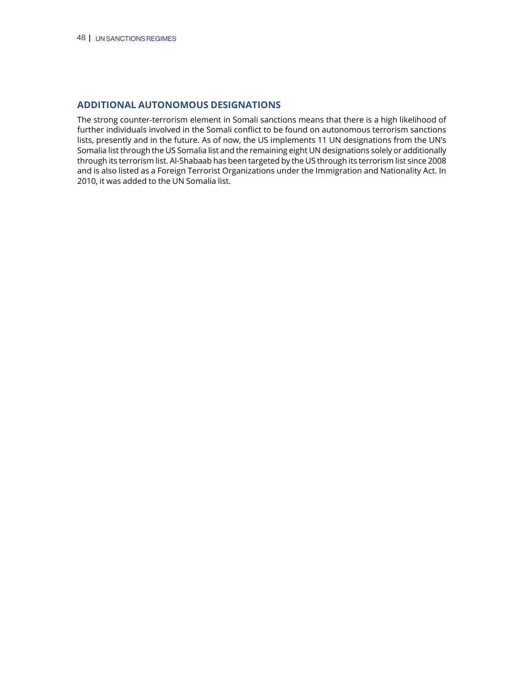## **ADDITIONAL AUTONOMOUS DESIGNATIONS**

The strong counter-terrorism element in Somali sanctions means that there is a high likelihood of further individuals involved in the Somali conflict to be found on autonomous terrorism sanctions lists, presently and in the future. As of now, the US implements 11 UN designations from the UN's Somalia list through the US Somalia list and the remaining eight UN designations solely or additionally through its terrorism list. Al-Shabaab has been targeted by the US through its terrorism list since 2008 and is also listed as a Foreign Terrorist Organizations under the Immigration and Nationality Act. In 2010, it was added to the UN Somalia list.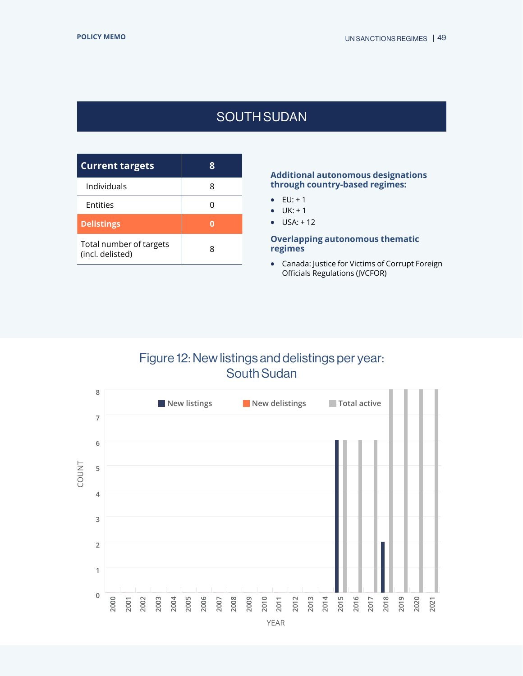# SOUTH SUDAN

<span id="page-48-0"></span>

| <b>Current targets</b>                      |   |
|---------------------------------------------|---|
| Individuals                                 |   |
| Entities                                    |   |
| <b>Delistings</b>                           |   |
| Total number of targets<br>(incl. delisted) | R |

#### **Additional autonomous designations through country-based regimes:**

- **•** EU: + 1
- **•** UK: + 1
- **•** USA: + 12

#### **Overlapping autonomous thematic regimes**

**•** Canada: Justice for Victims of Corrupt Foreign Officials Regulations (JVCFOR)

## Figure 12: New listings and delistings per year: South Sudan

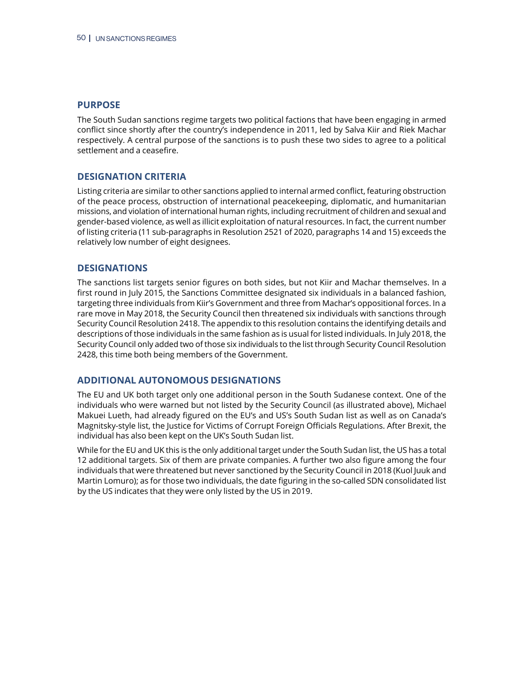The South Sudan sanctions regime targets two political factions that have been engaging in armed conflict since shortly after the country's independence in 2011, led by Salva Kiir and Riek Machar respectively. A central purpose of the sanctions is to push these two sides to agree to a political settlement and a ceasefire.

## **DESIGNATION CRITERIA**

Listing criteria are similar to other sanctions applied to internal armed conflict, featuring obstruction of the peace process, obstruction of international peacekeeping, diplomatic, and humanitarian missions, and violation of international human rights, including recruitment of children and sexual and gender-based violence, as well as illicit exploitation of natural resources. In fact, the current number of listing criteria (11 sub-paragraphs in Resolution 2521 of 2020, paragraphs 14 and 15) exceeds the relatively low number of eight designees.

## **DESIGNATIONS**

The sanctions list targets senior figures on both sides, but not Kiir and Machar themselves. In a first round in July 2015, the Sanctions Committee designated six individuals in a balanced fashion, targeting three individuals from Kiir's Government and three from Machar's oppositional forces. In a rare move in May 2018, the Security Council then threatened six individuals with sanctions through Security Council Resolution 2418. The appendix to this resolution contains the identifying details and descriptions of those individuals in the same fashion as is usual for listed individuals. In July 2018, the Security Council only added two of those six individuals to the list through Security Council Resolution 2428, this time both being members of the Government.

## **ADDITIONAL AUTONOMOUS DESIGNATIONS**

The EU and UK both target only one additional person in the South Sudanese context. One of the individuals who were warned but not listed by the Security Council (as illustrated above), Michael Makuei Lueth, had already figured on the EU's and US's South Sudan list as well as on Canada's Magnitsky-style list, the Justice for Victims of Corrupt Foreign Officials Regulations. After Brexit, the individual has also been kept on the UK's South Sudan list.

While for the EU and UK this is the only additional target under the South Sudan list, the US has a total 12 additional targets. Six of them are private companies. A further two also figure among the four individuals that were threatened but never sanctioned by the Security Council in 2018 (Kuol Juuk and Martin Lomuro); as for those two individuals, the date figuring in the so-called SDN consolidated list by the US indicates that they were only listed by the US in 2019.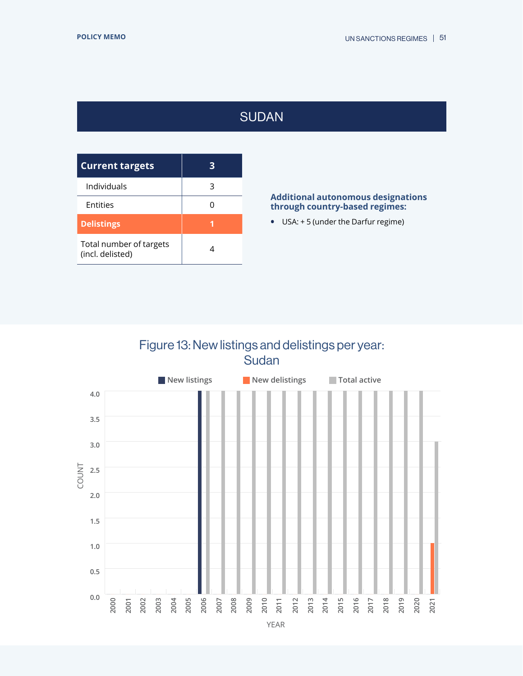# SUDAN

<span id="page-50-0"></span>

| <b>Current targets</b>                      | З |
|---------------------------------------------|---|
| Individuals                                 | 3 |
| <b>Entities</b>                             |   |
| <b>Delistings</b>                           |   |
| Total number of targets<br>(incl. delisted) |   |

## **Additional autonomous designations through country-based regimes:**

**•** USA: + 5 (under the Darfur regime)

# Figure 13: New listings and delistings per year: Sudan



YEAR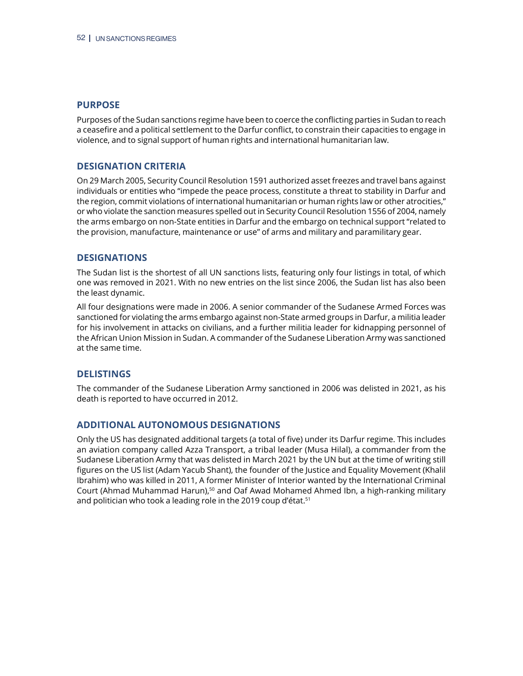Purposes of the Sudan sanctions regime have been to coerce the conflicting parties in Sudan to reach a ceasefire and a political settlement to the Darfur conflict, to constrain their capacities to engage in violence, and to signal support of human rights and international humanitarian law.

## **DESIGNATION CRITERIA**

On 29 March 2005, Security Council Resolution 1591 authorized asset freezes and travel bans against individuals or entities who "impede the peace process, constitute a threat to stability in Darfur and the region, commit violations of international humanitarian or human rights law or other atrocities," or who violate the sanction measures spelled out in Security Council Resolution 1556 of 2004, namely the arms embargo on non-State entities in Darfur and the embargo on technical support "related to the provision, manufacture, maintenance or use" of arms and military and paramilitary gear.

## **DESIGNATIONS**

The Sudan list is the shortest of all UN sanctions lists, featuring only four listings in total, of which one was removed in 2021. With no new entries on the list since 2006, the Sudan list has also been the least dynamic.

All four designations were made in 2006. A senior commander of the Sudanese Armed Forces was sanctioned for violating the arms embargo against non-State armed groups in Darfur, a militia leader for his involvement in attacks on civilians, and a further militia leader for kidnapping personnel of the African Union Mission in Sudan. A commander of the Sudanese Liberation Army was sanctioned at the same time.

## **DELISTINGS**

The commander of the Sudanese Liberation Army sanctioned in 2006 was delisted in 2021, as his death is reported to have occurred in 2012.

## **ADDITIONAL AUTONOMOUS DESIGNATIONS**

Only the US has designated additional targets (a total of five) under its Darfur regime. This includes an aviation company called Azza Transport, a tribal leader (Musa Hilal), a commander from the Sudanese Liberation Army that was delisted in March 2021 by the UN but at the time of writing still figures on the US list (Adam Yacub Shant), the founder of the Justice and Equality Movement (Khalil Ibrahim) who was killed in 2011, A former Minister of Interior wanted by the International Criminal Court (Ahmad Muhammad Harun),<sup>50</sup> and Oaf Awad Mohamed Ahmed Ibn, a high-ranking military and politician who took a leading role in the 2019 coup d'état.<sup>51</sup>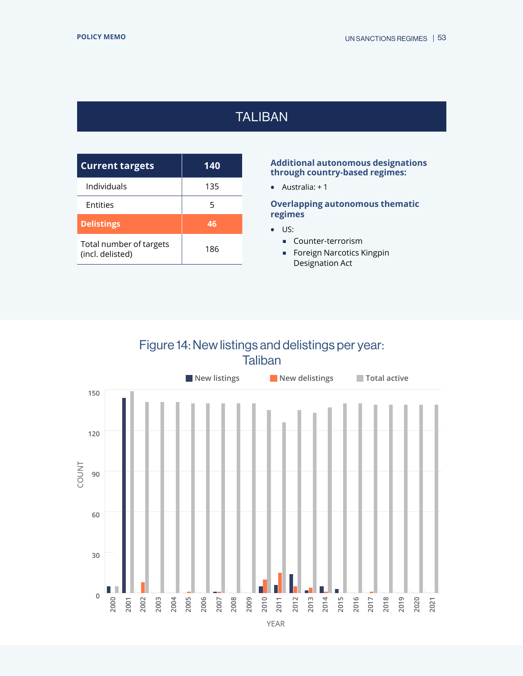# TALIBAN

<span id="page-52-0"></span>

| <b>Current targets</b>                      | 140 |  |
|---------------------------------------------|-----|--|
| Individuals                                 | 135 |  |
| Entities                                    | 5   |  |
| <b>Delistings</b>                           | 46  |  |
| Total number of targets<br>(incl. delisted) | 186 |  |

## **Additional autonomous designations through country-based regimes:**

**•** Australia: + 1

**Overlapping autonomous thematic regimes**

- **•** US:
	- Counter-terrorism
	- **Foreign Narcotics Kingpin** Designation Act

## Figure 14: New listings and delistings per year: **Taliban**

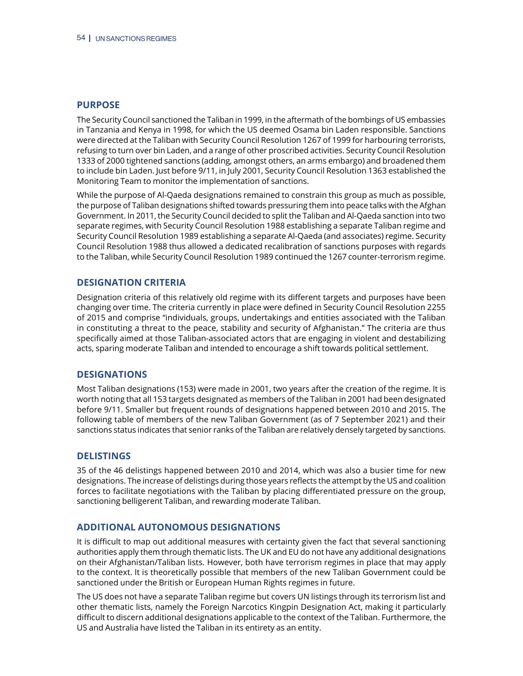The Security Council sanctioned the Taliban in 1999, in the aftermath of the bombings of US embassies in Tanzania and Kenya in 1998, for which the US deemed Osama bin Laden responsible. Sanctions were directed at the Taliban with Security Council Resolution 1267 of 1999 for harbouring terrorists, refusing to turn over bin Laden, and a range of other proscribed activities. Security Council Resolution 1333 of 2000 tightened sanctions (adding, amongst others, an arms embargo) and broadened them to include bin Laden. Just before 9/11, in July 2001, Security Council Resolution 1363 established the Monitoring Team to monitor the implementation of sanctions.

While the purpose of Al-Qaeda designations remained to constrain this group as much as possible, the purpose of Taliban designations shifted towards pressuring them into peace talks with the Afghan Government. In 2011, the Security Council decided to split the Taliban and Al-Qaeda sanction into two separate regimes, with Security Council Resolution 1988 establishing a separate Taliban regime and Security Council Resolution 1989 establishing a separate Al-Qaeda (and associates) regime. Security Council Resolution 1988 thus allowed a dedicated recalibration of sanctions purposes with regards to the Taliban, while Security Council Resolution 1989 continued the 1267 counter-terrorism regime.

## **DESIGNATION CRITERIA**

Designation criteria of this relatively old regime with its different targets and purposes have been changing over time. The criteria currently in place were defined in Security Council Resolution 2255 of 2015 and comprise "individuals, groups, undertakings and entities associated with the Taliban in constituting a threat to the peace, stability and security of Afghanistan." The criteria are thus specifically aimed at those Taliban-associated actors that are engaging in violent and destabilizing acts, sparing moderate Taliban and intended to encourage a shift towards political settlement.

## **DESIGNATIONS**

Most Taliban designations (153) were made in 2001, two years after the creation of the regime. It is worth noting that all 153 targets designated as members of the Taliban in 2001 had been designated before 9/11. Smaller but frequent rounds of designations happened between 2010 and 2015. The following table of members of the new Taliban Government (as of 7 September 2021) and their sanctions status indicates that senior ranks of the Taliban are relatively densely targeted by sanctions.

## **DELISTINGS**

35 of the 46 delistings happened between 2010 and 2014, which was also a busier time for new designations. The increase of delistings during those years reflects the attempt by the US and coalition forces to facilitate negotiations with the Taliban by placing differentiated pressure on the group, sanctioning belligerent Taliban, and rewarding moderate Taliban.

## **ADDITIONAL AUTONOMOUS DESIGNATIONS**

It is difficult to map out additional measures with certainty given the fact that several sanctioning authorities apply them through thematic lists. The UK and EU do not have any additional designations on their Afghanistan/Taliban lists. However, both have terrorism regimes in place that may apply to the context. It is theoretically possible that members of the new Taliban Government could be sanctioned under the British or European Human Rights regimes in future.

The US does not have a separate Taliban regime but covers UN listings through its terrorism list and other thematic lists, namely the Foreign Narcotics Kingpin Designation Act, making it particularly difficult to discern additional designations applicable to the context of the Taliban. Furthermore, the US and Australia have listed the Taliban in its entirety as an entity.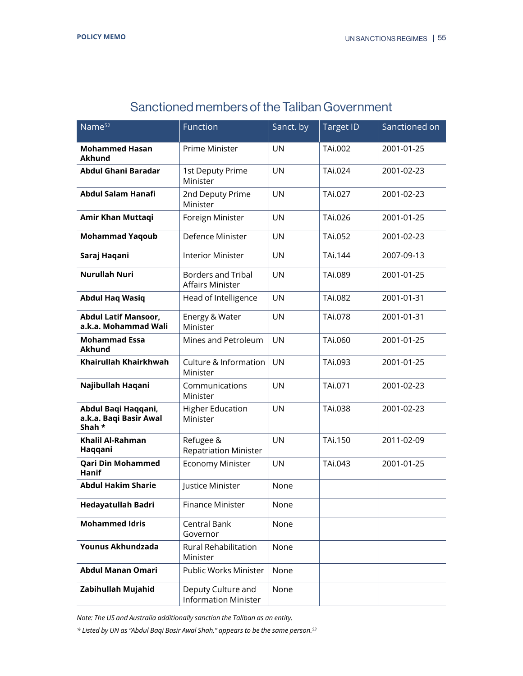| Name <sup>52</sup>                                      | Function                                             | Sanct. by | <b>Target ID</b> | Sanctioned on |
|---------------------------------------------------------|------------------------------------------------------|-----------|------------------|---------------|
| <b>Mohammed Hasan</b><br><b>Akhund</b>                  | <b>Prime Minister</b>                                | <b>UN</b> | TAi.002          | 2001-01-25    |
| <b>Abdul Ghani Baradar</b>                              | 1st Deputy Prime<br>Minister                         | <b>UN</b> | TAi.024          | 2001-02-23    |
| <b>Abdul Salam Hanafi</b>                               | 2nd Deputy Prime<br>Minister                         | <b>UN</b> | TAi.027          | 2001-02-23    |
| Amir Khan Muttaqi                                       | Foreign Minister                                     | <b>UN</b> | TAi.026          | 2001-01-25    |
| <b>Mohammad Yaqoub</b>                                  | Defence Minister                                     | <b>UN</b> | TAi.052          | 2001-02-23    |
| Saraj Haqani                                            | <b>Interior Minister</b>                             | <b>UN</b> | TAi.144          | 2007-09-13    |
| <b>Nurullah Nuri</b>                                    | <b>Borders and Tribal</b><br><b>Affairs Minister</b> | <b>UN</b> | TAi.089          | 2001-01-25    |
| <b>Abdul Haq Wasiq</b>                                  | Head of Intelligence                                 | <b>UN</b> | TAi.082          | 2001-01-31    |
| <b>Abdul Latif Mansoor,</b><br>a.k.a. Mohammad Wali     | Energy & Water<br>Minister                           | <b>UN</b> | TAi.078          | 2001-01-31    |
| <b>Mohammad Essa</b><br><b>Akhund</b>                   | Mines and Petroleum                                  | <b>UN</b> | TAi.060          | 2001-01-25    |
| Khairullah Khairkhwah                                   | Culture & Information<br>Minister                    | <b>UN</b> | TAi.093          | 2001-01-25    |
| Najibullah Haqani                                       | Communications<br>Minister                           | <b>UN</b> | TAi.071          | 2001-02-23    |
| Abdul Baqi Haqqani,<br>a.k.a. Baqi Basir Awal<br>Shah * | <b>Higher Education</b><br>Minister                  | <b>UN</b> | TAi.038          | 2001-02-23    |
| Khalil Al-Rahman<br>Haqqani                             | Refugee &<br><b>Repatriation Minister</b>            | <b>UN</b> | TAi.150          | 2011-02-09    |
| <b>Qari Din Mohammed</b><br><b>Hanif</b>                | <b>Economy Minister</b>                              | <b>UN</b> | TAi.043          | 2001-01-25    |
| <b>Abdul Hakim Sharie</b>                               | Justice Minister                                     | None      |                  |               |
| Hedayatullah Badri                                      | <b>Finance Minister</b>                              | None      |                  |               |
| <b>Mohammed Idris</b>                                   | Central Bank<br>Governor                             | None      |                  |               |
| Younus Akhundzada                                       | Rural Rehabilitation<br>Minister                     | None      |                  |               |
| <b>Abdul Manan Omari</b>                                | Public Works Minister                                | None      |                  |               |
| Zabihullah Mujahid                                      | Deputy Culture and<br><b>Information Minister</b>    | None      |                  |               |

# Sanctioned members of the Taliban Government

*Note: The US and Australia additionally sanction the Taliban as an entity.*

*\* Listed by UN as "Abdul Baqi Basir Awal Shah," appears to be the same person.53*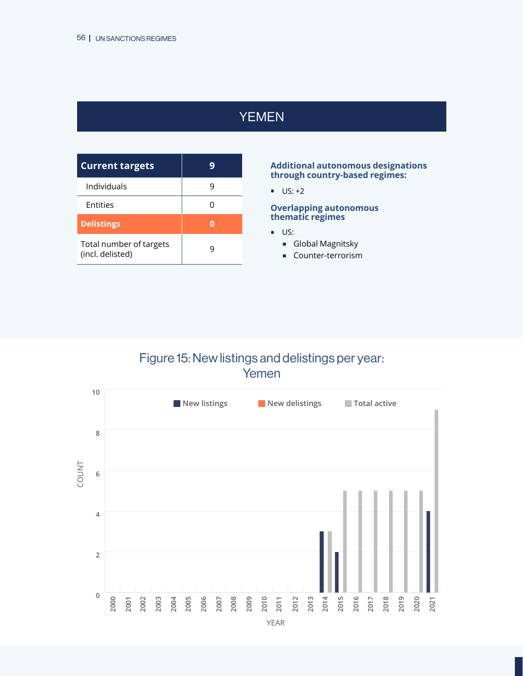# YEMEN

<span id="page-55-0"></span>

| <b>Current targets</b>                      |  |
|---------------------------------------------|--|
| Individuals                                 |  |
| Entities                                    |  |
| <b>Delistings</b>                           |  |
| Total number of targets<br>(incl. delisted) |  |

#### **Additional autonomous designations through country-based regimes:**

**•** US: +2

#### **Overlapping autonomous thematic regimes**

- **•** US:
	- **Global Magnitsky**
	- **Counter-terrorism**

# Figure 15: New listings and delistings per year: Yemen

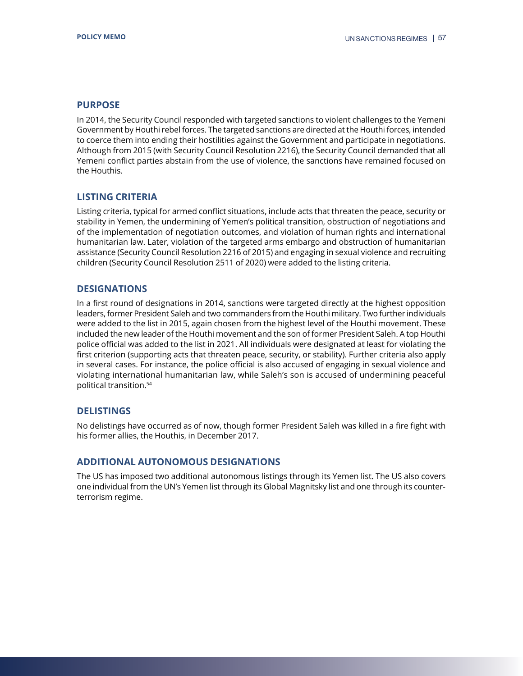In 2014, the Security Council responded with targeted sanctions to violent challenges to the Yemeni Government by Houthi rebel forces. The targeted sanctions are directed at the Houthi forces, intended to coerce them into ending their hostilities against the Government and participate in negotiations. Although from 2015 (with Security Council Resolution 2216), the Security Council demanded that all Yemeni conflict parties abstain from the use of violence, the sanctions have remained focused on the Houthis.

## **LISTING CRITERIA**

Listing criteria, typical for armed conflict situations, include acts that threaten the peace, security or stability in Yemen, the undermining of Yemen's political transition, obstruction of negotiations and of the implementation of negotiation outcomes, and violation of human rights and international humanitarian law. Later, violation of the targeted arms embargo and obstruction of humanitarian assistance (Security Council Resolution 2216 of 2015) and engaging in sexual violence and recruiting children (Security Council Resolution 2511 of 2020) were added to the listing criteria.

## **DESIGNATIONS**

In a first round of designations in 2014, sanctions were targeted directly at the highest opposition leaders, former President Saleh and two commanders from the Houthi military. Two further individuals were added to the list in 2015, again chosen from the highest level of the Houthi movement. These included the new leader of the Houthi movement and the son of former President Saleh. A top Houthi police official was added to the list in 2021. All individuals were designated at least for violating the first criterion (supporting acts that threaten peace, security, or stability). Further criteria also apply in several cases. For instance, the police official is also accused of engaging in sexual violence and violating international humanitarian law, while Saleh's son is accused of undermining peaceful political transition.54

## **DELISTINGS**

No delistings have occurred as of now, though former President Saleh was killed in a fire fight with his former allies, the Houthis, in December 2017.

## **ADDITIONAL AUTONOMOUS DESIGNATIONS**

The US has imposed two additional autonomous listings through its Yemen list. The US also covers one individual from the UN's Yemen list through its Global Magnitsky list and one through its counterterrorism regime.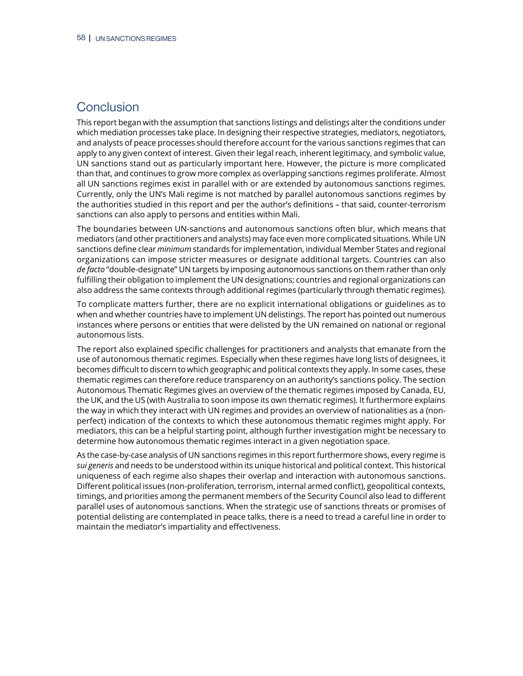## <span id="page-57-0"></span>**Conclusion**

This report began with the assumption that sanctions listings and delistings alter the conditions under which mediation processes take place. In designing their respective strategies, mediators, negotiators, and analysts of peace processes should therefore account for the various sanctions regimes that can apply to any given context of interest. Given their legal reach, inherent legitimacy, and symbolic value, UN sanctions stand out as particularly important here. However, the picture is more complicated than that, and continues to grow more complex as overlapping sanctions regimes proliferate. Almost all UN sanctions regimes exist in parallel with or are extended by autonomous sanctions regimes. Currently, only the UN's Mali regime is not matched by parallel autonomous sanctions regimes by the authorities studied in this report and per the author's definitions – that said, counter-terrorism sanctions can also apply to persons and entities within Mali.

The boundaries between UN-sanctions and autonomous sanctions often blur, which means that mediators (and other practitioners and analysts) may face even more complicated situations. While UN sanctions define clear *minimum* standards for implementation, individual Member States and regional organizations can impose stricter measures or designate additional targets. Countries can also *de facto* "double-designate" UN targets by imposing autonomous sanctions on them rather than only fulfilling their obligation to implement the UN designations; countries and regional organizations can also address the same contexts through additional regimes (particularly through thematic regimes).

To complicate matters further, there are no explicit international obligations or guidelines as to when and whether countries have to implement UN delistings. The report has pointed out numerous instances where persons or entities that were delisted by the UN remained on national or regional autonomous lists.

The report also explained specific challenges for practitioners and analysts that emanate from the use of autonomous thematic regimes. Especially when these regimes have long lists of designees, it becomes difficult to discern to which geographic and political contexts they apply. In some cases, these thematic regimes can therefore reduce transparency on an authority's sanctions policy. The section Autonomous Thematic Regimes gives an overview of the thematic regimes imposed by Canada, EU, the UK, and the US (with Australia to soon impose its own thematic regimes). It furthermore explains the way in which they interact with UN regimes and provides an overview of nationalities as a (nonperfect) indication of the contexts to which these autonomous thematic regimes might apply. For mediators, this can be a helpful starting point, although further investigation might be necessary to determine how autonomous thematic regimes interact in a given negotiation space.

As the case-by-case analysis of UN sanctions regimes in this report furthermore shows, every regime is *sui generis* and needs to be understood within its unique historical and political context. This historical uniqueness of each regime also shapes their overlap and interaction with autonomous sanctions. Different political issues (non-proliferation, terrorism, internal armed conflict), geopolitical contexts, timings, and priorities among the permanent members of the Security Council also lead to different parallel uses of autonomous sanctions. When the strategic use of sanctions threats or promises of potential delisting are contemplated in peace talks, there is a need to tread a careful line in order to maintain the mediator's impartiality and effectiveness.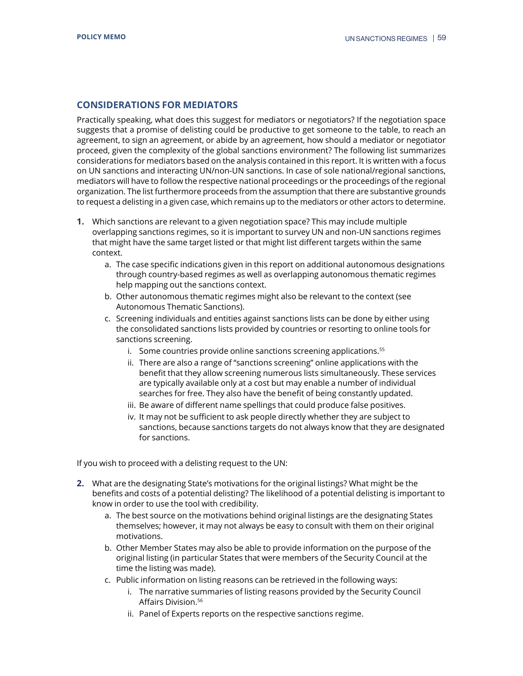## <span id="page-58-0"></span>**CONSIDERATIONS FOR MEDIATORS**

Practically speaking, what does this suggest for mediators or negotiators? If the negotiation space suggests that a promise of delisting could be productive to get someone to the table, to reach an agreement, to sign an agreement, or abide by an agreement, how should a mediator or negotiator proceed, given the complexity of the global sanctions environment? The following list summarizes considerations for mediators based on the analysis contained in this report. It is written with a focus on UN sanctions and interacting UN/non-UN sanctions. In case of sole national/regional sanctions, mediators will have to follow the respective national proceedings or the proceedings of the regional organization. The list furthermore proceeds from the assumption that there are substantive grounds to request a delisting in a given case, which remains up to the mediators or other actors to determine.

- **1.** Which sanctions are relevant to a given negotiation space? This may include multiple overlapping sanctions regimes, so it is important to survey UN and non-UN sanctions regimes that might have the same target listed or that might list different targets within the same context.
	- a. The case specific indications given in this report on additional autonomous designations through country-based regimes as well as overlapping autonomous thematic regimes help mapping out the sanctions context.
	- b. Other autonomous thematic regimes might also be relevant to the context (see Autonomous Thematic Sanctions).
	- c. Screening individuals and entities against sanctions lists can be done by either using the consolidated sanctions lists provided by countries or resorting to online tools for sanctions screening.
		- i. Some countries provide online sanctions screening applications.<sup>55</sup>
		- ii. There are also a range of "sanctions screening" online applications with the benefit that they allow screening numerous lists simultaneously. These services are typically available only at a cost but may enable a number of individual searches for free. They also have the benefit of being constantly updated.
		- iii. Be aware of different name spellings that could produce false positives.
		- iv. It may not be sufficient to ask people directly whether they are subject to sanctions, because sanctions targets do not always know that they are designated for sanctions.

If you wish to proceed with a delisting request to the UN:

- **2.** What are the designating State's motivations for the original listings? What might be the benefits and costs of a potential delisting? The likelihood of a potential delisting is important to know in order to use the tool with credibility.
	- a. The best source on the motivations behind original listings are the designating States themselves; however, it may not always be easy to consult with them on their original motivations.
	- b. Other Member States may also be able to provide information on the purpose of the original listing (in particular States that were members of the Security Council at the time the listing was made).
	- c. Public information on listing reasons can be retrieved in the following ways:
		- i. The narrative summaries of listing reasons provided by the Security Council Affairs Division.<sup>56</sup>
		- ii. Panel of Experts reports on the respective sanctions regime.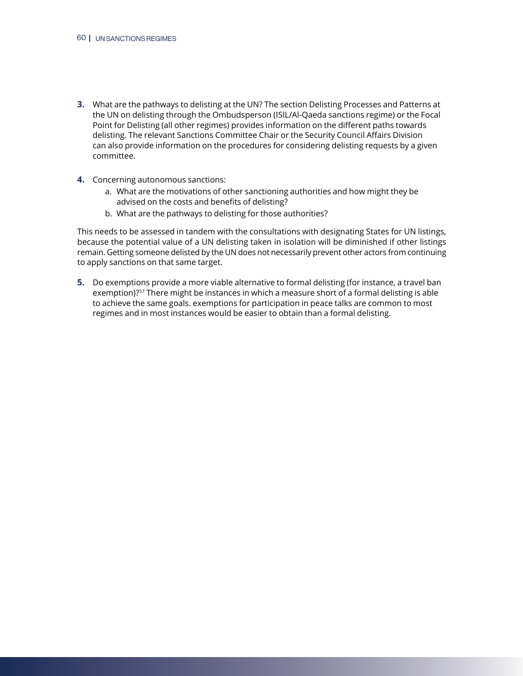- **3.** What are the pathways to delisting at the UN? The section Delisting Processes and Patterns at the UN on delisting through the Ombudsperson (ISIL/Al-Qaeda sanctions regime) or the Focal Point for Delisting (all other regimes) provides information on the different paths towards delisting. The relevant Sanctions Committee Chair or the Security Council Affairs Division can also provide information on the procedures for considering delisting requests by a given committee.
- **4.** Concerning autonomous sanctions:
	- a. What are the motivations of other sanctioning authorities and how might they be advised on the costs and benefits of delisting?
	- b. What are the pathways to delisting for those authorities?

This needs to be assessed in tandem with the consultations with designating States for UN listings, because the potential value of a UN delisting taken in isolation will be diminished if other listings remain. Getting someone delisted by the UN does not necessarily prevent other actors from continuing to apply sanctions on that same target.

**5.** Do exemptions provide a more viable alternative to formal delisting (for instance, a travel ban exemption)?<sup>57</sup> There might be instances in which a measure short of a formal delisting is able to achieve the same goals. exemptions for participation in peace talks are common to most regimes and in most instances would be easier to obtain than a formal delisting.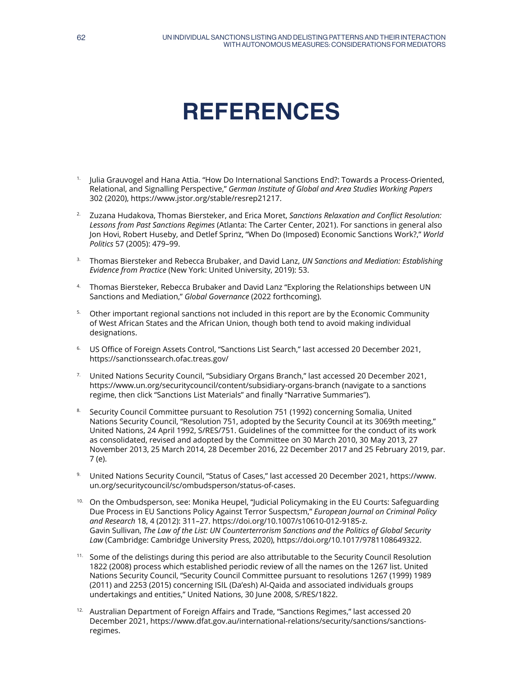# **REFERENCES**

- <span id="page-60-0"></span>1. Julia Grauvogel and Hana Attia. "How Do International Sanctions End?: Towards a Process-Oriented, Relational, and Signalling Perspective," *German Institute of Global and Area Studies Working Papers*  302 (2020), [https://www.jstor.org/stable/resrep21217.](https://www.jstor.org/stable/resrep21217)
- 2. Zuzana Hudakova, Thomas Biersteker, and Erica Moret, *Sanctions Relaxation and Conflict Resolution: Lessons from Past Sanctions Regimes* (Atlanta: The Carter Center, 2021). For sanctions in general also Jon Hovi, Robert Huseby, and Detlef Sprinz, "When Do (Imposed) Economic Sanctions Work?," *World Politics* 57 (2005): 479–99.
- 3. Thomas Biersteker and Rebecca Brubaker, and David Lanz, *UN Sanctions and Mediation: Establishing Evidence from Practice* (New York: United University, 2019): 53.
- 4. Thomas Biersteker, Rebecca Brubaker and David Lanz "Exploring the Relationships between UN Sanctions and Mediation," *Global Governance* (2022 forthcoming).
- <sup>5.</sup> Other important regional sanctions not included in this report are by the Economic Community of West African States and the African Union, though both tend to avoid making individual designations.
- 6. US Office of Foreign Assets Control, "Sanctions List Search," last accessed 20 December 2021, <https://sanctionssearch.ofac.treas.gov/>
- <sup>7.</sup> United Nations Security Council, "Subsidiary Organs Branch," last accessed 20 December 2021, <https://www.un.org/securitycouncil/content/subsidiary-organs-branch> (navigate to a sanctions regime, then click "Sanctions List Materials" and finally "Narrative Summaries").
- 8. Security Council Committee pursuant to Resolution 751 (1992) concerning Somalia, United Nations Security Council, "Resolution 751, adopted by the Security Council at its 3069th meeting," United Nations, 24 April 1992, S/RES/751. Guidelines of the committee for the conduct of its work as consolidated, revised and adopted by the Committee on 30 March 2010, 30 May 2013, 27 November 2013, 25 March 2014, 28 December 2016, 22 December 2017 and 25 February 2019, par. 7 (e).
- 9. United Nations Security Council, "Status of Cases," last accessed 20 December 2021, [https://www.](https://www.un.org/securitycouncil/sc/ombudsperson/status-of-cases) [un.org/securitycouncil/sc/ombudsperson/status-of-cases.](https://www.un.org/securitycouncil/sc/ombudsperson/status-of-cases)
- <sup>10.</sup> On the Ombudsperson, see: Monika Heupel, "|udicial Policymaking in the EU Courts: Safeguarding Due Process in EU Sanctions Policy Against Terror Suspectsm," *European Journal on Criminal Policy and Research* 18, 4 (2012): 311–27. <https://doi.org/10.1007/s10610-012-9185-z>. Gavin Sullivan, *The Law of the List: UN Counterterrorism Sanctions and the Politics of Global Security Law* (Cambridge: Cambridge University Press, 2020),<https://doi.org/10.1017/9781108649322>.
- <sup>11.</sup> Some of the delistings during this period are also attributable to the Security Council Resolution 1822 (2008) process which established periodic review of all the names on the 1267 list. United Nations Security Council, "Security Council Committee pursuant to resolutions 1267 (1999) 1989 (2011) and 2253 (2015) concerning ISIL (Da'esh) Al-Qaida and associated individuals groups undertakings and entities," United Nations, 30 June 2008, S/RES/1822.
- <sup>12.</sup> Australian Department of Foreign Affairs and Trade, "Sanctions Regimes," last accessed 20 December 2021, [https://www.dfat.gov.au/international-relations/security/sanctions/sanctions](https://www.dfat.gov.au/international-relations/security/sanctions/sanctions-regimes)[regimes.](https://www.dfat.gov.au/international-relations/security/sanctions/sanctions-regimes)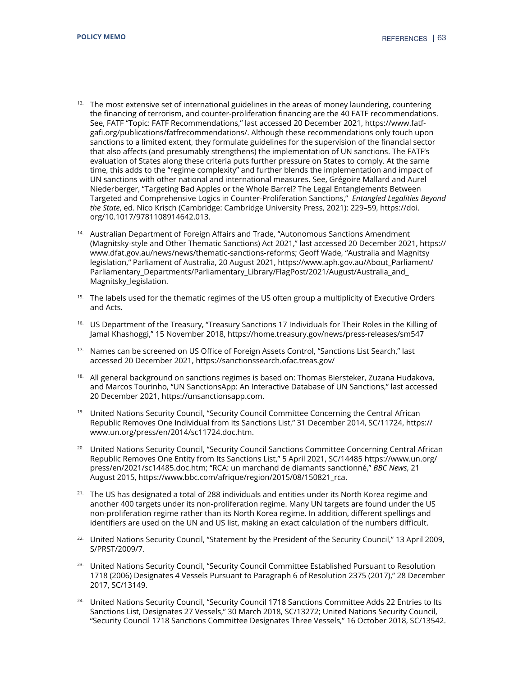- <sup>13.</sup> The most extensive set of international guidelines in the areas of money laundering, countering the financing of terrorism, and counter-proliferation financing are the 40 FATF recommendations. See, FATF "Topic: FATF Recommendations," last accessed 20 December 2021, [https://www.fatf](https://www.fatf-gafi.org/publications/fatfrecommendations/)[gafi.org/publications/fatfrecommendations/.](https://www.fatf-gafi.org/publications/fatfrecommendations/) Although these recommendations only touch upon sanctions to a limited extent, they formulate guidelines for the supervision of the financial sector that also affects (and presumably strengthens) the implementation of UN sanctions. The FATF's evaluation of States along these criteria puts further pressure on States to comply. At the same time, this adds to the "regime complexity" and further blends the implementation and impact of UN sanctions with other national and international measures. See, Grégoire Mallard and Aurel Niederberger, "Targeting Bad Apples or the Whole Barrel? The Legal Entanglements Between Targeted and Comprehensive Logics in Counter-Proliferation Sanctions," *Entangled Legalities Beyond the State*, ed. Nico Krisch (Cambridge: Cambridge University Press, 2021): 229–59, [https://doi.](https://doi.org/10.1017/9781108914642.013) [org/10.1017/9781108914642.013](https://doi.org/10.1017/9781108914642.013).
- <sup>14.</sup> Australian Department of Foreign Affairs and Trade, "Autonomous Sanctions Amendment (Magnitsky-style and Other Thematic Sanctions) Act 2021," last accessed 20 December 2021, [https://](https://www.dfat.gov.au/news/news/thematic-sanctions-reformshttps://www.dfat.gov.au/news/news/thematic-sanctions-reforms) [www.dfat.gov.au/news/news/thematic-sanctions-reforms;](https://www.dfat.gov.au/news/news/thematic-sanctions-reformshttps://www.dfat.gov.au/news/news/thematic-sanctions-reforms) Geoff Wade, "Australia and Magnitsy legislation," Parliament of Australia, 20 August 2021, [https://www.aph.gov.au/About\\_Parliament/](https://www.aph.gov.au/About_Parliament/Parliamentary_Departments/Parliamentary_Library/FlagPost/2021/August/Australia_and_Magnitsky_legislation) [Parliamentary\\_Departments/Parliamentary\\_Library/FlagPost/2021/August/Australia\\_and\\_](https://www.aph.gov.au/About_Parliament/Parliamentary_Departments/Parliamentary_Library/FlagPost/2021/August/Australia_and_Magnitsky_legislation) [Magnitsky\\_legislation.](https://www.aph.gov.au/About_Parliament/Parliamentary_Departments/Parliamentary_Library/FlagPost/2021/August/Australia_and_Magnitsky_legislation)
- <sup>15.</sup> The labels used for the thematic regimes of the US often group a multiplicity of Executive Orders and Acts.
- <sup>16.</sup> US Department of the Treasury, "Treasury Sanctions 17 Individuals for Their Roles in the Killing of Jamal Khashoggi," 15 November 2018, <https://home.treasury.gov/news/press-releases/sm547>
- <sup>17.</sup> Names can be screened on US Office of Foreign Assets Control, "Sanctions List Search," last accessed 20 December 2021,<https://sanctionssearch.ofac.treas.gov/>
- <sup>18.</sup> All general background on sanctions regimes is based on: Thomas Biersteker, Zuzana Hudakova, and Marcos Tourinho, "UN SanctionsApp: An Interactive Database of UN Sanctions," last accessed 20 December 2021,<https://unsanctionsapp.com>.
- <sup>19.</sup> United Nations Security Council, "Security Council Committee Concerning the Central African Republic Removes One Individual from Its Sanctions List," 31 December 2014, SC/11724, [https://](https://www.un.org/press/en/2014/sc11724.doc.htm) [www.un.org/press/en/2014/sc11724.doc.htm](https://www.un.org/press/en/2014/sc11724.doc.htm).
- 20. United Nations Security Council, "Security Council Sanctions Committee Concerning Central African Republic Removes One Entity from Its Sanctions List," 5 April 2021, SC/14485 [https://www.un.org/](https://www.un.org/press/en/2021/sc14485.doc.htm) [press/en/2021/sc14485.doc.htm;](https://www.un.org/press/en/2021/sc14485.doc.htm) "RCA: un marchand de diamants sanctionné," *BBC News*, 21 August 2015, [https://www.bbc.com/afrique/region/2015/08/150821\\_rca](https://www.bbc.com/afrique/region/2015/08/150821_rca).
- <sup>21.</sup> The US has designated a total of 288 individuals and entities under its North Korea regime and another 400 targets under its non-proliferation regime. Many UN targets are found under the US non-proliferation regime rather than its North Korea regime. In addition, different spellings and identifiers are used on the UN and US list, making an exact calculation of the numbers difficult.
- <sup>22.</sup> United Nations Security Council, "Statement by the President of the Security Council," 13 April 2009, S/PRST/2009/7.
- <sup>23.</sup> United Nations Security Council, "Security Council Committee Established Pursuant to Resolution 1718 (2006) Designates 4 Vessels Pursuant to Paragraph 6 of Resolution 2375 (2017)," 28 December 2017, SC/13149.
- <sup>24.</sup> United Nations Security Council, "Security Council 1718 Sanctions Committee Adds 22 Entries to Its Sanctions List, Designates 27 Vessels," 30 March 2018, SC/13272; United Nations Security Council, "Security Council 1718 Sanctions Committee Designates Three Vessels," 16 October 2018, SC/13542.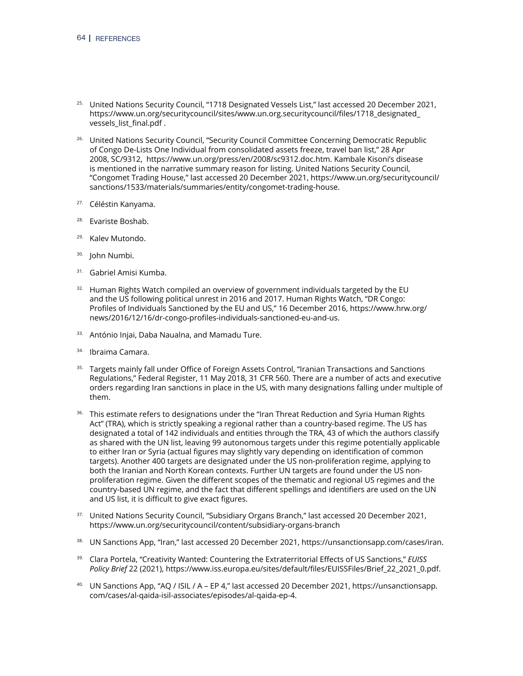- <sup>25.</sup> United Nations Security Council, "1718 Designated Vessels List," last accessed 20 December 2021, [https://www.un.org/securitycouncil/sites/www.un.org.securitycouncil/files/1718\\_designated\\_](https://www.un.org/securitycouncil/sites/www.un.org.securitycouncil/files/1718_designated_vessels_list_final.pdf) [vessels\\_list\\_final.pdf](https://www.un.org/securitycouncil/sites/www.un.org.securitycouncil/files/1718_designated_vessels_list_final.pdf) .
- <sup>26.</sup> United Nations Security Council, "Security Council Committee Concerning Democratic Republic of Congo De-Lists One Individual from consolidated assets freeze, travel ban list," 28 Apr 2008, SC/9312, [https://www.un.org/press/en/2008/sc9312.doc.htm.](https://www.un.org/press/en/2008/sc9312.doc.htm) Kambale Kisoni's disease is mentioned in the narrative summary reason for listing. United Nations Security Council, "Congomet Trading House," last accessed 20 December 2021, [https://www.un.org/securitycouncil/](https://www.un.org/securitycouncil/sanctions/1533/materials/summaries/entity/congomet-trading-house) [sanctions/1533/materials/summaries/entity/congomet-trading-house.](https://www.un.org/securitycouncil/sanctions/1533/materials/summaries/entity/congomet-trading-house)
- <sup>27.</sup> Céléstin Kanyama.
- Evariste Boshab.
- 29. Kalev Mutondo.
- 30. John Numbi.
- 31. Gabriel Amisi Kumba.
- $32.$  Human Rights Watch compiled an overview of government individuals targeted by the EU and the US following political unrest in 2016 and 2017. Human Rights Watch, "DR Congo: Profiles of Individuals Sanctioned by the EU and US," 16 December 2016, [https://www.hrw.org/](https://www.hrw.org/news/2016/12/16/dr-congo-profiles-individuals-sanctioned-eu-and-us) [news/2016/12/16/dr-congo-profiles-individuals-sanctioned-eu-and-us](https://www.hrw.org/news/2016/12/16/dr-congo-profiles-individuals-sanctioned-eu-and-us).
- 33. António Injai, Daba Naualna, and Mamadu Ture.
- 34. Ibraima Camara.
- <sup>35.</sup> Targets mainly fall under Office of Foreign Assets Control, "Iranian Transactions and Sanctions Regulations," Federal Register, 11 May 2018, 31 CFR 560. There are a number of acts and executive orders regarding Iran sanctions in place in the US, with many designations falling under multiple of them.
- <sup>36.</sup> This estimate refers to designations under the "Iran Threat Reduction and Syria Human Rights Act" (TRA), which is strictly speaking a regional rather than a country-based regime. The US has designated a total of 142 individuals and entities through the TRA, 43 of which the authors classify as shared with the UN list, leaving 99 autonomous targets under this regime potentially applicable to either Iran or Syria (actual figures may slightly vary depending on identification of common targets). Another 400 targets are designated under the US non-proliferation regime, applying to both the Iranian and North Korean contexts. Further UN targets are found under the US nonproliferation regime. Given the different scopes of the thematic and regional US regimes and the country-based UN regime, and the fact that different spellings and identifiers are used on the UN and US list, it is difficult to give exact figures.
- <sup>37.</sup> United Nations Security Council, "Subsidiary Organs Branch," last accessed 20 December 2021, <https://www.un.org/securitycouncil/content/subsidiary-organs-branch>
- 38. UN Sanctions App, "Iran," last accessed 20 December 2021,<https://unsanctionsapp.com/cases/iran>.
- 39. Clara Portela, "Creativity Wanted: Countering the Extraterritorial Effects of US Sanctions," *EUISS Policy Brief* 22 (2021), [https://www.iss.europa.eu/sites/default/files/EUISSFiles/Brief\\_22\\_2021\\_0.pdf.](https://www.iss.europa.eu/sites/default/files/EUISSFiles/Brief_22_2021_0.pdf)
- $40.$  UN Sanctions App, "AQ / ISIL / A EP 4," last accessed 20 December 2021, [https://unsanctionsapp.](https://unsanctionsapp.com/cases/al-qaida-isil-associates/episodes/al-qaida-ep-4) [com/cases/al-qaida-isil-associates/episodes/al-qaida-ep-4](https://unsanctionsapp.com/cases/al-qaida-isil-associates/episodes/al-qaida-ep-4).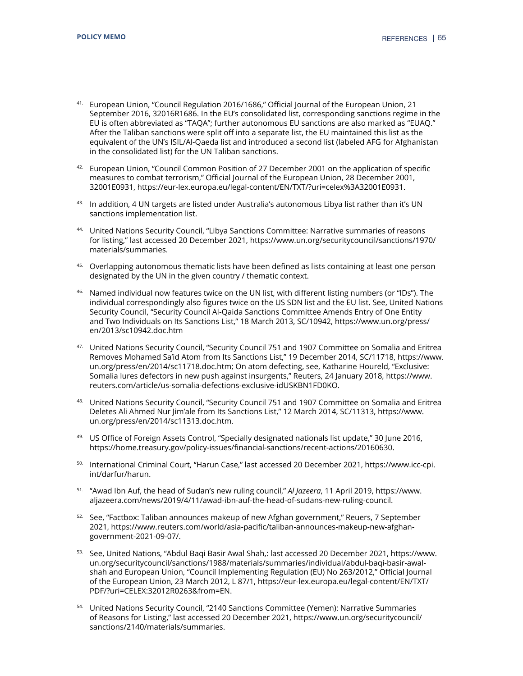- <sup>41.</sup> European Union, "Council Regulation 2016/1686," Official Journal of the European Union, 21 September 2016, 32016R1686. In the EU's consolidated list, corresponding sanctions regime in the EU is often abbreviated as "TAQA"; further autonomous EU sanctions are also marked as "EUAQ." After the Taliban sanctions were split off into a separate list, the EU maintained this list as the equivalent of the UN's ISIL/Al-Qaeda list and introduced a second list (labeled AFG for Afghanistan in the consolidated list) for the UN Taliban sanctions.
- $42.$  European Union, "Council Common Position of 27 December 2001 on the application of specific measures to combat terrorism," Official Journal of the European Union, 28 December 2001, 32001E0931, [https://eur-lex.europa.eu/legal-content/EN/TXT/?uri=celex%3A32001E0931.](https://eur-lex.europa.eu/legal-content/EN/TXT/?uri=celex%3A32001E0931)
- 43. In addition, 4 UN targets are listed under Australia's autonomous Libya list rather than it's UN sanctions implementation list.
- 44. United Nations Security Council, "Libya Sanctions Committee: Narrative summaries of reasons for listing," last accessed 20 December 2021, [https://www.un.org/securitycouncil/sanctions/1970/](https://www.un.org/securitycouncil/sanctions/1970/materials/summaries) [materials/summaries](https://www.un.org/securitycouncil/sanctions/1970/materials/summaries).
- 45. Overlapping autonomous thematic lists have been defined as lists containing at least one person designated by the UN in the given country / thematic context.
- 46. Named individual now features twice on the UN list, with different listing numbers (or "IDs"). The individual correspondingly also figures twice on the US SDN list and the EU list. See, United Nations Security Council, "Security Council Al-Qaida Sanctions Committee Amends Entry of One Entity and Two Individuals on Its Sanctions List," 18 March 2013, SC/10942, [https://www.un.org/press/](https://www.un.org/press/en/2013/sc10942.doc.htm) [en/2013/sc10942.doc.htm](https://www.un.org/press/en/2013/sc10942.doc.htm)
- 47. United Nations Security Council, "Security Council 751 and 1907 Committee on Somalia and Eritrea Removes Mohamed Sa'id Atom from Its Sanctions List," 19 December 2014, SC/11718, [https://www.](https://www.un.org/press/en/2014/sc11718.doc.htm) [un.org/press/en/2014/sc11718.doc.htm](https://www.un.org/press/en/2014/sc11718.doc.htm); On atom defecting, see, Katharine Houreld, "Exclusive: Somalia lures defectors in new push against insurgents," Reuters, 24 January 2018, [https://www.](https://www.reuters.com/article/us-somalia-defections-exclusive-idUSKBN1FD0KO) [reuters.com/article/us-somalia-defections-exclusive-idUSKBN1FD0KO](https://www.reuters.com/article/us-somalia-defections-exclusive-idUSKBN1FD0KO).
- 48. United Nations Security Council, "Security Council 751 and 1907 Committee on Somalia and Eritrea Deletes Ali Ahmed Nur Jim'ale from Its Sanctions List," 12 March 2014, SC/11313, [https://www.](https://www.un.org/press/en/2014/sc11313.doc.htm) [un.org/press/en/2014/sc11313.doc.htm](https://www.un.org/press/en/2014/sc11313.doc.htm).
- <sup>49.</sup> US Office of Foreign Assets Control, "Specially designated nationals list update," 30 June 2016, [https://home.treasury.gov/policy-issues/financial-sanctions/recent-actions/20160630.](https://home.treasury.gov/policy-issues/financial-sanctions/recent-actions/20160630)
- 50. International Criminal Court, "Harun Case," last accessed 20 December 2021, [https://www.icc-cpi.](https://www.icc-cpi.int/darfur/harun) [int/darfur/harun](https://www.icc-cpi.int/darfur/harun).
- 51. "Awad Ibn Auf, the head of Sudan's new ruling council," *Al Jazeera*, 11 April 2019, [https://www.](https://www.aljazeera.com/news/2019/4/11/awad-ibn-auf-the-head-of-sudans-new-ruling-council) [aljazeera.com/news/2019/4/11/awad-ibn-auf-the-head-of-sudans-new-ruling-council.](https://www.aljazeera.com/news/2019/4/11/awad-ibn-auf-the-head-of-sudans-new-ruling-council)
- $52.$  See, "Factbox: Taliban announces makeup of new Afghan government," Reuers, 7 September 2021, [https://www.reuters.com/world/asia-pacific/taliban-announces-makeup-new-afghan](https://www.reuters.com/world/asia-pacific/taliban-announces-makeup-new-afghan-government-2021-09-07/)[government-2021-09-07/](https://www.reuters.com/world/asia-pacific/taliban-announces-makeup-new-afghan-government-2021-09-07/).
- 53. See, United Nations, "Abdul Baqi Basir Awal Shah,: last accessed 20 December 2021, [https://www.](https://www.un.org/securitycouncil/sanctions/1988/materials/summaries/individual/abdul-baqi-basir-awal-shah) [un.org/securitycouncil/sanctions/1988/materials/summaries/individual/abdul-baqi-basir-awal](https://www.un.org/securitycouncil/sanctions/1988/materials/summaries/individual/abdul-baqi-basir-awal-shah)[shah](https://www.un.org/securitycouncil/sanctions/1988/materials/summaries/individual/abdul-baqi-basir-awal-shah) and European Union, "Council Implementing Regulation (EU) No 263/2012," Official Journal of the European Union, 23 March 2012, L 87/1, [https://eur-lex.europa.eu/legal-content/EN/TXT/](https://eur-lex.europa.eu/legal-content/EN/TXT/PDF/?uri=CELEX:32012R0263&from=EN) [PDF/?uri=CELEX:32012R0263&from=EN](https://eur-lex.europa.eu/legal-content/EN/TXT/PDF/?uri=CELEX:32012R0263&from=EN).
- 54. United Nations Security Council, "2140 Sanctions Committee (Yemen): Narrative Summaries of Reasons for Listing," last accessed 20 December 2021, [https://www.un.org/securitycouncil/](https://www.un.org/securitycouncil/sanctions/2140/materials/summaries) [sanctions/2140/materials/summaries](https://www.un.org/securitycouncil/sanctions/2140/materials/summaries).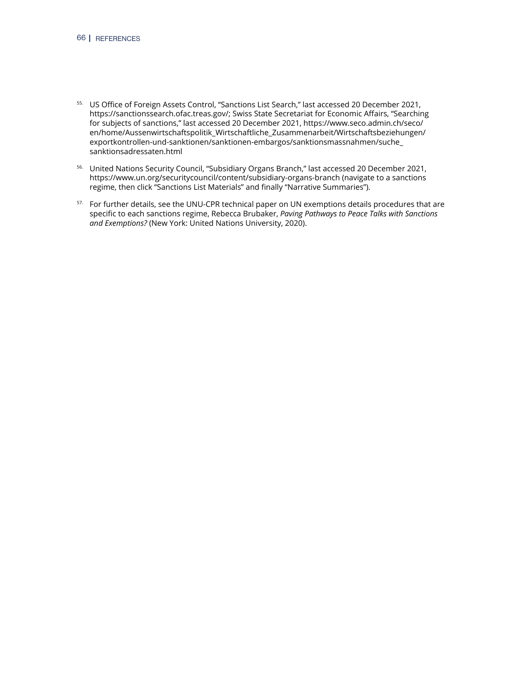- 55. US Office of Foreign Assets Control, "Sanctions List Search," last accessed 20 December 2021, [https://sanctionssearch.ofac.treas.gov/;](https://sanctionssearch.ofac.treas.gov/) Swiss State Secretariat for Economic Affairs, "Searching for subjects of sanctions," last accessed 20 December 2021, [https://www.seco.admin.ch/seco/](https://www.seco.admin.ch/seco/en/home/Aussenwirtschaftspolitik_Wirtschaftliche_Zusammenarbeit/Wirtschaftsbeziehungen/exportkontrollen-und-sanktionen/sanktionen-embargos/sanktionsmassnahmen/suche_sanktionsadressaten.html) [en/home/Aussenwirtschaftspolitik\\_Wirtschaftliche\\_Zusammenarbeit/Wirtschaftsbeziehungen/](https://www.seco.admin.ch/seco/en/home/Aussenwirtschaftspolitik_Wirtschaftliche_Zusammenarbeit/Wirtschaftsbeziehungen/exportkontrollen-und-sanktionen/sanktionen-embargos/sanktionsmassnahmen/suche_sanktionsadressaten.html) [exportkontrollen-und-sanktionen/sanktionen-embargos/sanktionsmassnahmen/suche\\_](https://www.seco.admin.ch/seco/en/home/Aussenwirtschaftspolitik_Wirtschaftliche_Zusammenarbeit/Wirtschaftsbeziehungen/exportkontrollen-und-sanktionen/sanktionen-embargos/sanktionsmassnahmen/suche_sanktionsadressaten.html) [sanktionsadressaten.html](https://www.seco.admin.ch/seco/en/home/Aussenwirtschaftspolitik_Wirtschaftliche_Zusammenarbeit/Wirtschaftsbeziehungen/exportkontrollen-und-sanktionen/sanktionen-embargos/sanktionsmassnahmen/suche_sanktionsadressaten.html)
- 56. United Nations Security Council, "Subsidiary Organs Branch," last accessed 20 December 2021, <https://www.un.org/securitycouncil/content/subsidiary-organs-branch> (navigate to a sanctions regime, then click "Sanctions List Materials" and finally "Narrative Summaries").
- <sup>57.</sup> For further details, see the UNU-CPR technical paper on UN exemptions details procedures that are specific to each sanctions regime, Rebecca Brubaker, *Paving Pathways to Peace Talks with Sanctions and Exemptions?* (New York: United Nations University, 2020).